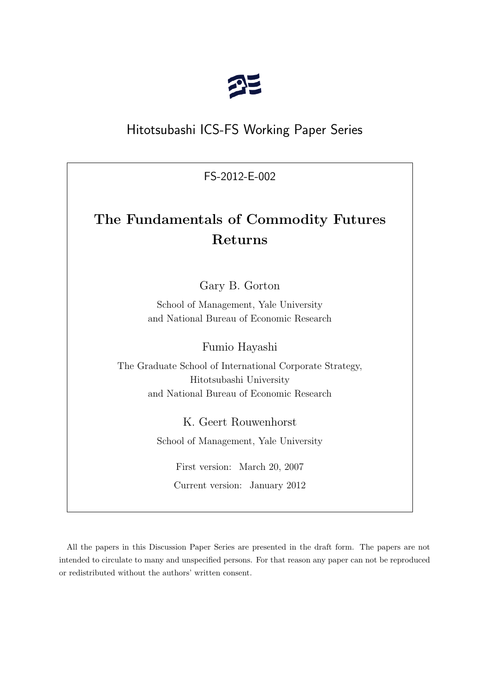

# Hitotsubashi ICS-FS Working Paper Series

FS-2012-E-002

# **The Fundamentals of Commodity Futures Returns**

Gary B. Gorton

School of Management, Yale University and National Bureau of Economic Research

Fumio Hayashi

The Graduate School of International Corporate Strategy, Hitotsubashi University and National Bureau of Economic Research

K. Geert Rouwenhorst

School of Management, Yale University

First version: March 20, 2007 Current version: January 2012

All the papers in this Discussion Paper Series are presented in the draft form. The papers are not intended to circulate to many and unspecified persons. For that reason any paper can not be reproduced or redistributed without the authors' written consent.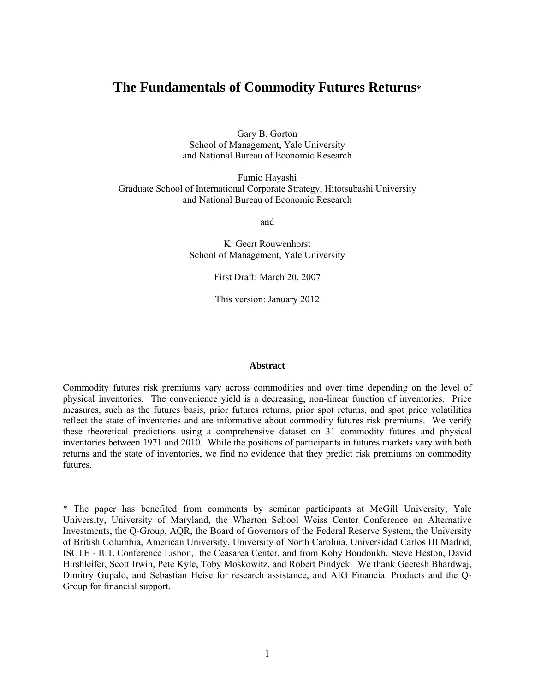# **The Fundamentals of Commodity Futures Returns\***

Gary B. Gorton School of Management, Yale University and National Bureau of Economic Research

Fumio Hayashi Graduate School of International Corporate Strategy, Hitotsubashi University and National Bureau of Economic Research

and

K. Geert Rouwenhorst School of Management, Yale University

First Draft: March 20, 2007

This version: January 2012

#### **Abstract**

Commodity futures risk premiums vary across commodities and over time depending on the level of physical inventories. The convenience yield is a decreasing, non-linear function of inventories. Price measures, such as the futures basis, prior futures returns, prior spot returns, and spot price volatilities reflect the state of inventories and are informative about commodity futures risk premiums. We verify these theoretical predictions using a comprehensive dataset on 31 commodity futures and physical inventories between 1971 and 2010. While the positions of participants in futures markets vary with both returns and the state of inventories, we find no evidence that they predict risk premiums on commodity futures.

\* The paper has benefited from comments by seminar participants at McGill University, Yale University, University of Maryland, the Wharton School Weiss Center Conference on Alternative Investments, the Q-Group, AQR, the Board of Governors of the Federal Reserve System, the University of British Columbia, American University, University of North Carolina, Universidad Carlos III Madrid, ISCTE - IUL Conference Lisbon, the Ceasarea Center, and from Koby Boudoukh, Steve Heston, David Hirshleifer, Scott Irwin, Pete Kyle, Toby Moskowitz, and Robert Pindyck. We thank Geetesh Bhardwaj, Dimitry Gupalo, and Sebastian Heise for research assistance, and AIG Financial Products and the Q-Group for financial support.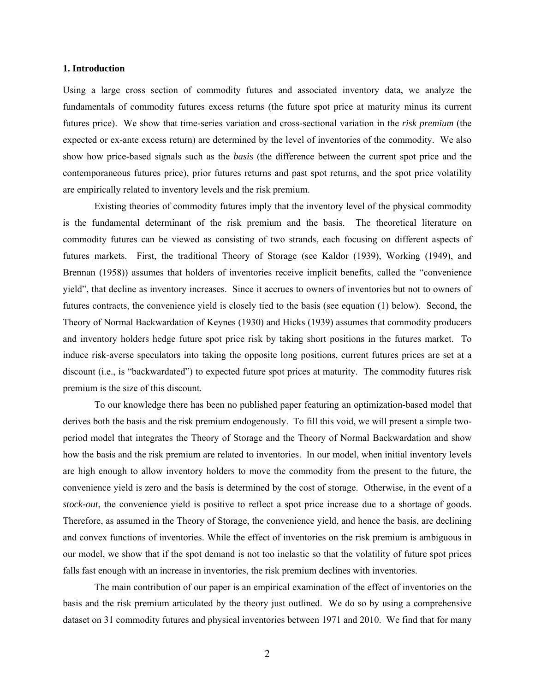#### **1. Introduction**

Using a large cross section of commodity futures and associated inventory data, we analyze the fundamentals of commodity futures excess returns (the future spot price at maturity minus its current futures price). We show that time-series variation and cross-sectional variation in the *risk premium* (the expected or ex-ante excess return) are determined by the level of inventories of the commodity. We also show how price-based signals such as the *basis* (the difference between the current spot price and the contemporaneous futures price), prior futures returns and past spot returns, and the spot price volatility are empirically related to inventory levels and the risk premium.

 Existing theories of commodity futures imply that the inventory level of the physical commodity is the fundamental determinant of the risk premium and the basis. The theoretical literature on commodity futures can be viewed as consisting of two strands, each focusing on different aspects of futures markets. First, the traditional Theory of Storage (see Kaldor (1939), Working (1949), and Brennan (1958)) assumes that holders of inventories receive implicit benefits, called the "convenience yield", that decline as inventory increases. Since it accrues to owners of inventories but not to owners of futures contracts, the convenience yield is closely tied to the basis (see equation (1) below). Second, the Theory of Normal Backwardation of Keynes (1930) and Hicks (1939) assumes that commodity producers and inventory holders hedge future spot price risk by taking short positions in the futures market. To induce risk-averse speculators into taking the opposite long positions, current futures prices are set at a discount (i.e., is "backwardated") to expected future spot prices at maturity. The commodity futures risk premium is the size of this discount.

 To our knowledge there has been no published paper featuring an optimization-based model that derives both the basis and the risk premium endogenously. To fill this void, we will present a simple twoperiod model that integrates the Theory of Storage and the Theory of Normal Backwardation and show how the basis and the risk premium are related to inventories. In our model, when initial inventory levels are high enough to allow inventory holders to move the commodity from the present to the future, the convenience yield is zero and the basis is determined by the cost of storage. Otherwise, in the event of a *stock-out*, the convenience yield is positive to reflect a spot price increase due to a shortage of goods. Therefore, as assumed in the Theory of Storage, the convenience yield, and hence the basis, are declining and convex functions of inventories. While the effect of inventories on the risk premium is ambiguous in our model, we show that if the spot demand is not too inelastic so that the volatility of future spot prices falls fast enough with an increase in inventories, the risk premium declines with inventories.

The main contribution of our paper is an empirical examination of the effect of inventories on the basis and the risk premium articulated by the theory just outlined. We do so by using a comprehensive dataset on 31 commodity futures and physical inventories between 1971 and 2010. We find that for many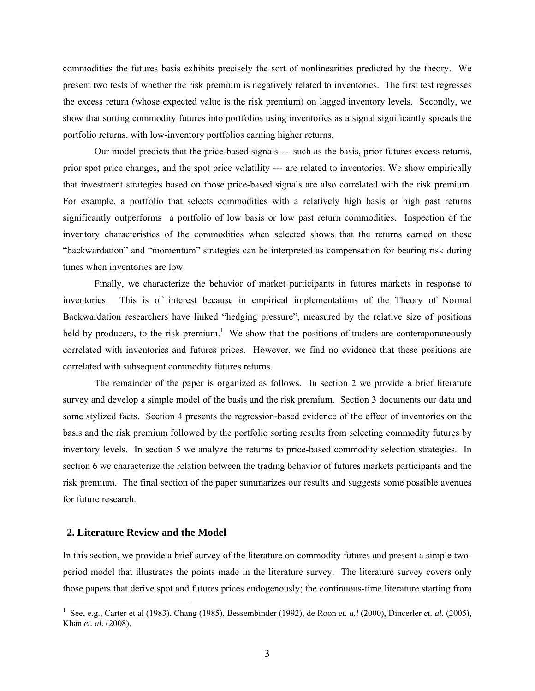commodities the futures basis exhibits precisely the sort of nonlinearities predicted by the theory. We present two tests of whether the risk premium is negatively related to inventories. The first test regresses the excess return (whose expected value is the risk premium) on lagged inventory levels. Secondly, we show that sorting commodity futures into portfolios using inventories as a signal significantly spreads the portfolio returns, with low-inventory portfolios earning higher returns.

Our model predicts that the price-based signals --- such as the basis, prior futures excess returns, prior spot price changes, and the spot price volatility --- are related to inventories. We show empirically that investment strategies based on those price-based signals are also correlated with the risk premium. For example, a portfolio that selects commodities with a relatively high basis or high past returns significantly outperforms a portfolio of low basis or low past return commodities. Inspection of the inventory characteristics of the commodities when selected shows that the returns earned on these "backwardation" and "momentum" strategies can be interpreted as compensation for bearing risk during times when inventories are low.

Finally, we characterize the behavior of market participants in futures markets in response to inventories. This is of interest because in empirical implementations of the Theory of Normal Backwardation researchers have linked "hedging pressure", measured by the relative size of positions held by producers, to the risk premium.<sup>1</sup> We show that the positions of traders are contemporaneously correlated with inventories and futures prices. However, we find no evidence that these positions are correlated with subsequent commodity futures returns.

 The remainder of the paper is organized as follows. In section 2 we provide a brief literature survey and develop a simple model of the basis and the risk premium. Section 3 documents our data and some stylized facts. Section 4 presents the regression-based evidence of the effect of inventories on the basis and the risk premium followed by the portfolio sorting results from selecting commodity futures by inventory levels. In section 5 we analyze the returns to price-based commodity selection strategies. In section 6 we characterize the relation between the trading behavior of futures markets participants and the risk premium. The final section of the paper summarizes our results and suggests some possible avenues for future research.

#### **2. Literature Review and the Model**

 $\overline{a}$ 

In this section, we provide a brief survey of the literature on commodity futures and present a simple twoperiod model that illustrates the points made in the literature survey. The literature survey covers only those papers that derive spot and futures prices endogenously; the continuous-time literature starting from

<sup>&</sup>lt;sup>1</sup> See, e.g., Carter et al (1983), Chang (1985), Bessembinder (1992), de Roon *et. a.l* (2000), Dincerler *et. al.* (2005), Khan *et. al.* (2008).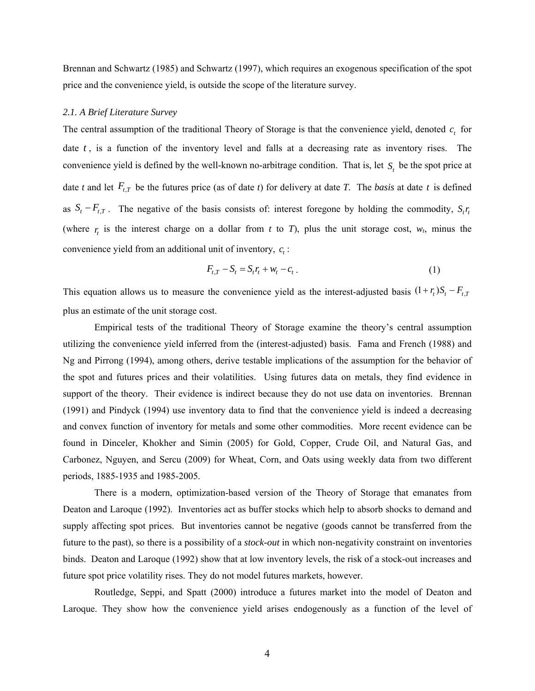Brennan and Schwartz (1985) and Schwartz (1997), which requires an exogenous specification of the spot price and the convenience yield, is outside the scope of the literature survey.

#### *2.1. A Brief Literature Survey*

The central assumption of the traditional Theory of Storage is that the convenience yield, denoted  $c<sub>i</sub>$  for date *t*, is a function of the inventory level and falls at a decreasing rate as inventory rises. The convenience yield is defined by the well-known no-arbitrage condition. That is, let  $S_t$  be the spot price at date *t* and let  $F_{t,T}$  be the futures price (as of date *t*) for delivery at date *T*. The *basis* at date *t* is defined as  $S_t - F_{t,T}$ . The negative of the basis consists of: interest foregone by holding the commodity,  $S_t r_t$ (where  $r_t$  is the interest charge on a dollar from *t* to *T*), plus the unit storage cost,  $w_t$ , minus the convenience yield from an additional unit of inventory,  $c_t$ :

$$
F_{t,T} - S_t = S_t r_t + w_t - c_t \tag{1}
$$

This equation allows us to measure the convenience yield as the interest-adjusted basis  $(1 + r_t)S_t - F_{t,T}$ plus an estimate of the unit storage cost.

Empirical tests of the traditional Theory of Storage examine the theory's central assumption utilizing the convenience yield inferred from the (interest-adjusted) basis. Fama and French (1988) and Ng and Pirrong (1994), among others, derive testable implications of the assumption for the behavior of the spot and futures prices and their volatilities. Using futures data on metals, they find evidence in support of the theory. Their evidence is indirect because they do not use data on inventories. Brennan (1991) and Pindyck (1994) use inventory data to find that the convenience yield is indeed a decreasing and convex function of inventory for metals and some other commodities. More recent evidence can be found in Dinceler, Khokher and Simin (2005) for Gold, Copper, Crude Oil, and Natural Gas, and Carbonez, Nguyen, and Sercu (2009) for Wheat, Corn, and Oats using weekly data from two different periods, 1885-1935 and 1985-2005.

 There is a modern, optimization-based version of the Theory of Storage that emanates from Deaton and Laroque (1992). Inventories act as buffer stocks which help to absorb shocks to demand and supply affecting spot prices. But inventories cannot be negative (goods cannot be transferred from the future to the past), so there is a possibility of a *stock-out* in which non-negativity constraint on inventories binds. Deaton and Laroque (1992) show that at low inventory levels, the risk of a stock-out increases and future spot price volatility rises. They do not model futures markets, however.

Routledge, Seppi, and Spatt (2000) introduce a futures market into the model of Deaton and Laroque. They show how the convenience yield arises endogenously as a function of the level of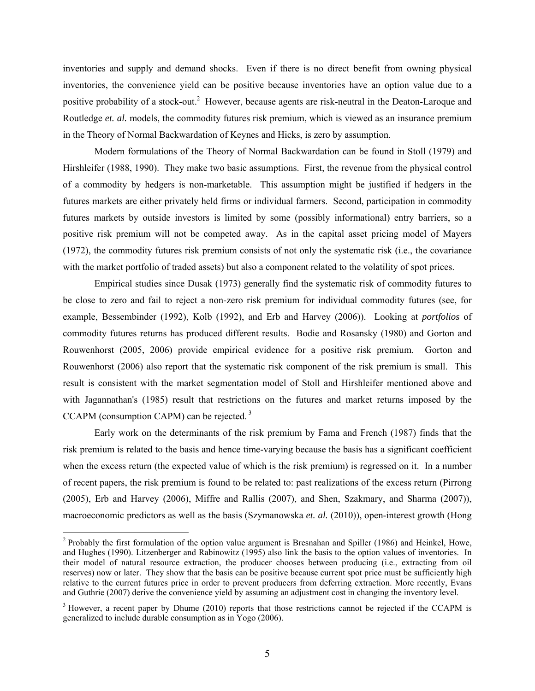inventories and supply and demand shocks. Even if there is no direct benefit from owning physical inventories, the convenience yield can be positive because inventories have an option value due to a positive probability of a stock-out.<sup>2</sup> However, because agents are risk-neutral in the Deaton-Laroque and Routledge *et. al.* models, the commodity futures risk premium, which is viewed as an insurance premium in the Theory of Normal Backwardation of Keynes and Hicks, is zero by assumption.

Modern formulations of the Theory of Normal Backwardation can be found in Stoll (1979) and Hirshleifer (1988, 1990). They make two basic assumptions. First, the revenue from the physical control of a commodity by hedgers is non-marketable. This assumption might be justified if hedgers in the futures markets are either privately held firms or individual farmers. Second, participation in commodity futures markets by outside investors is limited by some (possibly informational) entry barriers, so a positive risk premium will not be competed away. As in the capital asset pricing model of Mayers (1972), the commodity futures risk premium consists of not only the systematic risk (i.e., the covariance with the market portfolio of traded assets) but also a component related to the volatility of spot prices.

Empirical studies since Dusak (1973) generally find the systematic risk of commodity futures to be close to zero and fail to reject a non-zero risk premium for individual commodity futures (see, for example, Bessembinder (1992), Kolb (1992), and Erb and Harvey (2006)). Looking at *portfolios* of commodity futures returns has produced different results. Bodie and Rosansky (1980) and Gorton and Rouwenhorst (2005, 2006) provide empirical evidence for a positive risk premium. Gorton and Rouwenhorst (2006) also report that the systematic risk component of the risk premium is small. This result is consistent with the market segmentation model of Stoll and Hirshleifer mentioned above and with Jagannathan's (1985) result that restrictions on the futures and market returns imposed by the CCAPM (consumption CAPM) can be rejected.<sup>3</sup>

Early work on the determinants of the risk premium by Fama and French (1987) finds that the risk premium is related to the basis and hence time-varying because the basis has a significant coefficient when the excess return (the expected value of which is the risk premium) is regressed on it. In a number of recent papers, the risk premium is found to be related to: past realizations of the excess return (Pirrong (2005), Erb and Harvey (2006), Miffre and Rallis (2007), and Shen, Szakmary, and Sharma (2007)), macroeconomic predictors as well as the basis (Szymanowska *et. al.* (2010)), open-interest growth (Hong

 $\overline{a}$ 

<sup>&</sup>lt;sup>2</sup> Probably the first formulation of the option value argument is Bresnahan and Spiller (1986) and Heinkel, Howe, and Hughes (1990). Litzenberger and Rabinowitz (1995) also link the basis to the option values of inventories. In their model of natural resource extraction, the producer chooses between producing (i.e., extracting from oil reserves) now or later. They show that the basis can be positive because current spot price must be sufficiently high relative to the current futures price in order to prevent producers from deferring extraction. More recently, Evans and Guthrie (2007) derive the convenience yield by assuming an adjustment cost in changing the inventory level.

 $3$  However, a recent paper by Dhume (2010) reports that those restrictions cannot be rejected if the CCAPM is generalized to include durable consumption as in Yogo (2006).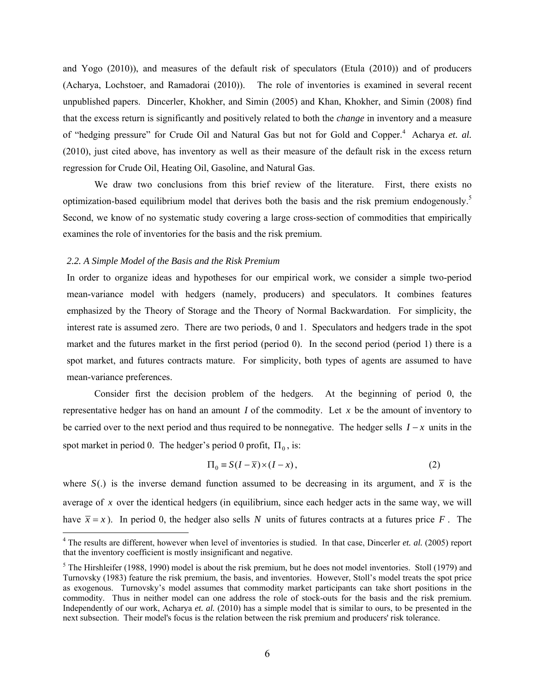and Yogo (2010)), and measures of the default risk of speculators (Etula (2010)) and of producers (Acharya, Lochstoer, and Ramadorai (2010)). The role of inventories is examined in several recent unpublished papers. Dincerler, Khokher, and Simin (2005) and Khan, Khokher, and Simin (2008) find that the excess return is significantly and positively related to both the *change* in inventory and a measure of "hedging pressure" for Crude Oil and Natural Gas but not for Gold and Copper.<sup>4</sup> Acharya et. al. (2010), just cited above, has inventory as well as their measure of the default risk in the excess return regression for Crude Oil, Heating Oil, Gasoline, and Natural Gas.

We draw two conclusions from this brief review of the literature. First, there exists no optimization-based equilibrium model that derives both the basis and the risk premium endogenously.<sup>5</sup> Second, we know of no systematic study covering a large cross-section of commodities that empirically examines the role of inventories for the basis and the risk premium.

#### *2.2. A Simple Model of the Basis and the Risk Premium*

 $\overline{a}$ 

In order to organize ideas and hypotheses for our empirical work, we consider a simple two-period mean-variance model with hedgers (namely, producers) and speculators. It combines features emphasized by the Theory of Storage and the Theory of Normal Backwardation. For simplicity, the interest rate is assumed zero. There are two periods, 0 and 1. Speculators and hedgers trade in the spot market and the futures market in the first period (period 0). In the second period (period 1) there is a spot market, and futures contracts mature. For simplicity, both types of agents are assumed to have mean-variance preferences.

Consider first the decision problem of the hedgers. At the beginning of period 0, the representative hedger has on hand an amount *I* of the commodity. Let *x* be the amount of inventory to be carried over to the next period and thus required to be nonnegative. The hedger sells  $I - x$  units in the spot market in period 0. The hedger's period 0 profit,  $\Pi_0$ , is:

$$
\Pi_0 \equiv S(I - \overline{x}) \times (I - x),\tag{2}
$$

where  $S(.)$  is the inverse demand function assumed to be decreasing in its argument, and  $\bar{x}$  is the average of *x* over the identical hedgers (in equilibrium, since each hedger acts in the same way, we will have  $\bar{x} = x$ ). In period 0, the hedger also sells *N* units of futures contracts at a futures price *F*. The

<sup>&</sup>lt;sup>4</sup> The results are different, however when level of inventories is studied. In that case, Dincerler *et. al.* (2005) report that the inventory coefficient is mostly insignificant and negative.

 $<sup>5</sup>$  The Hirshleifer (1988, 1990) model is about the risk premium, but he does not model inventories. Stoll (1979) and</sup> Turnovsky (1983) feature the risk premium, the basis, and inventories. However, Stoll's model treats the spot price as exogenous. Turnovsky's model assumes that commodity market participants can take short positions in the commodity. Thus in neither model can one address the role of stock-outs for the basis and the risk premium. Independently of our work, Acharya *et. al.* (2010) has a simple model that is similar to ours, to be presented in the next subsection. Their model's focus is the relation between the risk premium and producers' risk tolerance.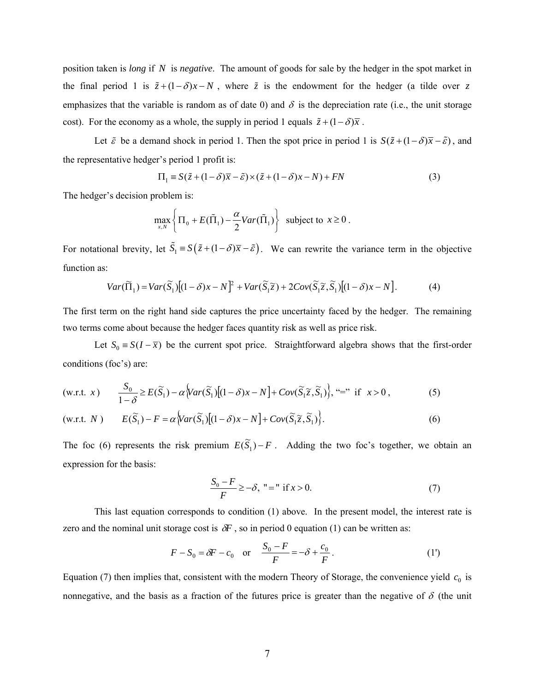position taken is *long* if *N* is *negative*. The amount of goods for sale by the hedger in the spot market in the final period 1 is  $\tilde{z} + (1 - \delta)x - N$ , where  $\tilde{z}$  is the endowment for the hedger (a tilde over *z* emphasizes that the variable is random as of date 0) and  $\delta$  is the depreciation rate (i.e., the unit storage cost). For the economy as a whole, the supply in period 1 equals  $\tilde{z} + (1 - \delta)\overline{x}$ .

Let  $\tilde{\varepsilon}$  be a demand shock in period 1. Then the spot price in period 1 is  $S(\tilde{z} + (1 - \delta)\overline{x} - \tilde{\varepsilon})$ , and the representative hedger's period 1 profit is:

$$
\Pi_1 = S(\tilde{z} + (1 - \delta)\overline{x} - \tilde{\varepsilon}) \times (\tilde{z} + (1 - \delta)x - N) + FN
$$
\n(3)

The hedger's decision problem is:

$$
\max_{x,N} \left\{ \Pi_0 + E(\tilde{\Pi}_1) - \frac{\alpha}{2}Var(\tilde{\Pi}_1) \right\} \text{ subject to } x \ge 0.
$$

For notational brevity, let  $\tilde{S}_1 = S(\tilde{z} + (1 - \delta)\overline{x} - \tilde{\epsilon})$ . We can rewrite the variance term in the objective function as:

$$
Var(\widetilde{\Pi}_1) = Var(\widetilde{S}_1)[(1-\delta)x - N]^2 + Var(\widetilde{S}_1 \widetilde{z}) + 2Cov(\widetilde{S}_1 \widetilde{z}, \widetilde{S}_1)[(1-\delta)x - N].
$$
 (4)

The first term on the right hand side captures the price uncertainty faced by the hedger. The remaining two terms come about because the hedger faces quantity risk as well as price risk.

Let  $S_0 = S(I - \overline{x})$  be the current spot price. Straightforward algebra shows that the first-order conditions (foc's) are:

$$
\text{(w.r.t. } x) \qquad \frac{S_0}{1-\delta} \ge E(\widetilde{S}_1) - \alpha \Big\{ \text{Var}(\widetilde{S}_1) \Big[ (1-\delta)x - N \Big] + \text{Cov}(\widetilde{S}_1 \widetilde{z}, \widetilde{S}_1) \Big\}, \text{``='' if } x > 0 \,, \tag{5}
$$

$$
(w.r.t. N) \t E(\widetilde{S}_1) - F = \alpha \Big\{ Var(\widetilde{S}_1) \Big[ (1 - \delta)x - N \Big] + Cov(\widetilde{S}_1 \widetilde{z}, \widetilde{S}_1) \Big\}.
$$
 (6)

The foc (6) represents the risk premium  $E(\widetilde{S}_1) - F$ . Adding the two foc's together, we obtain an expression for the basis:

$$
\frac{S_0 - F}{F} \ge -\delta, \quad \text{" = " if } x > 0. \tag{7}
$$

This last equation corresponds to condition (1) above. In the present model, the interest rate is zero and the nominal unit storage cost is  $\delta F$ , so in period 0 equation (1) can be written as:

$$
F - S_0 = \delta F - c_0
$$
 or  $\frac{S_0 - F}{F} = -\delta + \frac{c_0}{F}$ . (1')

Equation (7) then implies that, consistent with the modern Theory of Storage, the convenience yield  $c_0$  is nonnegative, and the basis as a fraction of the futures price is greater than the negative of  $\delta$  (the unit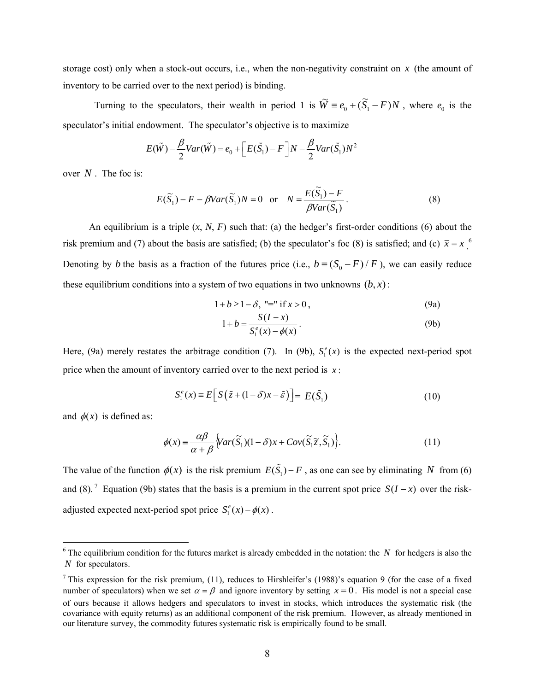storage cost) only when a stock-out occurs, i.e., when the non-negativity constraint on *x* (the amount of inventory to be carried over to the next period) is binding.

Turning to the speculators, their wealth in period 1 is  $\widetilde{W} = e_0 + (\widetilde{S}_1 - F)N$ , where  $e_0$  is the speculator's initial endowment. The speculator's objective is to maximize

$$
E(\tilde{W}) - \frac{\beta}{2}Var(\tilde{W}) = e_0 + \left[E(\tilde{S}_1) - F\right]N - \frac{\beta}{2}Var(\tilde{S}_1)N^2
$$

over *N* . The foc is:

$$
E(\widetilde{S}_1) - F - \beta Var(\widetilde{S}_1)N = 0 \quad \text{or} \quad N = \frac{E(\widetilde{S}_1) - F}{\beta Var(\widetilde{S}_1)}.
$$
 (8)

An equilibrium is a triple  $(x, N, F)$  such that: (a) the hedger's first-order conditions (6) about the risk premium and (7) about the basis are satisfied; (b) the speculator's foc (8) is satisfied; and (c)  $\bar{x} = x$ .<sup>6</sup> Denoting by *b* the basis as a fraction of the futures price (i.e.,  $b = (S_0 - F)/F$ ), we can easily reduce these equilibrium conditions into a system of two equations in two unknowns  $(b, x)$ :

$$
1 + b \ge 1 - \delta, \text{ "=" if } x > 0,
$$
\n(9a)

$$
1 + b = \frac{S(I - x)}{S_1^e(x) - \phi(x)}.
$$
 (9b)

Here, (9a) merely restates the arbitrage condition (7). In (9b),  $S_i^e(x)$  is the expected next-period spot price when the amount of inventory carried over to the next period is  $x$ :

$$
S_1^e(x) \equiv E\Big[S\big(\tilde{z} + (1 - \delta)x - \tilde{\varepsilon}\big)\Big] = E(\tilde{S}_1)
$$
\n(10)

and  $\phi(x)$  is defined as:

 $\overline{a}$ 

$$
\phi(x) \equiv \frac{\alpha \beta}{\alpha + \beta} \Big\{ Var(\widetilde{S}_1)(1 - \delta)x + Cov(\widetilde{S}_1 \widetilde{z}, \widetilde{S}_1) \Big\}.
$$
\n(11)

The value of the function  $\phi(x)$  is the risk premium  $E(\tilde{S}_1) - F$ , as one can see by eliminating *N* from (6) and (8).<sup>7</sup> Equation (9b) states that the basis is a premium in the current spot price  $S(I - x)$  over the riskadjusted expected next-period spot price  $S_1^e(x) - \phi(x)$ .

 $6$  The equilibrium condition for the futures market is already embedded in the notation: the *N* for hedgers is also the *N* for speculators.

<sup>&</sup>lt;sup>7</sup> This expression for the risk premium, (11), reduces to Hirshleifer's (1988)'s equation 9 (for the case of a fixed number of speculators) when we set  $\alpha = \beta$  and ignore inventory by setting  $x = 0$ . His model is not a special case of ours because it allows hedgers and speculators to invest in stocks, which introduces the systematic risk (the covariance with equity returns) as an additional component of the risk premium. However, as already mentioned in our literature survey, the commodity futures systematic risk is empirically found to be small.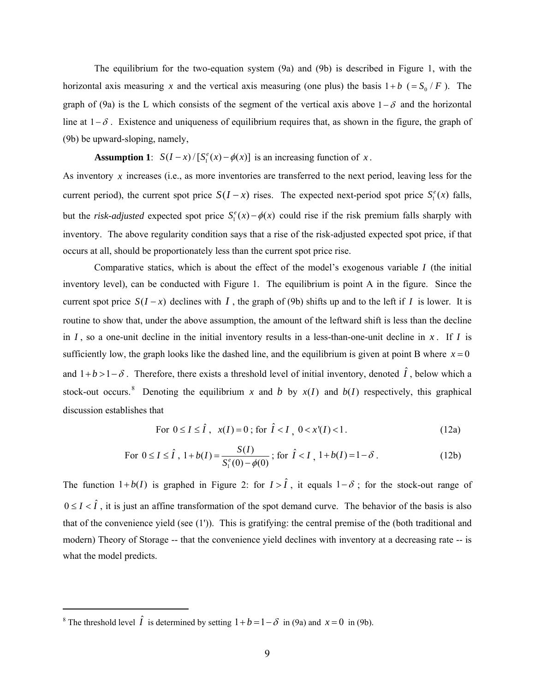The equilibrium for the two-equation system (9a) and (9b) is described in Figure 1, with the horizontal axis measuring *x* and the vertical axis measuring (one plus) the basis  $1 + b$  (=  $S_0$  / *F*). The graph of (9a) is the L which consists of the segment of the vertical axis above  $1-\delta$  and the horizontal line at  $1-\delta$ . Existence and uniqueness of equilibrium requires that, as shown in the figure, the graph of (9b) be upward-sloping, namely,

**Assumption 1**:  $S(I - x) / [S_1^e(x) - \phi(x)]$  is an increasing function of *x*.

As inventory *x* increases (i.e., as more inventories are transferred to the next period, leaving less for the current period), the current spot price  $S(I - x)$  rises. The expected next-period spot price  $S_1^e(x)$  falls, but the *risk-adjusted* expected spot price  $S_i^e(x) - \phi(x)$  could rise if the risk premium falls sharply with inventory. The above regularity condition says that a rise of the risk-adjusted expected spot price, if that occurs at all, should be proportionately less than the current spot price rise.

Comparative statics, which is about the effect of the model's exogenous variable *I* (the initial inventory level), can be conducted with Figure 1. The equilibrium is point A in the figure. Since the current spot price  $S(I - x)$  declines with *I*, the graph of (9b) shifts up and to the left if *I* is lower. It is routine to show that, under the above assumption, the amount of the leftward shift is less than the decline in  $I$ , so a one-unit decline in the initial inventory results in a less-than-one-unit decline in  $x$ . If  $I$  is sufficiently low, the graph looks like the dashed line, and the equilibrium is given at point B where  $x = 0$ and  $1+b>1-\delta$ . Therefore, there exists a threshold level of initial inventory, denoted  $\hat{I}$ , below which a stock-out occurs.<sup>8</sup> Denoting the equilibrium *x* and *b* by  $x(I)$  and  $b(I)$  respectively, this graphical discussion establishes that

For 
$$
0 \le I \le \hat{I}
$$
,  $x(I) = 0$ ; for  $\hat{I} < I$ ,  $0 < x'(I) < 1$ . (12a)

For 
$$
0 \le I \le \hat{I}
$$
,  $1 + b(I) = \frac{S(I)}{S_1^e(0) - \phi(0)}$ ; for  $\hat{I} < I$ ,  $1 + b(I) = 1 - \delta$ . (12b)

The function  $1 + b(I)$  is graphed in Figure 2: for  $I > \hat{I}$ , it equals  $1 - \delta$ ; for the stock-out range of  $0 \le I < \hat{I}$ , it is just an affine transformation of the spot demand curve. The behavior of the basis is also that of the convenience yield (see (1')). This is gratifying: the central premise of the (both traditional and modern) Theory of Storage -- that the convenience yield declines with inventory at a decreasing rate -- is what the model predicts.

 $\overline{a}$ 

<sup>&</sup>lt;sup>8</sup> The threshold level  $\hat{I}$  is determined by setting  $1 + b = 1 - \delta$  in (9a) and  $x = 0$  in (9b).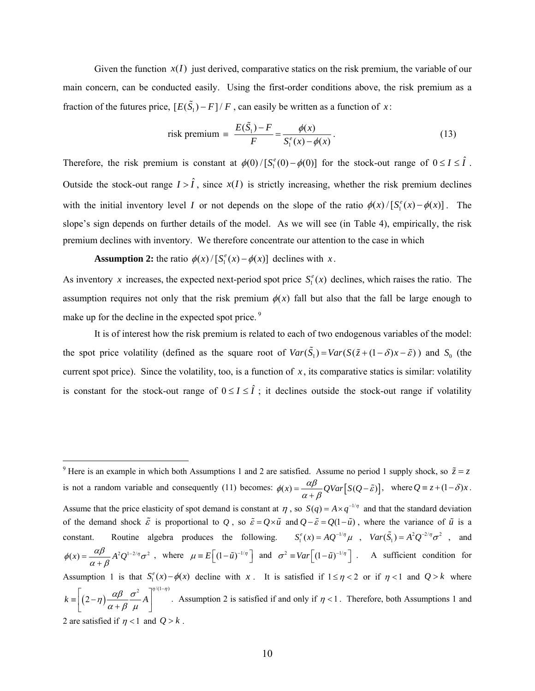Given the function  $x(I)$  just derived, comparative statics on the risk premium, the variable of our main concern, can be conducted easily. Using the first-order conditions above, the risk premium as a fraction of the futures price,  $[E(\tilde{S}_1) - F]/F$ , can easily be written as a function of *x*:

risk premium = 
$$
\frac{E(\tilde{S}_1) - F}{F} = \frac{\phi(x)}{S_1^e(x) - \phi(x)}.
$$
 (13)

Therefore, the risk premium is constant at  $\phi(0) / [S_1^e(0) - \phi(0)]$  for the stock-out range of  $0 \le I \le \hat{I}$ . Outside the stock-out range  $I > \hat{I}$ , since  $x(I)$  is strictly increasing, whether the risk premium declines with the initial inventory level *I* or not depends on the slope of the ratio  $\phi(x) / [S_1^e(x) - \phi(x)]$ . The slope's sign depends on further details of the model. As we will see (in Table 4), empirically, the risk premium declines with inventory. We therefore concentrate our attention to the case in which

**Assumption 2:** the ratio  $\phi(x) / [S_1^e(x) - \phi(x)]$  declines with *x*.

 $\overline{a}$ 

As inventory x increases, the expected next-period spot price  $S_1^e(x)$  declines, which raises the ratio. The assumption requires not only that the risk premium  $\phi(x)$  fall but also that the fall be large enough to make up for the decline in the expected spot price.<sup>9</sup>

 It is of interest how the risk premium is related to each of two endogenous variables of the model: the spot price volatility (defined as the square root of  $Var(\tilde{S}_1) = Var(S(\tilde{z} + (1 - \delta)x - \tilde{\varepsilon}))$  and  $S_0$  (the current spot price). Since the volatility, too, is a function of  $x$ , its comparative statics is similar: volatility is constant for the stock-out range of  $0 \le I \le \hat{I}$ ; it declines outside the stock-out range if volatility

<sup>&</sup>lt;sup>9</sup> Here is an example in which both Assumptions 1 and 2 are satisfied. Assume no period 1 supply shock, so  $\tilde{z} = z$ is not a random variable and consequently (11) becomes:  $\phi(x) = \frac{\alpha \beta}{\alpha + \beta} QVar[S(Q - \tilde{\varepsilon})],$  where  $Q = z + (1 - \delta)x$ . Assume that the price elasticity of spot demand is constant at  $\eta$ , so  $S(q) = A \times q^{-1/\eta}$  and that the standard deviation of the demand shock  $\tilde{\varepsilon}$  is proportional to *Q*, so  $\tilde{\varepsilon} = Q \times \tilde{u}$  and  $Q - \tilde{\varepsilon} = Q(1 - \tilde{u})$ , where the variance of  $\tilde{u}$  is a constant. Routine algebra produces the following.  $S_1^e(x) = AQ^{-1/\eta} \mu$ ,  $Var(\tilde{S}_1) = A^2 Q^{-2/\eta} \sigma^2$ , and  $\phi(x) = \frac{\alpha \beta}{\alpha + \beta} A^2 Q^{1-2/\eta} \sigma^2$ , where  $\mu = E\left[ (1 - \tilde{u})^{-1/\eta} \right]$  and  $\sigma^2 = Var\left[ (1 - \tilde{u})^{-1/\eta} \right]$ . A sufficient condition for Assumption 1 is that  $S_1^e(x) - \phi(x)$  decline with x. It is satisfied if  $1 \le \eta < 2$  or if  $\eta < 1$  and  $Q > k$  where  $(2 - \eta)$ 2  $7^{\eta/(1-\eta)}$  $k \equiv \left(2-\eta\right)\frac{\mu p}{\lambda} - A$  $\eta \left( \frac{\alpha \beta}{\alpha + \beta} \frac{\sigma^2}{\mu} A \right)^{\eta/(1-\eta)}$  $=\left[\left(2-\eta\right)\frac{\alpha\beta}{\alpha+\beta}\frac{\sigma^2}{\mu}A\right]^{(\frac{1}{1-\eta})}$ . Assumption 2 is satisfied if and only if  $\eta < 1$ . Therefore, both Assumptions 1 and 2 are satisfied if  $\eta$  < 1 and  $Q > k$ .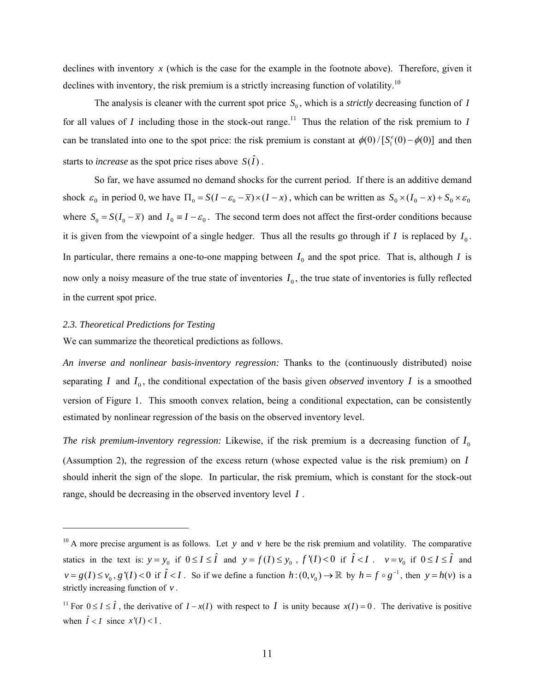declines with inventory *x* (which is the case for the example in the footnote above). Therefore, given it declines with inventory, the risk premium is a strictly increasing function of volatility.<sup>10</sup>

The analysis is cleaner with the current spot price  $S_0$ , which is a *strictly* decreasing function of *I* for all values of *I* including those in the stock-out range.<sup>11</sup> Thus the relation of the risk premium to *I* can be translated into one to the spot price: the risk premium is constant at  $\phi(0)/[S_1^e(0)-\phi(0)]$  and then starts to *increase* as the spot price rises above  $S(\hat{I})$ .

So far, we have assumed no demand shocks for the current period. If there is an additive demand shock  $\varepsilon_0$  in period 0, we have  $\Pi_0 = S(I - \varepsilon_0 - \overline{x}) \times (I - x)$ , which can be written as  $S_0 \times (I_0 - x) + S_0 \times \varepsilon_0$ where  $S_0 = S(I_0 - \overline{x})$  and  $I_0 = I - \varepsilon_0$ . The second term does not affect the first-order conditions because it is given from the viewpoint of a single hedger. Thus all the results go through if  $I$  is replaced by  $I_0$ . In particular, there remains a one-to-one mapping between  $I_0$  and the spot price. That is, although *I* is now only a noisy measure of the true state of inventories  $I_0$ , the true state of inventories is fully reflected in the current spot price.

#### *2.3. Theoretical Predictions for Testing*

 $\overline{a}$ 

We can summarize the theoretical predictions as follows.

*An inverse and nonlinear basis-inventory regression:* Thanks to the (continuously distributed) noise separating *I* and  $I_0$ , the conditional expectation of the basis given *observed* inventory *I* is a smoothed version of Figure 1. This smooth convex relation, being a conditional expectation, can be consistently estimated by nonlinear regression of the basis on the observed inventory level.

*The risk premium-inventory regression:* Likewise, if the risk premium is a decreasing function of  $I_0$ (Assumption 2), the regression of the excess return (whose expected value is the risk premium) on *I* should inherit the sign of the slope. In particular, the risk premium, which is constant for the stock-out range, should be decreasing in the observed inventory level *I* .

<sup>&</sup>lt;sup>10</sup> A more precise argument is as follows. Let *y* and *v* here be the risk premium and volatility. The comparative statics in the text is:  $y = y_0$  if  $0 \le I \le \hat{I}$  and  $y = f(I) \le y_0$ ,  $f'(I) < 0$  if  $\hat{I} < I$ .  $v = v_0$  if  $0 \le I \le \hat{I}$  and  $v = g(I) \le v_0$ ,  $g'(I) < 0$  if  $\hat{I} < I$ . So if we define a function  $h:(0, v_0) \to \mathbb{R}$  by  $h = f \circ g^{-1}$ , then  $y = h(v)$  is a strictly increasing function of *v* .

<sup>&</sup>lt;sup>11</sup> For  $0 \le I \le \hat{I}$ , the derivative of  $I - x(I)$  with respect to *I* is unity because  $x(I) = 0$ . The derivative is positive when  $\hat{I} < I$  since  $x'(I) < 1$ .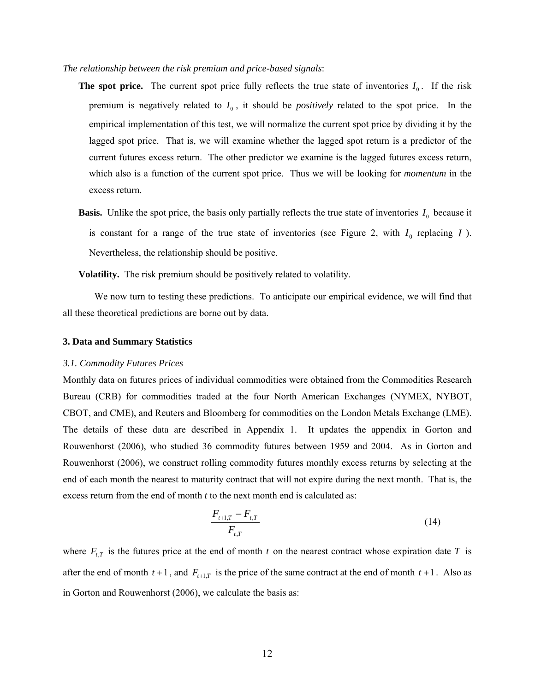#### *The relationship between the risk premium and price-based signals*:

- **The spot price.** The current spot price fully reflects the true state of inventories  $I_0$ . If the risk premium is negatively related to  $I_0$ , it should be *positively* related to the spot price. In the empirical implementation of this test, we will normalize the current spot price by dividing it by the lagged spot price. That is, we will examine whether the lagged spot return is a predictor of the current futures excess return. The other predictor we examine is the lagged futures excess return, which also is a function of the current spot price. Thus we will be looking for *momentum* in the excess return.
- **Basis.** Unlike the spot price, the basis only partially reflects the true state of inventories  $I_0$  because it is constant for a range of the true state of inventories (see Figure 2, with  $I_0$  replacing  $I$ ). Nevertheless, the relationship should be positive.

**Volatility.** The risk premium should be positively related to volatility.

We now turn to testing these predictions. To anticipate our empirical evidence, we will find that all these theoretical predictions are borne out by data.

#### **3. Data and Summary Statistics**

#### *3.1. Commodity Futures Prices*

Monthly data on futures prices of individual commodities were obtained from the Commodities Research Bureau (CRB) for commodities traded at the four North American Exchanges (NYMEX, NYBOT, CBOT, and CME), and Reuters and Bloomberg for commodities on the London Metals Exchange (LME). The details of these data are described in Appendix 1. It updates the appendix in Gorton and Rouwenhorst (2006), who studied 36 commodity futures between 1959 and 2004. As in Gorton and Rouwenhorst (2006), we construct rolling commodity futures monthly excess returns by selecting at the end of each month the nearest to maturity contract that will not expire during the next month. That is, the excess return from the end of month *t* to the next month end is calculated as:

$$
\frac{F_{t+1,T} - F_{t,T}}{F_{t,T}}
$$
\n(14)

where  $F_{t,T}$  is the futures price at the end of month *t* on the nearest contract whose expiration date *T* is after the end of month  $t + 1$ , and  $F_{t+1,T}$  is the price of the same contract at the end of month  $t + 1$ . Also as in Gorton and Rouwenhorst (2006), we calculate the basis as: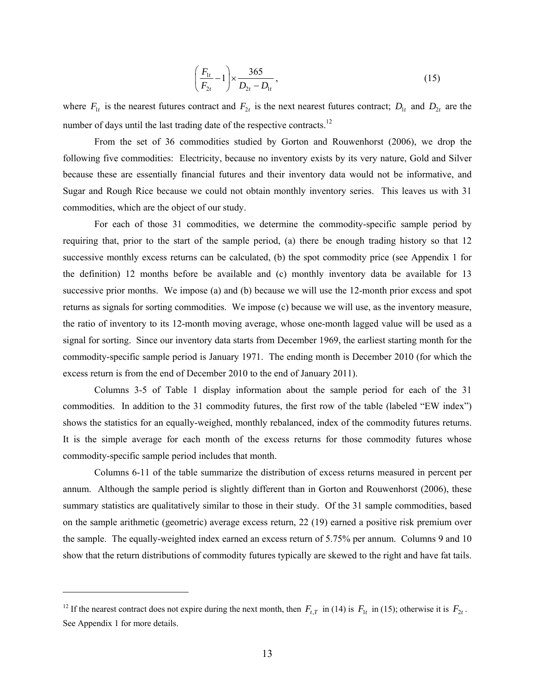$$
\left(\frac{F_{1t}}{F_{2t}}-1\right) \times \frac{365}{D_{2t}-D_{1t}},\tag{15}
$$

where  $F_{1t}$  is the nearest futures contract and  $F_{2t}$  is the next nearest futures contract;  $D_{1t}$  and  $D_{2t}$  are the number of days until the last trading date of the respective contracts.<sup>12</sup>

From the set of 36 commodities studied by Gorton and Rouwenhorst (2006), we drop the following five commodities: Electricity, because no inventory exists by its very nature, Gold and Silver because these are essentially financial futures and their inventory data would not be informative, and Sugar and Rough Rice because we could not obtain monthly inventory series. This leaves us with 31 commodities, which are the object of our study.

For each of those 31 commodities, we determine the commodity-specific sample period by requiring that, prior to the start of the sample period, (a) there be enough trading history so that 12 successive monthly excess returns can be calculated, (b) the spot commodity price (see Appendix 1 for the definition) 12 months before be available and (c) monthly inventory data be available for 13 successive prior months. We impose (a) and (b) because we will use the 12-month prior excess and spot returns as signals for sorting commodities. We impose (c) because we will use, as the inventory measure, the ratio of inventory to its 12-month moving average, whose one-month lagged value will be used as a signal for sorting. Since our inventory data starts from December 1969, the earliest starting month for the commodity-specific sample period is January 1971. The ending month is December 2010 (for which the excess return is from the end of December 2010 to the end of January 2011).

Columns 3-5 of Table 1 display information about the sample period for each of the 31 commodities. In addition to the 31 commodity futures, the first row of the table (labeled "EW index") shows the statistics for an equally-weighed, monthly rebalanced, index of the commodity futures returns. It is the simple average for each month of the excess returns for those commodity futures whose commodity-specific sample period includes that month.

Columns 6-11 of the table summarize the distribution of excess returns measured in percent per annum. Although the sample period is slightly different than in Gorton and Rouwenhorst (2006), these summary statistics are qualitatively similar to those in their study. Of the 31 sample commodities, based on the sample arithmetic (geometric) average excess return, 22 (19) earned a positive risk premium over the sample. The equally-weighted index earned an excess return of 5.75% per annum. Columns 9 and 10 show that the return distributions of commodity futures typically are skewed to the right and have fat tails.

 $\overline{a}$ 

<sup>&</sup>lt;sup>12</sup> If the nearest contract does not expire during the next month, then  $F_{t,T}$  in (14) is  $F_{1t}$  in (15); otherwise it is  $F_{2t}$ . See Appendix 1 for more details.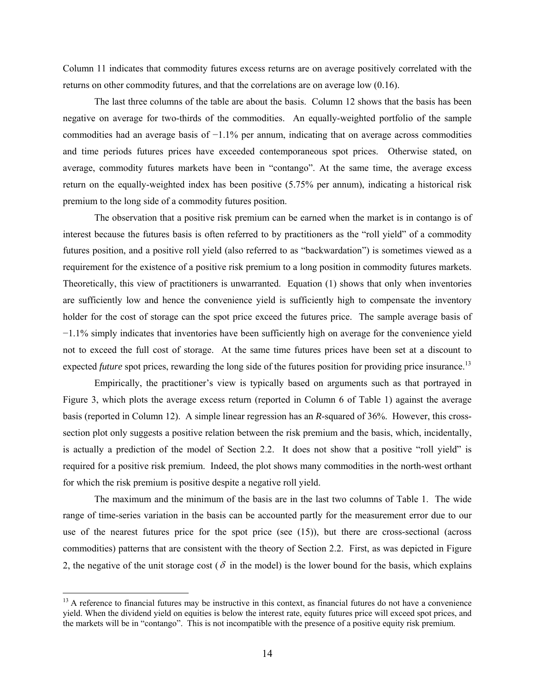Column 11 indicates that commodity futures excess returns are on average positively correlated with the returns on other commodity futures, and that the correlations are on average low (0.16).

The last three columns of the table are about the basis. Column 12 shows that the basis has been negative on average for two-thirds of the commodities. An equally-weighted portfolio of the sample commodities had an average basis of  $-1.1\%$  per annum, indicating that on average across commodities and time periods futures prices have exceeded contemporaneous spot prices. Otherwise stated, on average, commodity futures markets have been in "contango". At the same time, the average excess return on the equally-weighted index has been positive (5.75% per annum), indicating a historical risk premium to the long side of a commodity futures position.

The observation that a positive risk premium can be earned when the market is in contango is of interest because the futures basis is often referred to by practitioners as the "roll yield" of a commodity futures position, and a positive roll yield (also referred to as "backwardation") is sometimes viewed as a requirement for the existence of a positive risk premium to a long position in commodity futures markets. Theoretically, this view of practitioners is unwarranted. Equation (1) shows that only when inventories are sufficiently low and hence the convenience yield is sufficiently high to compensate the inventory holder for the cost of storage can the spot price exceed the futures price. The sample average basis of −1.1% simply indicates that inventories have been sufficiently high on average for the convenience yield not to exceed the full cost of storage. At the same time futures prices have been set at a discount to expected *future* spot prices, rewarding the long side of the futures position for providing price insurance.<sup>13</sup>

Empirically, the practitioner's view is typically based on arguments such as that portrayed in Figure 3, which plots the average excess return (reported in Column 6 of Table 1) against the average basis (reported in Column 12). A simple linear regression has an *R*-squared of 36%. However, this crosssection plot only suggests a positive relation between the risk premium and the basis, which, incidentally, is actually a prediction of the model of Section 2.2. It does not show that a positive "roll yield" is required for a positive risk premium. Indeed, the plot shows many commodities in the north-west orthant for which the risk premium is positive despite a negative roll yield.

The maximum and the minimum of the basis are in the last two columns of Table 1. The wide range of time-series variation in the basis can be accounted partly for the measurement error due to our use of the nearest futures price for the spot price (see (15)), but there are cross-sectional (across commodities) patterns that are consistent with the theory of Section 2.2. First, as was depicted in Figure 2, the negative of the unit storage cost ( $\delta$  in the model) is the lower bound for the basis, which explains

 $\overline{a}$ 

 $<sup>13</sup>$  A reference to financial futures may be instructive in this context, as financial futures do not have a convenience</sup> yield. When the dividend yield on equities is below the interest rate, equity futures price will exceed spot prices, and the markets will be in "contango". This is not incompatible with the presence of a positive equity risk premium.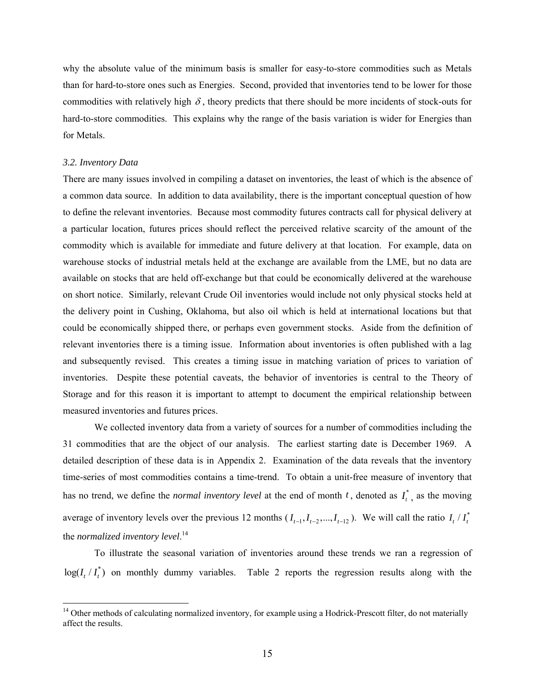why the absolute value of the minimum basis is smaller for easy-to-store commodities such as Metals than for hard-to-store ones such as Energies. Second, provided that inventories tend to be lower for those commodities with relatively high  $\delta$ , theory predicts that there should be more incidents of stock-outs for hard-to-store commodities. This explains why the range of the basis variation is wider for Energies than for Metals.

#### *3.2. Inventory Data*

 $\overline{a}$ 

There are many issues involved in compiling a dataset on inventories, the least of which is the absence of a common data source. In addition to data availability, there is the important conceptual question of how to define the relevant inventories. Because most commodity futures contracts call for physical delivery at a particular location, futures prices should reflect the perceived relative scarcity of the amount of the commodity which is available for immediate and future delivery at that location. For example, data on warehouse stocks of industrial metals held at the exchange are available from the LME, but no data are available on stocks that are held off-exchange but that could be economically delivered at the warehouse on short notice. Similarly, relevant Crude Oil inventories would include not only physical stocks held at the delivery point in Cushing, Oklahoma, but also oil which is held at international locations but that could be economically shipped there, or perhaps even government stocks. Aside from the definition of relevant inventories there is a timing issue. Information about inventories is often published with a lag and subsequently revised. This creates a timing issue in matching variation of prices to variation of inventories. Despite these potential caveats, the behavior of inventories is central to the Theory of Storage and for this reason it is important to attempt to document the empirical relationship between measured inventories and futures prices.

We collected inventory data from a variety of sources for a number of commodities including the 31 commodities that are the object of our analysis. The earliest starting date is December 1969. A detailed description of these data is in Appendix 2. Examination of the data reveals that the inventory time-series of most commodities contains a time-trend. To obtain a unit-free measure of inventory that has no trend, we define the *normal inventory level* at the end of month  $t$ , denoted as  $I_t^*$ , as the moving average of inventory levels over the previous 12 months  $(I_{t-1}, I_{t-2},..., I_{t-12})$ . We will call the ratio  $I_t / I_t^*$ the *normalized inventory level*. 14

To illustrate the seasonal variation of inventories around these trends we ran a regression of  $log(I_t / I_t^*)$  on monthly dummy variables. Table 2 reports the regression results along with the

<sup>&</sup>lt;sup>14</sup> Other methods of calculating normalized inventory, for example using a Hodrick-Prescott filter, do not materially affect the results.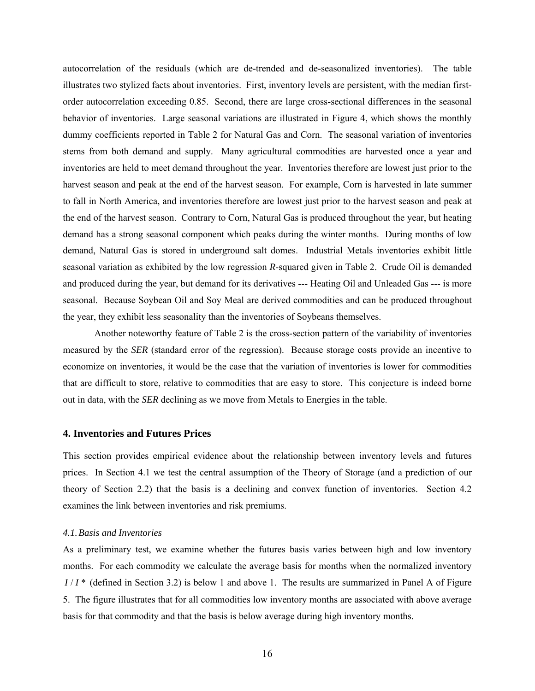autocorrelation of the residuals (which are de-trended and de-seasonalized inventories). The table illustrates two stylized facts about inventories. First, inventory levels are persistent, with the median firstorder autocorrelation exceeding 0.85. Second, there are large cross-sectional differences in the seasonal behavior of inventories. Large seasonal variations are illustrated in Figure 4, which shows the monthly dummy coefficients reported in Table 2 for Natural Gas and Corn. The seasonal variation of inventories stems from both demand and supply. Many agricultural commodities are harvested once a year and inventories are held to meet demand throughout the year. Inventories therefore are lowest just prior to the harvest season and peak at the end of the harvest season. For example, Corn is harvested in late summer to fall in North America, and inventories therefore are lowest just prior to the harvest season and peak at the end of the harvest season. Contrary to Corn, Natural Gas is produced throughout the year, but heating demand has a strong seasonal component which peaks during the winter months. During months of low demand, Natural Gas is stored in underground salt domes. Industrial Metals inventories exhibit little seasonal variation as exhibited by the low regression *R*-squared given in Table 2. Crude Oil is demanded and produced during the year, but demand for its derivatives --- Heating Oil and Unleaded Gas --- is more seasonal. Because Soybean Oil and Soy Meal are derived commodities and can be produced throughout the year, they exhibit less seasonality than the inventories of Soybeans themselves.

Another noteworthy feature of Table 2 is the cross-section pattern of the variability of inventories measured by the *SER* (standard error of the regression). Because storage costs provide an incentive to economize on inventories, it would be the case that the variation of inventories is lower for commodities that are difficult to store, relative to commodities that are easy to store. This conjecture is indeed borne out in data, with the *SER* declining as we move from Metals to Energies in the table.

#### **4. Inventories and Futures Prices**

This section provides empirical evidence about the relationship between inventory levels and futures prices. In Section 4.1 we test the central assumption of the Theory of Storage (and a prediction of our theory of Section 2.2) that the basis is a declining and convex function of inventories. Section 4.2 examines the link between inventories and risk premiums.

#### *4.1.Basis and Inventories*

As a preliminary test, we examine whether the futures basis varies between high and low inventory months. For each commodity we calculate the average basis for months when the normalized inventory *I* / *I* \* (defined in Section 3.2) is below 1 and above 1. The results are summarized in Panel A of Figure 5. The figure illustrates that for all commodities low inventory months are associated with above average basis for that commodity and that the basis is below average during high inventory months.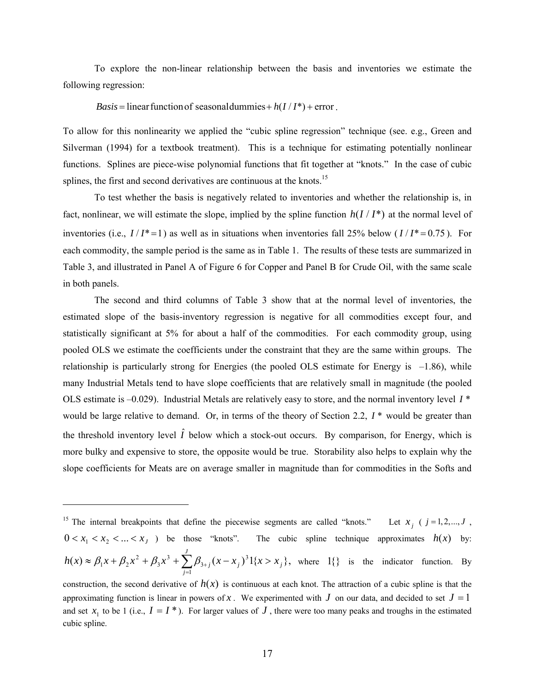To explore the non-linear relationship between the basis and inventories we estimate the following regression:

#### *Basis* = linear function of seasonal dummies +  $h(I/I^*)$  + error.

To allow for this nonlinearity we applied the "cubic spline regression" technique (see. e.g., Green and Silverman (1994) for a textbook treatment). This is a technique for estimating potentially nonlinear functions. Splines are piece-wise polynomial functions that fit together at "knots." In the case of cubic splines, the first and second derivatives are continuous at the knots.<sup>15</sup>

To test whether the basis is negatively related to inventories and whether the relationship is, in fact, nonlinear, we will estimate the slope, implied by the spline function  $h(I/I^*)$  at the normal level of inventories (i.e.,  $I/I^* = 1$ ) as well as in situations when inventories fall 25% below ( $I/I^* = 0.75$ ). For each commodity, the sample period is the same as in Table 1. The results of these tests are summarized in Table 3, and illustrated in Panel A of Figure 6 for Copper and Panel B for Crude Oil, with the same scale in both panels.

The second and third columns of Table 3 show that at the normal level of inventories, the estimated slope of the basis-inventory regression is negative for all commodities except four, and statistically significant at 5% for about a half of the commodities. For each commodity group, using pooled OLS we estimate the coefficients under the constraint that they are the same within groups. The relationship is particularly strong for Energies (the pooled OLS estimate for Energy is  $-1.86$ ), while many Industrial Metals tend to have slope coefficients that are relatively small in magnitude (the pooled OLS estimate is  $-0.029$ ). Industrial Metals are relatively easy to store, and the normal inventory level  $I^*$ would be large relative to demand. Or, in terms of the theory of Section 2.2,  $I^*$  would be greater than the threshold inventory level  $\hat{I}$  below which a stock-out occurs. By comparison, for Energy, which is more bulky and expensive to store, the opposite would be true. Storability also helps to explain why the slope coefficients for Meats are on average smaller in magnitude than for commodities in the Softs and

 $\overline{a}$ 

<sup>&</sup>lt;sup>15</sup> The internal breakpoints that define the piecewise segments are called "knots." Let  $x_i$  (  $j = 1, 2, ..., J$ ,  $0 \le x_1 \le x_2 \le ... \le x_n$  ) be those "knots". The cubic spline technique approximates  $h(x)$  by:  $\approx \beta_1 x + \beta_2 x^2 + \beta_3 x^3 + \sum_{j=1}^{3} \beta_{3+j} (x - x_j)^3 1\{x >$ *J j*  $h(x) \approx \beta_1 x + \beta_2 x^2 + \beta_3 x^3 + \sum \beta_{3+j} (x - x_j)^3 1 \{x > x_j\}$ 1 3 3 3 3  $(x) \approx \beta_1 x + \beta_2 x^2 + \beta_3 x^3 + \sum \beta_{3+j} (x - x_j)^3 1\{x > x_j\}$ , where  $1\{\}$  is the indicator function. By

construction, the second derivative of  $h(x)$  is continuous at each knot. The attraction of a cubic spline is that the approximating function is linear in powers of *x*. We experimented with *J* on our data, and decided to set  $J = 1$ and set  $x_1$  to be 1 (i.e.,  $I = I^*$ ). For larger values of *J*, there were too many peaks and troughs in the estimated cubic spline.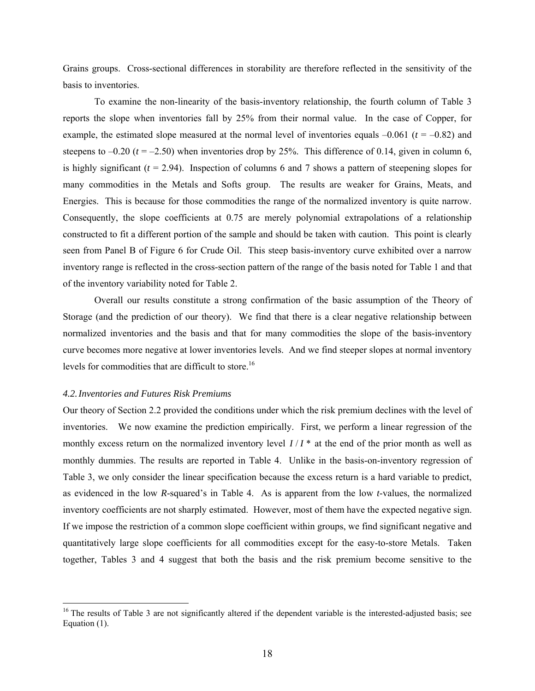Grains groups. Cross-sectional differences in storability are therefore reflected in the sensitivity of the basis to inventories.

To examine the non-linearity of the basis-inventory relationship, the fourth column of Table 3 reports the slope when inventories fall by 25% from their normal value. In the case of Copper, for example, the estimated slope measured at the normal level of inventories equals  $-0.061$  ( $t = -0.82$ ) and steepens to  $-0.20$  ( $t = -2.50$ ) when inventories drop by 25%. This difference of 0.14, given in column 6, is highly significant  $(t = 2.94)$ . Inspection of columns 6 and 7 shows a pattern of steepening slopes for many commodities in the Metals and Softs group. The results are weaker for Grains, Meats, and Energies. This is because for those commodities the range of the normalized inventory is quite narrow. Consequently, the slope coefficients at 0.75 are merely polynomial extrapolations of a relationship constructed to fit a different portion of the sample and should be taken with caution. This point is clearly seen from Panel B of Figure 6 for Crude Oil. This steep basis-inventory curve exhibited over a narrow inventory range is reflected in the cross-section pattern of the range of the basis noted for Table 1 and that of the inventory variability noted for Table 2.

Overall our results constitute a strong confirmation of the basic assumption of the Theory of Storage (and the prediction of our theory). We find that there is a clear negative relationship between normalized inventories and the basis and that for many commodities the slope of the basis-inventory curve becomes more negative at lower inventories levels. And we find steeper slopes at normal inventory levels for commodities that are difficult to store.<sup>16</sup>

#### *4.2.Inventories and Futures Risk Premiums*

 $\overline{a}$ 

Our theory of Section 2.2 provided the conditions under which the risk premium declines with the level of inventories. We now examine the prediction empirically. First, we perform a linear regression of the monthly excess return on the normalized inventory level  $I/I^*$  at the end of the prior month as well as monthly dummies. The results are reported in Table 4. Unlike in the basis-on-inventory regression of Table 3, we only consider the linear specification because the excess return is a hard variable to predict, as evidenced in the low *R*-squared's in Table 4. As is apparent from the low *t*-values, the normalized inventory coefficients are not sharply estimated. However, most of them have the expected negative sign. If we impose the restriction of a common slope coefficient within groups, we find significant negative and quantitatively large slope coefficients for all commodities except for the easy-to-store Metals. Taken together, Tables 3 and 4 suggest that both the basis and the risk premium become sensitive to the

 $16$  The results of Table 3 are not significantly altered if the dependent variable is the interested-adjusted basis; see Equation (1).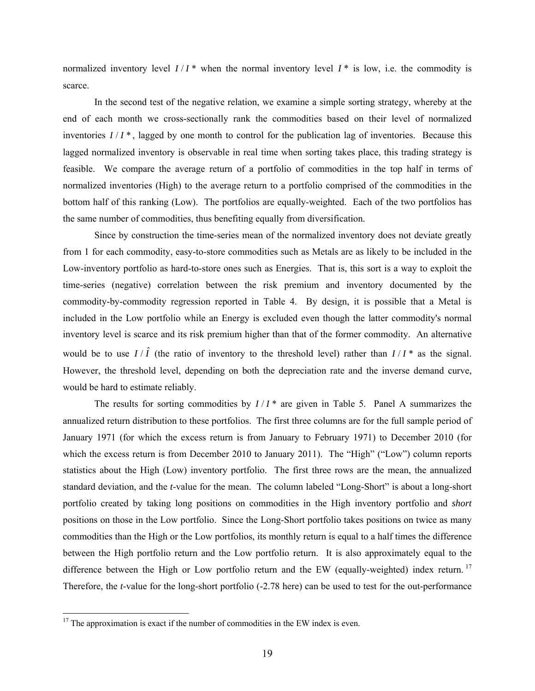normalized inventory level  $I/I^*$  when the normal inventory level  $I^*$  is low, i.e. the commodity is scarce.

 In the second test of the negative relation, we examine a simple sorting strategy, whereby at the end of each month we cross-sectionally rank the commodities based on their level of normalized inventories  $I/I^*$ , lagged by one month to control for the publication lag of inventories. Because this lagged normalized inventory is observable in real time when sorting takes place, this trading strategy is feasible. We compare the average return of a portfolio of commodities in the top half in terms of normalized inventories (High) to the average return to a portfolio comprised of the commodities in the bottom half of this ranking (Low). The portfolios are equally-weighted. Each of the two portfolios has the same number of commodities, thus benefiting equally from diversification.

 Since by construction the time-series mean of the normalized inventory does not deviate greatly from 1 for each commodity, easy-to-store commodities such as Metals are as likely to be included in the Low-inventory portfolio as hard-to-store ones such as Energies. That is, this sort is a way to exploit the time-series (negative) correlation between the risk premium and inventory documented by the commodity-by-commodity regression reported in Table 4. By design, it is possible that a Metal is included in the Low portfolio while an Energy is excluded even though the latter commodity's normal inventory level is scarce and its risk premium higher than that of the former commodity. An alternative would be to use  $I/\hat{I}$  (the ratio of inventory to the threshold level) rather than  $I/I^*$  as the signal. However, the threshold level, depending on both the depreciation rate and the inverse demand curve, would be hard to estimate reliably.

The results for sorting commodities by  $I/I^*$  are given in Table 5. Panel A summarizes the annualized return distribution to these portfolios. The first three columns are for the full sample period of January 1971 (for which the excess return is from January to February 1971) to December 2010 (for which the excess return is from December 2010 to January 2011). The "High" ("Low") column reports statistics about the High (Low) inventory portfolio. The first three rows are the mean, the annualized standard deviation, and the *t*-value for the mean. The column labeled "Long-Short" is about a long-short portfolio created by taking long positions on commodities in the High inventory portfolio and *short* positions on those in the Low portfolio. Since the Long-Short portfolio takes positions on twice as many commodities than the High or the Low portfolios, its monthly return is equal to a half times the difference between the High portfolio return and the Low portfolio return. It is also approximately equal to the difference between the High or Low portfolio return and the EW (equally-weighted) index return.<sup>17</sup> Therefore, the *t*-value for the long-short portfolio (-2.78 here) can be used to test for the out-performance

 $\overline{a}$ 

 $17$  The approximation is exact if the number of commodities in the EW index is even.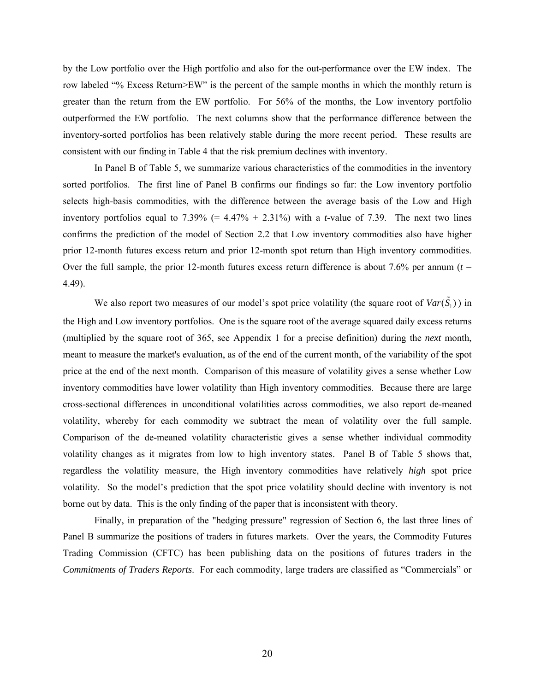by the Low portfolio over the High portfolio and also for the out-performance over the EW index. The row labeled "% Excess Return>EW" is the percent of the sample months in which the monthly return is greater than the return from the EW portfolio. For 56% of the months, the Low inventory portfolio outperformed the EW portfolio. The next columns show that the performance difference between the inventory-sorted portfolios has been relatively stable during the more recent period. These results are consistent with our finding in Table 4 that the risk premium declines with inventory.

In Panel B of Table 5, we summarize various characteristics of the commodities in the inventory sorted portfolios. The first line of Panel B confirms our findings so far: the Low inventory portfolio selects high-basis commodities, with the difference between the average basis of the Low and High inventory portfolios equal to  $7.39\%$  (=  $4.47\%$  +  $2.31\%$ ) with a *t*-value of 7.39. The next two lines confirms the prediction of the model of Section 2.2 that Low inventory commodities also have higher prior 12-month futures excess return and prior 12-month spot return than High inventory commodities. Over the full sample, the prior 12-month futures excess return difference is about 7.6% per annum  $(t =$ 4.49).

We also report two measures of our model's spot price volatility (the square root of  $Var(\tilde{S}_1)$ ) in the High and Low inventory portfolios. One is the square root of the average squared daily excess returns (multiplied by the square root of 365, see Appendix 1 for a precise definition) during the *next* month, meant to measure the market's evaluation, as of the end of the current month, of the variability of the spot price at the end of the next month. Comparison of this measure of volatility gives a sense whether Low inventory commodities have lower volatility than High inventory commodities. Because there are large cross-sectional differences in unconditional volatilities across commodities, we also report de-meaned volatility, whereby for each commodity we subtract the mean of volatility over the full sample. Comparison of the de-meaned volatility characteristic gives a sense whether individual commodity volatility changes as it migrates from low to high inventory states. Panel B of Table 5 shows that, regardless the volatility measure, the High inventory commodities have relatively *high* spot price volatility. So the model's prediction that the spot price volatility should decline with inventory is not borne out by data. This is the only finding of the paper that is inconsistent with theory.

Finally, in preparation of the "hedging pressure" regression of Section 6, the last three lines of Panel B summarize the positions of traders in futures markets. Over the years, the Commodity Futures Trading Commission (CFTC) has been publishing data on the positions of futures traders in the *Commitments of Traders Reports*. For each commodity, large traders are classified as "Commercials" or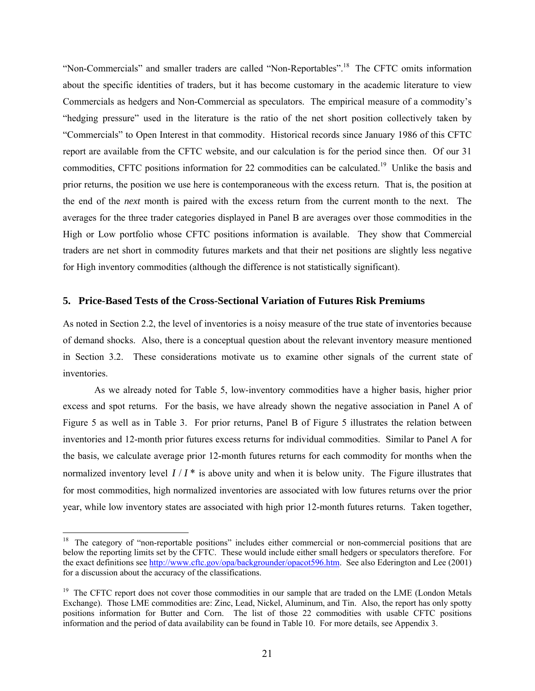"Non-Commercials" and smaller traders are called "Non-Reportables".18 The CFTC omits information about the specific identities of traders, but it has become customary in the academic literature to view Commercials as hedgers and Non-Commercial as speculators. The empirical measure of a commodity's "hedging pressure" used in the literature is the ratio of the net short position collectively taken by "Commercials" to Open Interest in that commodity. Historical records since January 1986 of this CFTC report are available from the CFTC website, and our calculation is for the period since then. Of our 31 commodities, CFTC positions information for 22 commodities can be calculated.<sup>19</sup> Unlike the basis and prior returns, the position we use here is contemporaneous with the excess return. That is, the position at the end of the *next* month is paired with the excess return from the current month to the next. The averages for the three trader categories displayed in Panel B are averages over those commodities in the High or Low portfolio whose CFTC positions information is available. They show that Commercial traders are net short in commodity futures markets and that their net positions are slightly less negative for High inventory commodities (although the difference is not statistically significant).

#### **5. Price-Based Tests of the Cross-Sectional Variation of Futures Risk Premiums**

As noted in Section 2.2, the level of inventories is a noisy measure of the true state of inventories because of demand shocks. Also, there is a conceptual question about the relevant inventory measure mentioned in Section 3.2. These considerations motivate us to examine other signals of the current state of inventories.

As we already noted for Table 5, low-inventory commodities have a higher basis, higher prior excess and spot returns. For the basis, we have already shown the negative association in Panel A of Figure 5 as well as in Table 3. For prior returns, Panel B of Figure 5 illustrates the relation between inventories and 12-month prior futures excess returns for individual commodities. Similar to Panel A for the basis, we calculate average prior 12-month futures returns for each commodity for months when the normalized inventory level  $I/I^*$  is above unity and when it is below unity. The Figure illustrates that for most commodities, high normalized inventories are associated with low futures returns over the prior year, while low inventory states are associated with high prior 12-month futures returns. Taken together,

 $\overline{a}$ 

<sup>&</sup>lt;sup>18</sup> The category of "non-reportable positions" includes either commercial or non-commercial positions that are below the reporting limits set by the CFTC. These would include either small hedgers or speculators therefore. For the exact definitions see http://www.cftc.gov/opa/backgrounder/opacot596.htm. See also Ederington and Lee (2001) for a discussion about the accuracy of the classifications.

<sup>&</sup>lt;sup>19</sup> The CFTC report does not cover those commodities in our sample that are traded on the LME (London Metals Exchange). Those LME commodities are: Zinc, Lead, Nickel, Aluminum, and Tin. Also, the report has only spotty positions information for Butter and Corn. The list of those 22 commodities with usable CFTC positions information and the period of data availability can be found in Table 10. For more details, see Appendix 3.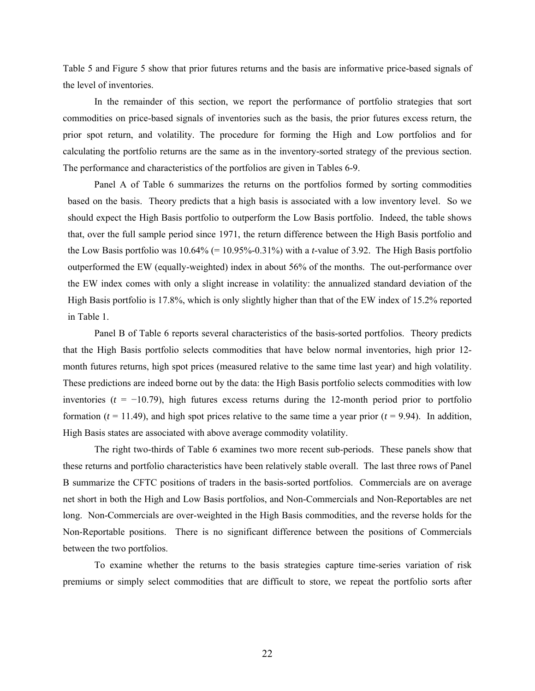Table 5 and Figure 5 show that prior futures returns and the basis are informative price-based signals of the level of inventories.

In the remainder of this section, we report the performance of portfolio strategies that sort commodities on price-based signals of inventories such as the basis, the prior futures excess return, the prior spot return, and volatility. The procedure for forming the High and Low portfolios and for calculating the portfolio returns are the same as in the inventory-sorted strategy of the previous section. The performance and characteristics of the portfolios are given in Tables 6-9.

Panel A of Table 6 summarizes the returns on the portfolios formed by sorting commodities based on the basis. Theory predicts that a high basis is associated with a low inventory level. So we should expect the High Basis portfolio to outperform the Low Basis portfolio. Indeed, the table shows that, over the full sample period since 1971, the return difference between the High Basis portfolio and the Low Basis portfolio was 10.64% (= 10.95%-0.31%) with a *t*-value of 3.92. The High Basis portfolio outperformed the EW (equally-weighted) index in about 56% of the months. The out-performance over the EW index comes with only a slight increase in volatility: the annualized standard deviation of the High Basis portfolio is 17.8%, which is only slightly higher than that of the EW index of 15.2% reported in Table 1.

Panel B of Table 6 reports several characteristics of the basis-sorted portfolios. Theory predicts that the High Basis portfolio selects commodities that have below normal inventories, high prior 12 month futures returns, high spot prices (measured relative to the same time last year) and high volatility. These predictions are indeed borne out by the data: the High Basis portfolio selects commodities with low inventories  $(t = -10.79)$ , high futures excess returns during the 12-month period prior to portfolio formation ( $t = 11.49$ ), and high spot prices relative to the same time a year prior ( $t = 9.94$ ). In addition, High Basis states are associated with above average commodity volatility.

The right two-thirds of Table 6 examines two more recent sub-periods. These panels show that these returns and portfolio characteristics have been relatively stable overall. The last three rows of Panel B summarize the CFTC positions of traders in the basis-sorted portfolios. Commercials are on average net short in both the High and Low Basis portfolios, and Non-Commercials and Non-Reportables are net long. Non-Commercials are over-weighted in the High Basis commodities, and the reverse holds for the Non-Reportable positions. There is no significant difference between the positions of Commercials between the two portfolios.

To examine whether the returns to the basis strategies capture time-series variation of risk premiums or simply select commodities that are difficult to store, we repeat the portfolio sorts after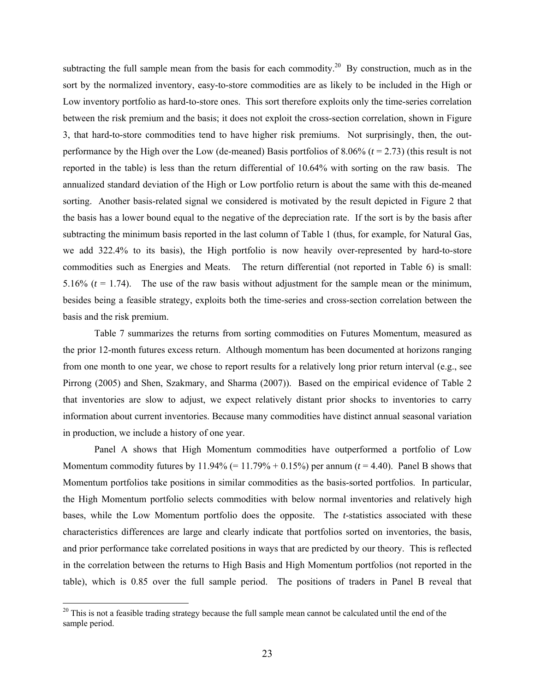subtracting the full sample mean from the basis for each commodity.<sup>20</sup> By construction, much as in the sort by the normalized inventory, easy-to-store commodities are as likely to be included in the High or Low inventory portfolio as hard-to-store ones. This sort therefore exploits only the time-series correlation between the risk premium and the basis; it does not exploit the cross-section correlation, shown in Figure 3, that hard-to-store commodities tend to have higher risk premiums. Not surprisingly, then, the outperformance by the High over the Low (de-meaned) Basis portfolios of 8.06% (*t* = 2.73) (this result is not reported in the table) is less than the return differential of 10.64% with sorting on the raw basis. The annualized standard deviation of the High or Low portfolio return is about the same with this de-meaned sorting. Another basis-related signal we considered is motivated by the result depicted in Figure 2 that the basis has a lower bound equal to the negative of the depreciation rate. If the sort is by the basis after subtracting the minimum basis reported in the last column of Table 1 (thus, for example, for Natural Gas, we add 322.4% to its basis), the High portfolio is now heavily over-represented by hard-to-store commodities such as Energies and Meats. The return differential (not reported in Table 6) is small: 5.16%  $(t = 1.74)$ . The use of the raw basis without adjustment for the sample mean or the minimum, besides being a feasible strategy, exploits both the time-series and cross-section correlation between the basis and the risk premium.

Table 7 summarizes the returns from sorting commodities on Futures Momentum, measured as the prior 12-month futures excess return. Although momentum has been documented at horizons ranging from one month to one year, we chose to report results for a relatively long prior return interval (e.g., see Pirrong (2005) and Shen, Szakmary, and Sharma (2007)). Based on the empirical evidence of Table 2 that inventories are slow to adjust, we expect relatively distant prior shocks to inventories to carry information about current inventories. Because many commodities have distinct annual seasonal variation in production, we include a history of one year.

Panel A shows that High Momentum commodities have outperformed a portfolio of Low Momentum commodity futures by  $11.94\% (= 11.79\% + 0.15\%)$  per annum ( $t = 4.40$ ). Panel B shows that Momentum portfolios take positions in similar commodities as the basis-sorted portfolios. In particular, the High Momentum portfolio selects commodities with below normal inventories and relatively high bases, while the Low Momentum portfolio does the opposite. The *t*-statistics associated with these characteristics differences are large and clearly indicate that portfolios sorted on inventories, the basis, and prior performance take correlated positions in ways that are predicted by our theory. This is reflected in the correlation between the returns to High Basis and High Momentum portfolios (not reported in the table), which is 0.85 over the full sample period. The positions of traders in Panel B reveal that

 $\overline{a}$ 

 $20$  This is not a feasible trading strategy because the full sample mean cannot be calculated until the end of the sample period.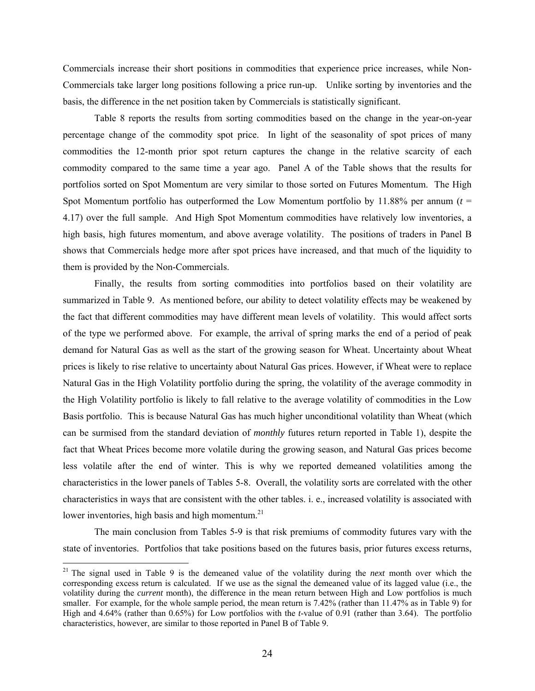Commercials increase their short positions in commodities that experience price increases, while Non-Commercials take larger long positions following a price run-up. Unlike sorting by inventories and the basis, the difference in the net position taken by Commercials is statistically significant.

Table 8 reports the results from sorting commodities based on the change in the year-on-year percentage change of the commodity spot price. In light of the seasonality of spot prices of many commodities the 12-month prior spot return captures the change in the relative scarcity of each commodity compared to the same time a year ago. Panel A of the Table shows that the results for portfolios sorted on Spot Momentum are very similar to those sorted on Futures Momentum. The High Spot Momentum portfolio has outperformed the Low Momentum portfolio by 11.88% per annum  $(t =$ 4.17) over the full sample. And High Spot Momentum commodities have relatively low inventories, a high basis, high futures momentum, and above average volatility. The positions of traders in Panel B shows that Commercials hedge more after spot prices have increased, and that much of the liquidity to them is provided by the Non-Commercials.

Finally, the results from sorting commodities into portfolios based on their volatility are summarized in Table 9. As mentioned before, our ability to detect volatility effects may be weakened by the fact that different commodities may have different mean levels of volatility. This would affect sorts of the type we performed above. For example, the arrival of spring marks the end of a period of peak demand for Natural Gas as well as the start of the growing season for Wheat. Uncertainty about Wheat prices is likely to rise relative to uncertainty about Natural Gas prices. However, if Wheat were to replace Natural Gas in the High Volatility portfolio during the spring, the volatility of the average commodity in the High Volatility portfolio is likely to fall relative to the average volatility of commodities in the Low Basis portfolio. This is because Natural Gas has much higher unconditional volatility than Wheat (which can be surmised from the standard deviation of *monthly* futures return reported in Table 1), despite the fact that Wheat Prices become more volatile during the growing season, and Natural Gas prices become less volatile after the end of winter. This is why we reported demeaned volatilities among the characteristics in the lower panels of Tables 5-8. Overall, the volatility sorts are correlated with the other characteristics in ways that are consistent with the other tables. i. e., increased volatility is associated with lower inventories, high basis and high momentum.<sup>21</sup>

The main conclusion from Tables 5-9 is that risk premiums of commodity futures vary with the state of inventories. Portfolios that take positions based on the futures basis, prior futures excess returns,

 $\overline{a}$ 

<sup>21</sup> The signal used in Table 9 is the demeaned value of the volatility during the *next* month over which the corresponding excess return is calculated. If we use as the signal the demeaned value of its lagged value (i.e., the volatility during the *current* month), the difference in the mean return between High and Low portfolios is much smaller. For example, for the whole sample period, the mean return is 7.42% (rather than 11.47% as in Table 9) for High and 4.64% (rather than 0.65%) for Low portfolios with the *t*-value of 0.91 (rather than 3.64). The portfolio characteristics, however, are similar to those reported in Panel B of Table 9.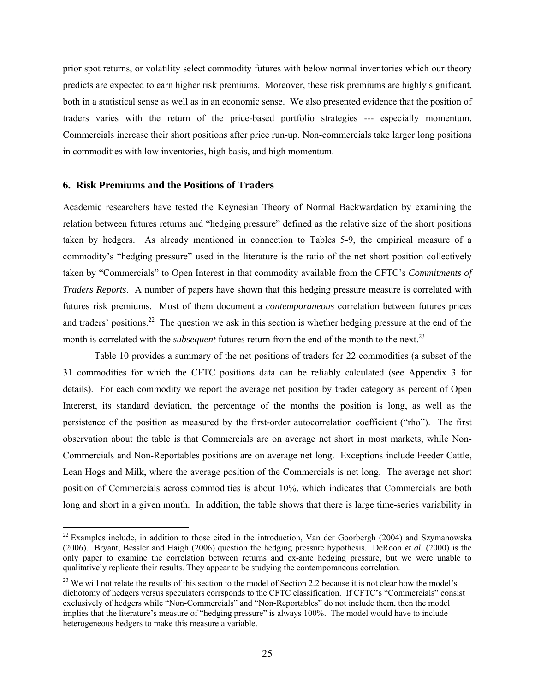prior spot returns, or volatility select commodity futures with below normal inventories which our theory predicts are expected to earn higher risk premiums. Moreover, these risk premiums are highly significant, both in a statistical sense as well as in an economic sense. We also presented evidence that the position of traders varies with the return of the price-based portfolio strategies --- especially momentum. Commercials increase their short positions after price run-up. Non-commercials take larger long positions in commodities with low inventories, high basis, and high momentum.

#### **6. Risk Premiums and the Positions of Traders**

 $\overline{a}$ 

Academic researchers have tested the Keynesian Theory of Normal Backwardation by examining the relation between futures returns and "hedging pressure" defined as the relative size of the short positions taken by hedgers. As already mentioned in connection to Tables 5-9, the empirical measure of a commodity's "hedging pressure" used in the literature is the ratio of the net short position collectively taken by "Commercials" to Open Interest in that commodity available from the CFTC's *Commitments of Traders Reports*. A number of papers have shown that this hedging pressure measure is correlated with futures risk premiums. Most of them document a *contemporaneous* correlation between futures prices and traders' positions.<sup>22</sup> The question we ask in this section is whether hedging pressure at the end of the month is correlated with the *subsequent* futures return from the end of the month to the next.<sup>23</sup>

Table 10 provides a summary of the net positions of traders for 22 commodities (a subset of the 31 commodities for which the CFTC positions data can be reliably calculated (see Appendix 3 for details). For each commodity we report the average net position by trader category as percent of Open Intererst, its standard deviation, the percentage of the months the position is long, as well as the persistence of the position as measured by the first-order autocorrelation coefficient ("rho"). The first observation about the table is that Commercials are on average net short in most markets, while Non-Commercials and Non-Reportables positions are on average net long. Exceptions include Feeder Cattle, Lean Hogs and Milk, where the average position of the Commercials is net long. The average net short position of Commercials across commodities is about 10%, which indicates that Commercials are both long and short in a given month. In addition, the table shows that there is large time-series variability in

 $22$  Examples include, in addition to those cited in the introduction, Van der Goorbergh (2004) and Szymanowska (2006). Bryant, Bessler and Haigh (2006) question the hedging pressure hypothesis. DeRoon *et al.* (2000) is the only paper to examine the correlation between returns and ex-ante hedging pressure, but we were unable to qualitatively replicate their results. They appear to be studying the contemporaneous correlation.

<sup>&</sup>lt;sup>23</sup> We will not relate the results of this section to the model of Section 2.2 because it is not clear how the model's dichotomy of hedgers versus speculaters corrsponds to the CFTC classification. If CFTC's "Commercials" consist exclusively of hedgers while "Non-Commercials" and "Non-Reportables" do not include them, then the model implies that the literature's measure of "hedging pressure" is always 100%. The model would have to include heterogeneous hedgers to make this measure a variable.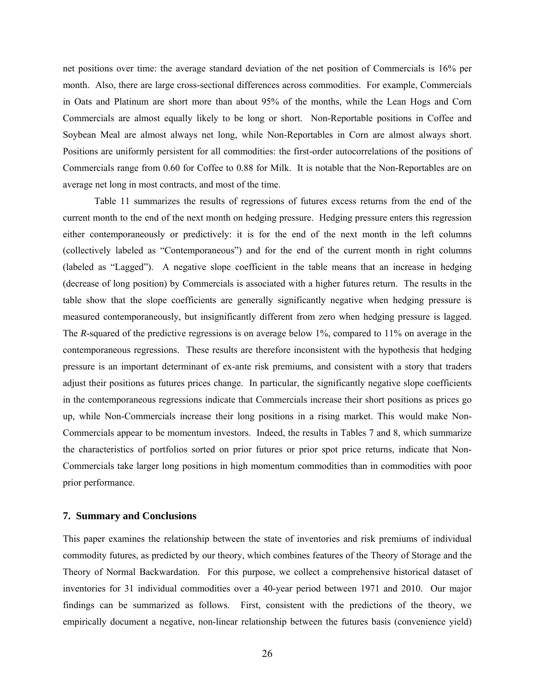net positions over time: the average standard deviation of the net position of Commercials is 16% per month. Also, there are large cross-sectional differences across commodities. For example, Commercials in Oats and Platinum are short more than about 95% of the months, while the Lean Hogs and Corn Commercials are almost equally likely to be long or short. Non-Reportable positions in Coffee and Soybean Meal are almost always net long, while Non-Reportables in Corn are almost always short. Positions are uniformly persistent for all commodities: the first-order autocorrelations of the positions of Commercials range from 0.60 for Coffee to 0.88 for Milk. It is notable that the Non-Reportables are on average net long in most contracts, and most of the time.

Table 11 summarizes the results of regressions of futures excess returns from the end of the current month to the end of the next month on hedging pressure. Hedging pressure enters this regression either contemporaneously or predictively: it is for the end of the next month in the left columns (collectively labeled as "Contemporaneous") and for the end of the current month in right columns (labeled as "Lagged"). A negative slope coefficient in the table means that an increase in hedging (decrease of long position) by Commercials is associated with a higher futures return. The results in the table show that the slope coefficients are generally significantly negative when hedging pressure is measured contemporaneously, but insignificantly different from zero when hedging pressure is lagged. The *R*-squared of the predictive regressions is on average below 1%, compared to 11% on average in the contemporaneous regressions. These results are therefore inconsistent with the hypothesis that hedging pressure is an important determinant of ex-ante risk premiums, and consistent with a story that traders adjust their positions as futures prices change. In particular, the significantly negative slope coefficients in the contemporaneous regressions indicate that Commercials increase their short positions as prices go up, while Non-Commercials increase their long positions in a rising market. This would make Non-Commercials appear to be momentum investors. Indeed, the results in Tables 7 and 8, which summarize the characteristics of portfolios sorted on prior futures or prior spot price returns, indicate that Non-Commercials take larger long positions in high momentum commodities than in commodities with poor prior performance.

#### **7. Summary and Conclusions**

This paper examines the relationship between the state of inventories and risk premiums of individual commodity futures, as predicted by our theory, which combines features of the Theory of Storage and the Theory of Normal Backwardation. For this purpose, we collect a comprehensive historical dataset of inventories for 31 individual commodities over a 40-year period between 1971 and 2010. Our major findings can be summarized as follows. First, consistent with the predictions of the theory, we empirically document a negative, non-linear relationship between the futures basis (convenience yield)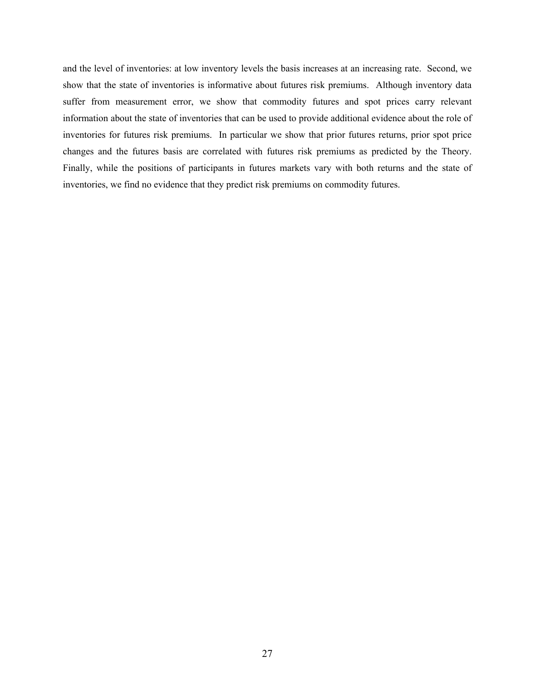and the level of inventories: at low inventory levels the basis increases at an increasing rate. Second, we show that the state of inventories is informative about futures risk premiums. Although inventory data suffer from measurement error, we show that commodity futures and spot prices carry relevant information about the state of inventories that can be used to provide additional evidence about the role of inventories for futures risk premiums. In particular we show that prior futures returns, prior spot price changes and the futures basis are correlated with futures risk premiums as predicted by the Theory. Finally, while the positions of participants in futures markets vary with both returns and the state of inventories, we find no evidence that they predict risk premiums on commodity futures.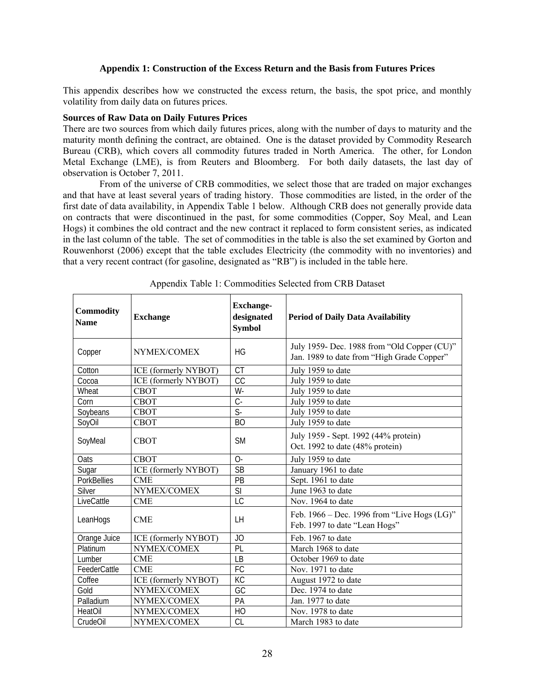#### **Appendix 1: Construction of the Excess Return and the Basis from Futures Prices**

This appendix describes how we constructed the excess return, the basis, the spot price, and monthly volatility from daily data on futures prices.

#### **Sources of Raw Data on Daily Futures Prices**

There are two sources from which daily futures prices, along with the number of days to maturity and the maturity month defining the contract, are obtained. One is the dataset provided by Commodity Research Bureau (CRB), which covers all commodity futures traded in North America. The other, for London Metal Exchange (LME), is from Reuters and Bloomberg. For both daily datasets, the last day of observation is October 7, 2011.

From of the universe of CRB commodities, we select those that are traded on major exchanges and that have at least several years of trading history. Those commodities are listed, in the order of the first date of data availability, in Appendix Table 1 below. Although CRB does not generally provide data on contracts that were discontinued in the past, for some commodities (Copper, Soy Meal, and Lean Hogs) it combines the old contract and the new contract it replaced to form consistent series, as indicated in the last column of the table. The set of commodities in the table is also the set examined by Gorton and Rouwenhorst (2006) except that the table excludes Electricity (the commodity with no inventories) and that a very recent contract (for gasoline, designated as "RB") is included in the table here.

| Commodity<br><b>Name</b> | <b>Exchange</b>             | <b>Exchange-</b><br>designated<br><b>Symbol</b> | <b>Period of Daily Data Availability</b>                                                  |
|--------------------------|-----------------------------|-------------------------------------------------|-------------------------------------------------------------------------------------------|
| Copper                   | NYMEX/COMEX                 | HG                                              | July 1959- Dec. 1988 from "Old Copper (CU)"<br>Jan. 1989 to date from "High Grade Copper" |
| Cotton                   | ICE (formerly NYBOT)        | <b>CT</b>                                       | July 1959 to date                                                                         |
| Cocoa                    | <b>ICE</b> (formerly NYBOT) | $\overline{CC}$                                 | July 1959 to date                                                                         |
| Wheat                    | <b>CBOT</b>                 | $W -$                                           | July 1959 to date                                                                         |
| Corn                     | <b>CBOT</b>                 | $C -$                                           | July 1959 to date                                                                         |
| Soybeans                 | <b>CBOT</b>                 | $\overline{\mathsf{S}}$                         | July 1959 to date                                                                         |
| SoyOil                   | <b>CBOT</b>                 | <b>BO</b>                                       | July 1959 to date                                                                         |
| SoyMeal                  | <b>CBOT</b>                 | <b>SM</b>                                       | July 1959 - Sept. 1992 (44% protein)<br>Oct. 1992 to date (48% protein)                   |
| Oats                     | <b>CBOT</b>                 | $O-$                                            | July 1959 to date                                                                         |
| Sugar                    | ICE (formerly NYBOT)        | $\overline{SB}$                                 | January 1961 to date                                                                      |
| <b>PorkBellies</b>       | <b>CME</b>                  | PB                                              | Sept. 1961 to date                                                                        |
| Silver                   | NYMEX/COMEX                 | $\overline{\text{SI}}$                          | June 1963 to date                                                                         |
| LiveCattle               | <b>CME</b>                  | $\overline{\text{LC}}$                          | Nov. 1964 to date                                                                         |
| LeanHogs                 | <b>CME</b>                  | LH                                              | Feb. $1966 - Dec.$ 1996 from "Live Hogs (LG)"<br>Feb. 1997 to date "Lean Hogs"            |
| Orange Juice             | ICE (formerly NYBOT)        | JO                                              | Feb. 1967 to date                                                                         |
| Platinum                 | NYMEX/COMEX                 | PL                                              | March 1968 to date                                                                        |
| Lumber                   | <b>CME</b>                  | LB                                              | October 1969 to date                                                                      |
| FeederCattle             | <b>CME</b>                  | FC                                              | Nov. 1971 to date                                                                         |
| Coffee                   | ICE (formerly NYBOT)        | KC                                              | August 1972 to date                                                                       |
| Gold                     | NYMEX/COMEX                 | GC                                              | Dec. 1974 to date                                                                         |
| Palladium                | NYMEX/COMEX                 | PA                                              | Jan. 1977 to date                                                                         |
| HeatOil                  | NYMEX/COMEX                 | HO                                              | Nov. 1978 to date                                                                         |
| CrudeOil                 | NYMEX/COMEX                 | <b>CL</b>                                       | March 1983 to date                                                                        |

Appendix Table 1: Commodities Selected from CRB Dataset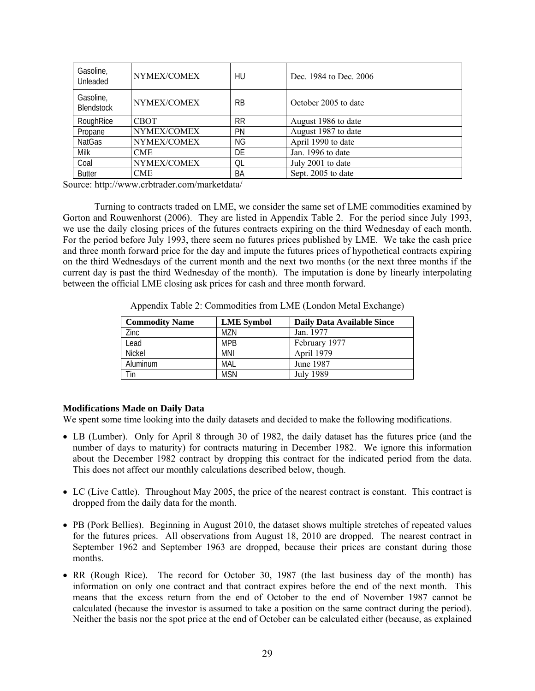| Gasoline,<br>Unleaded          | NYMEX/COMEX | HU        | Dec. 1984 to Dec. 2006 |
|--------------------------------|-------------|-----------|------------------------|
| Gasoline,<br><b>Blendstock</b> | NYMEX/COMEX | <b>RB</b> | October 2005 to date   |
| RoughRice                      | <b>CBOT</b> | <b>RR</b> | August 1986 to date    |
| Propane                        | NYMEX/COMEX | PN        | August 1987 to date    |
| <b>NatGas</b>                  | NYMEX/COMEX | ΝG        | April 1990 to date     |
| Milk                           | CME         | DE        | Jan. 1996 to date      |
| Coal                           | NYMEX/COMEX | QL        | July 2001 to date      |
| <b>Butter</b>                  | CME         | BA        | Sept. 2005 to date     |

Source: http://www.crbtrader.com/marketdata/

 Turning to contracts traded on LME, we consider the same set of LME commodities examined by Gorton and Rouwenhorst (2006). They are listed in Appendix Table 2. For the period since July 1993, we use the daily closing prices of the futures contracts expiring on the third Wednesday of each month. For the period before July 1993, there seem no futures prices published by LME. We take the cash price and three month forward price for the day and impute the futures prices of hypothetical contracts expiring on the third Wednesdays of the current month and the next two months (or the next three months if the current day is past the third Wednesday of the month). The imputation is done by linearly interpolating between the official LME closing ask prices for cash and three month forward.

| <b>Commodity Name</b> | <b>LME</b> Symbol | <b>Daily Data Available Since</b> |
|-----------------------|-------------------|-----------------------------------|
| Zinc                  | M7N               | Jan. 1977                         |
| Lead                  | <b>MPB</b>        | February 1977                     |
| <b>Nickel</b>         | <b>MNI</b>        | April 1979                        |
| Aluminum              | MAL               | June 1987                         |
| Tin                   | <b>MSN</b>        | July 1989                         |

Appendix Table 2: Commodities from LME (London Metal Exchange)

# **Modifications Made on Daily Data**

We spent some time looking into the daily datasets and decided to make the following modifications.

- LB (Lumber). Only for April 8 through 30 of 1982, the daily dataset has the futures price (and the number of days to maturity) for contracts maturing in December 1982. We ignore this information about the December 1982 contract by dropping this contract for the indicated period from the data. This does not affect our monthly calculations described below, though.
- LC (Live Cattle). Throughout May 2005, the price of the nearest contract is constant. This contract is dropped from the daily data for the month.
- PB (Pork Bellies). Beginning in August 2010, the dataset shows multiple stretches of repeated values for the futures prices. All observations from August 18, 2010 are dropped. The nearest contract in September 1962 and September 1963 are dropped, because their prices are constant during those months.
- RR (Rough Rice). The record for October 30, 1987 (the last business day of the month) has information on only one contract and that contract expires before the end of the next month. This means that the excess return from the end of October to the end of November 1987 cannot be calculated (because the investor is assumed to take a position on the same contract during the period). Neither the basis nor the spot price at the end of October can be calculated either (because, as explained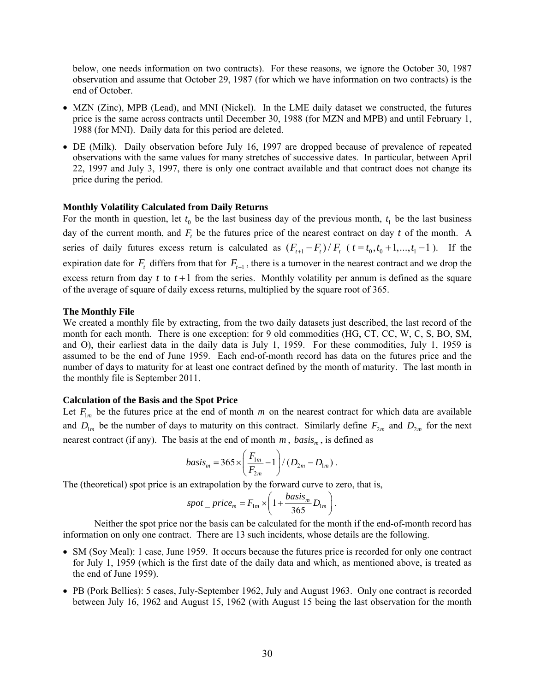below, one needs information on two contracts). For these reasons, we ignore the October 30, 1987 observation and assume that October 29, 1987 (for which we have information on two contracts) is the end of October.

- MZN (Zinc), MPB (Lead), and MNI (Nickel). In the LME daily dataset we constructed, the futures price is the same across contracts until December 30, 1988 (for MZN and MPB) and until February 1, 1988 (for MNI). Daily data for this period are deleted.
- DE (Milk). Daily observation before July 16, 1997 are dropped because of prevalence of repeated observations with the same values for many stretches of successive dates. In particular, between April 22, 1997 and July 3, 1997, there is only one contract available and that contract does not change its price during the period.

#### **Monthly Volatility Calculated from Daily Returns**

For the month in question, let  $t_0$  be the last business day of the previous month,  $t_1$  be the last business day of the current month, and  $F_t$  be the futures price of the nearest contract on day  $t$  of the month. A series of daily futures excess return is calculated as  $(F_{t+1} - F_t)/F_t$   $(t = t_0, t_0 + 1, ..., t_1 - 1)$ . If the expiration date for  $F_t$  differs from that for  $F_{t+1}$ , there is a turnover in the nearest contract and we drop the excess return from day  $t$  to  $t+1$  from the series. Monthly volatility per annum is defined as the square of the average of square of daily excess returns, multiplied by the square root of 365.

#### **The Monthly File**

We created a monthly file by extracting, from the two daily datasets just described, the last record of the month for each month. There is one exception: for 9 old commodities (HG, CT, CC, W, C, S, BO, SM, and O), their earliest data in the daily data is July 1, 1959. For these commodities, July 1, 1959 is assumed to be the end of June 1959. Each end-of-month record has data on the futures price and the number of days to maturity for at least one contract defined by the month of maturity. The last month in the monthly file is September 2011.

#### **Calculation of the Basis and the Spot Price**

Let  $F_{1m}$  be the futures price at the end of month *m* on the nearest contract for which data are available and  $D_{1m}$  be the number of days to maturity on this contract. Similarly define  $F_{2m}$  and  $D_{2m}$  for the next nearest contract (if any). The basis at the end of month  $m$ ,  $basis<sub>m</sub>$ , is defined as

$$
basis_m = 365 \times \left(\frac{F_{1m}}{F_{2m}} - 1\right) / \left(D_{2m} - D_{1m}\right).
$$

The (theoretical) spot price is an extrapolation by the forward curve to zero, that is,

$$
spot\_price_m = F_{1m} \times \left(1 + \frac{basis_m}{365} D_{1m}\right).
$$

 Neither the spot price nor the basis can be calculated for the month if the end-of-month record has information on only one contract. There are 13 such incidents, whose details are the following.

- SM (Soy Meal): 1 case, June 1959. It occurs because the futures price is recorded for only one contract for July 1, 1959 (which is the first date of the daily data and which, as mentioned above, is treated as the end of June 1959).
- PB (Pork Bellies): 5 cases, July-September 1962, July and August 1963. Only one contract is recorded between July 16, 1962 and August 15, 1962 (with August 15 being the last observation for the month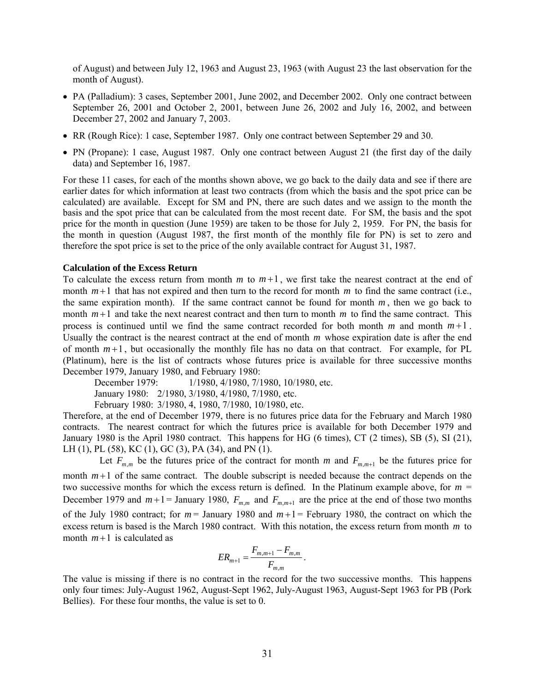of August) and between July 12, 1963 and August 23, 1963 (with August 23 the last observation for the month of August).

- PA (Palladium): 3 cases, September 2001, June 2002, and December 2002. Only one contract between September 26, 2001 and October 2, 2001, between June 26, 2002 and July 16, 2002, and between December 27, 2002 and January 7, 2003.
- RR (Rough Rice): 1 case, September 1987. Only one contract between September 29 and 30.
- PN (Propane): 1 case, August 1987. Only one contract between August 21 (the first day of the daily data) and September 16, 1987.

For these 11 cases, for each of the months shown above, we go back to the daily data and see if there are earlier dates for which information at least two contracts (from which the basis and the spot price can be calculated) are available. Except for SM and PN, there are such dates and we assign to the month the basis and the spot price that can be calculated from the most recent date. For SM, the basis and the spot price for the month in question (June 1959) are taken to be those for July 2, 1959. For PN, the basis for the month in question (August 1987, the first month of the monthly file for PN) is set to zero and therefore the spot price is set to the price of the only available contract for August 31, 1987.

### **Calculation of the Excess Return**

To calculate the excess return from month  $m$  to  $m+1$ , we first take the nearest contract at the end of month  $m+1$  that has not expired and then turn to the record for month  $m$  to find the same contract (i.e., the same expiration month). If the same contract cannot be found for month  $m$ , then we go back to month  $m+1$  and take the next nearest contract and then turn to month m to find the same contract. This process is continued until we find the same contract recorded for both month *m* and month *m* +1 . Usually the contract is the nearest contract at the end of month *m* whose expiration date is after the end of month  $m+1$ , but occasionally the monthly file has no data on that contract. For example, for PL (Platinum), here is the list of contracts whose futures price is available for three successive months December 1979, January 1980, and February 1980:

December 1979: 1/1980, 4/1980, 7/1980, 10/1980, etc.

January 1980: 2/1980, 3/1980, 4/1980, 7/1980, etc.

February 1980: 3/1980, 4, 1980, 7/1980, 10/1980, etc.

Therefore, at the end of December 1979, there is no futures price data for the February and March 1980 contracts. The nearest contract for which the futures price is available for both December 1979 and January 1980 is the April 1980 contract. This happens for HG (6 times), CT (2 times), SB (5), SI (21), LH (1), PL (58), KC (1), GC (3), PA (34), and PN (1).

Let  $F_{m,m}$  be the futures price of the contract for month *m* and  $F_{m,m+1}$  be the futures price for month  $m+1$  of the same contract. The double subscript is needed because the contract depends on the two successive months for which the excess return is defined. In the Platinum example above, for  $m =$ December 1979 and  $m+1$  = January 1980,  $F_{m,m}$  and  $F_{m,m+1}$  are the price at the end of those two months of the July 1980 contract; for  $m =$  January 1980 and  $m+1 =$  February 1980, the contract on which the excess return is based is the March 1980 contract. With this notation, the excess return from month *m* to month  $m+1$  is calculated as

$$
ER_{m+1} = \frac{F_{m,m+1} - F_{m,m}}{F_{m,m}}.
$$

The value is missing if there is no contract in the record for the two successive months. This happens only four times: July-August 1962, August-Sept 1962, July-August 1963, August-Sept 1963 for PB (Pork Bellies). For these four months, the value is set to 0.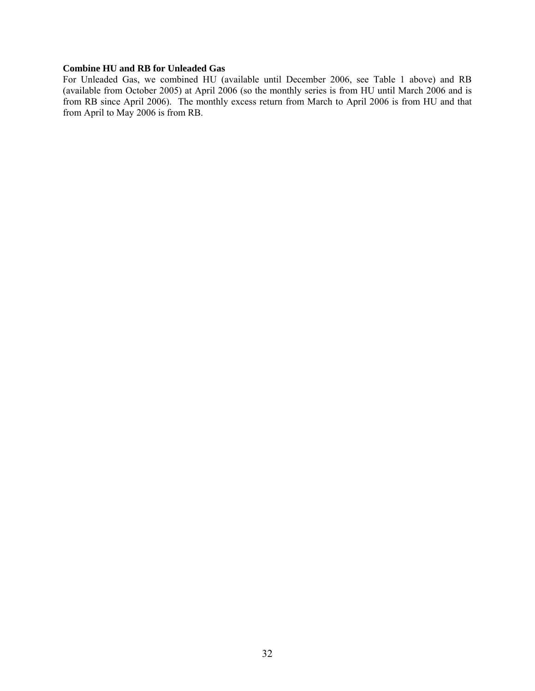### **Combine HU and RB for Unleaded Gas**

For Unleaded Gas, we combined HU (available until December 2006, see Table 1 above) and RB (available from October 2005) at April 2006 (so the monthly series is from HU until March 2006 and is from RB since April 2006). The monthly excess return from March to April 2006 is from HU and that from April to May 2006 is from RB.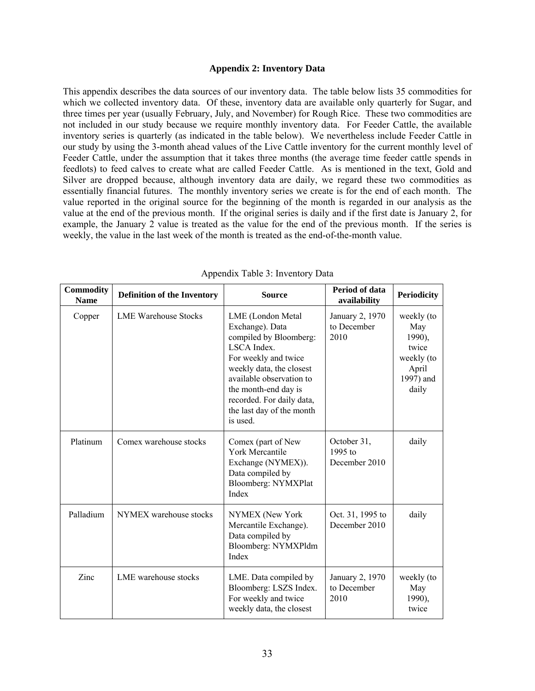#### **Appendix 2: Inventory Data**

This appendix describes the data sources of our inventory data. The table below lists 35 commodities for which we collected inventory data. Of these, inventory data are available only quarterly for Sugar, and three times per year (usually February, July, and November) for Rough Rice. These two commodities are not included in our study because we require monthly inventory data. For Feeder Cattle, the available inventory series is quarterly (as indicated in the table below). We nevertheless include Feeder Cattle in our study by using the 3-month ahead values of the Live Cattle inventory for the current monthly level of Feeder Cattle, under the assumption that it takes three months (the average time feeder cattle spends in feedlots) to feed calves to create what are called Feeder Cattle. As is mentioned in the text, Gold and Silver are dropped because, although inventory data are daily, we regard these two commodities as essentially financial futures. The monthly inventory series we create is for the end of each month. The value reported in the original source for the beginning of the month is regarded in our analysis as the value at the end of the previous month. If the original series is daily and if the first date is January 2, for example, the January 2 value is treated as the value for the end of the previous month. If the series is weekly, the value in the last week of the month is treated as the end-of-the-month value.

| <b>Commodity</b><br><b>Name</b> | <b>Definition of the Inventory</b> | <b>Source</b>                                                                                                                                                                                                                                               | Period of data<br>availability            | <b>Periodicity</b>                                                                |
|---------------------------------|------------------------------------|-------------------------------------------------------------------------------------------------------------------------------------------------------------------------------------------------------------------------------------------------------------|-------------------------------------------|-----------------------------------------------------------------------------------|
| Copper                          | <b>LME Warehouse Stocks</b>        | LME (London Metal<br>Exchange). Data<br>compiled by Bloomberg:<br>LSCA Index.<br>For weekly and twice<br>weekly data, the closest<br>available observation to<br>the month-end day is<br>recorded. For daily data,<br>the last day of the month<br>is used. | January 2, 1970<br>to December<br>2010    | weekly (to<br>May<br>1990),<br>twice<br>weekly (to<br>April<br>1997) and<br>daily |
| Platinum                        | Comex warehouse stocks             | Comex (part of New<br><b>York Mercantile</b><br>Exchange (NYMEX)).<br>Data compiled by<br>Bloomberg: NYMXPlat<br>Index                                                                                                                                      | October 31,<br>$1995$ to<br>December 2010 | daily                                                                             |
| Palladium                       | NYMEX warehouse stocks             | NYMEX (New York<br>Mercantile Exchange).<br>Data compiled by<br>Bloomberg: NYMXPldm<br>Index                                                                                                                                                                | Oct. 31, 1995 to<br>December 2010         | daily                                                                             |
| Zinc                            | LME warehouse stocks               | LME. Data compiled by<br>Bloomberg: LSZS Index.<br>For weekly and twice<br>weekly data, the closest                                                                                                                                                         | January 2, 1970<br>to December<br>2010    | weekly (to<br>May<br>1990),<br>twice                                              |

Appendix Table 3: Inventory Data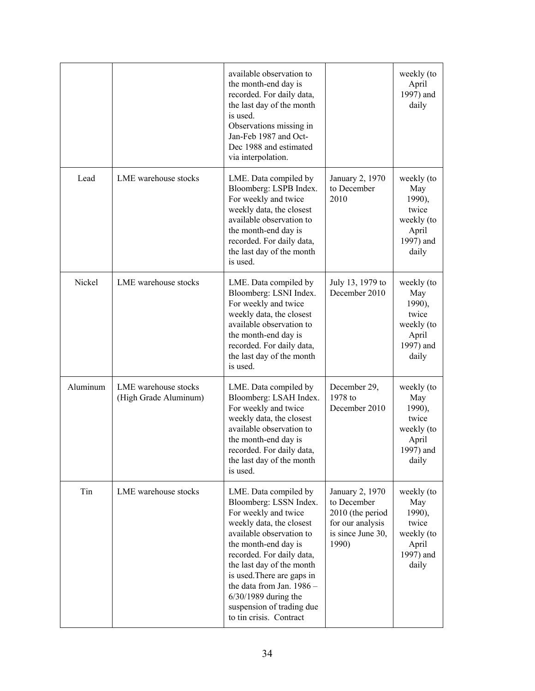|          |                                               | available observation to<br>the month-end day is<br>recorded. For daily data,<br>the last day of the month<br>is used.<br>Observations missing in<br>Jan-Feb 1987 and Oct-<br>Dec 1988 and estimated<br>via interpolation.                                                                                                                                     |                                                                                                      | weekly (to<br>April<br>1997) and<br>daily                                         |
|----------|-----------------------------------------------|----------------------------------------------------------------------------------------------------------------------------------------------------------------------------------------------------------------------------------------------------------------------------------------------------------------------------------------------------------------|------------------------------------------------------------------------------------------------------|-----------------------------------------------------------------------------------|
| Lead     | LME warehouse stocks                          | LME. Data compiled by<br>Bloomberg: LSPB Index.<br>For weekly and twice<br>weekly data, the closest<br>available observation to<br>the month-end day is<br>recorded. For daily data,<br>the last day of the month<br>is used.                                                                                                                                  | January 2, 1970<br>to December<br>2010                                                               | weekly (to<br>May<br>1990),<br>twice<br>weekly (to<br>April<br>1997) and<br>daily |
| Nickel   | LME warehouse stocks                          | LME. Data compiled by<br>Bloomberg: LSNI Index.<br>For weekly and twice<br>weekly data, the closest<br>available observation to<br>the month-end day is<br>recorded. For daily data,<br>the last day of the month<br>is used.                                                                                                                                  | July 13, 1979 to<br>December 2010                                                                    | weekly (to<br>May<br>1990),<br>twice<br>weekly (to<br>April<br>1997) and<br>daily |
| Aluminum | LME warehouse stocks<br>(High Grade Aluminum) | LME. Data compiled by<br>Bloomberg: LSAH Index.<br>For weekly and twice<br>weekly data, the closest<br>available observation to<br>the month-end day is<br>recorded. For daily data,<br>the last day of the month<br>is used.                                                                                                                                  | December 29,<br>1978 to<br>December 2010                                                             | weekly (to<br>May<br>1990),<br>twice<br>weekly (to<br>April<br>1997) and<br>daily |
| Tin      | LME warehouse stocks                          | LME. Data compiled by<br>Bloomberg: LSSN Index.<br>For weekly and twice<br>weekly data, the closest<br>available observation to<br>the month-end day is<br>recorded. For daily data,<br>the last day of the month<br>is used. There are gaps in<br>the data from Jan. 1986 -<br>$6/30/1989$ during the<br>suspension of trading due<br>to tin crisis. Contract | January 2, 1970<br>to December<br>2010 (the period<br>for our analysis<br>is since June 30,<br>1990) | weekly (to<br>May<br>1990),<br>twice<br>weekly (to<br>April<br>1997) and<br>daily |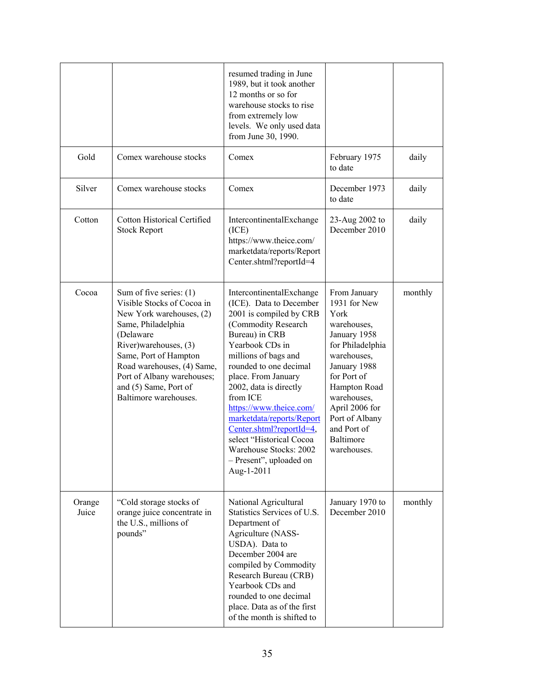|                 |                                                                                                                                                                                                                                                                                        | resumed trading in June<br>1989, but it took another<br>12 months or so for<br>warehouse stocks to rise<br>from extremely low<br>levels. We only used data<br>from June 30, 1990.                                                                                                                                                                                                                                                            |                                                                                                                                                                                                                                                     |         |
|-----------------|----------------------------------------------------------------------------------------------------------------------------------------------------------------------------------------------------------------------------------------------------------------------------------------|----------------------------------------------------------------------------------------------------------------------------------------------------------------------------------------------------------------------------------------------------------------------------------------------------------------------------------------------------------------------------------------------------------------------------------------------|-----------------------------------------------------------------------------------------------------------------------------------------------------------------------------------------------------------------------------------------------------|---------|
| Gold            | Comex warehouse stocks                                                                                                                                                                                                                                                                 | Comex                                                                                                                                                                                                                                                                                                                                                                                                                                        | February 1975<br>to date                                                                                                                                                                                                                            | daily   |
| Silver          | Comex warehouse stocks                                                                                                                                                                                                                                                                 | Comex                                                                                                                                                                                                                                                                                                                                                                                                                                        | December 1973<br>to date                                                                                                                                                                                                                            | daily   |
| Cotton          | <b>Cotton Historical Certified</b><br><b>Stock Report</b>                                                                                                                                                                                                                              | IntercontinentalExchange<br>(ICE)<br>https://www.theice.com/<br>marketdata/reports/Report<br>Center.shtml?reportId=4                                                                                                                                                                                                                                                                                                                         | 23-Aug 2002 to<br>December 2010                                                                                                                                                                                                                     | daily   |
| Cocoa           | Sum of five series: $(1)$<br>Visible Stocks of Cocoa in<br>New York warehouses, (2)<br>Same, Philadelphia<br>(Delaware<br>River)warehouses, (3)<br>Same, Port of Hampton<br>Road warehouses, (4) Same,<br>Port of Albany warehouses;<br>and (5) Same, Port of<br>Baltimore warehouses. | IntercontinentalExchange<br>(ICE). Data to December<br>2001 is compiled by CRB<br>(Commodity Research<br>Bureau) in CRB<br>Yearbook CDs in<br>millions of bags and<br>rounded to one decimal<br>place. From January<br>2002, data is directly<br>from ICE<br>https://www.theice.com/<br>marketdata/reports/Report<br>Center.shtml?reportId=4,<br>select "Historical Cocoa<br>Warehouse Stocks: 2002<br>- Present", uploaded on<br>Aug-1-2011 | From January<br>1931 for New<br>York<br>warehouses,<br>January 1958<br>for Philadelphia<br>warehouses,<br>January 1988<br>for Port of<br>Hampton Road<br>warehouses,<br>April 2006 for<br>Port of Albany<br>and Port of<br>Baltimore<br>warehouses. | monthly |
| Orange<br>Juice | "Cold storage stocks of<br>orange juice concentrate in<br>the U.S., millions of<br>pounds"                                                                                                                                                                                             | National Agricultural<br>Statistics Services of U.S.<br>Department of<br>Agriculture (NASS-<br>USDA). Data to<br>December 2004 are<br>compiled by Commodity<br>Research Bureau (CRB)<br>Yearbook CDs and<br>rounded to one decimal<br>place. Data as of the first<br>of the month is shifted to                                                                                                                                              | January 1970 to<br>December 2010                                                                                                                                                                                                                    | monthly |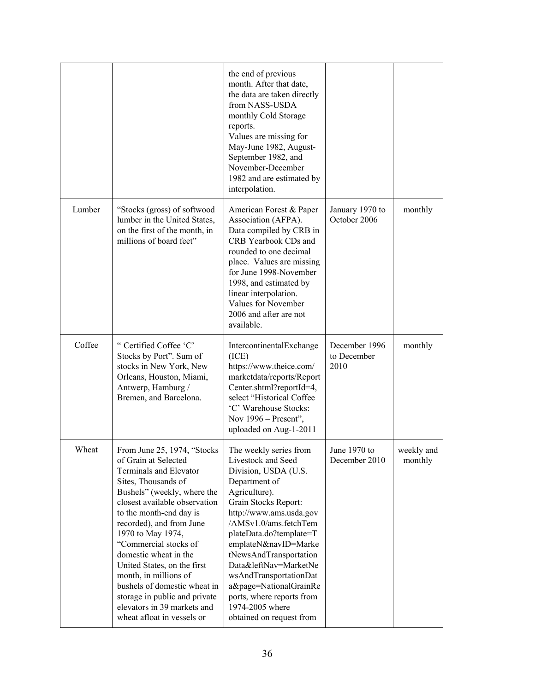|        |                                                                                                                                                                                                                                                                                                                                                                                                                                                                                          | the end of previous<br>month. After that date,<br>the data are taken directly<br>from NASS-USDA<br>monthly Cold Storage<br>reports.<br>Values are missing for<br>May-June 1982, August-<br>September 1982, and<br>November-December<br>1982 and are estimated by<br>interpolation.                                                                                                                                       |                                      |                       |
|--------|------------------------------------------------------------------------------------------------------------------------------------------------------------------------------------------------------------------------------------------------------------------------------------------------------------------------------------------------------------------------------------------------------------------------------------------------------------------------------------------|--------------------------------------------------------------------------------------------------------------------------------------------------------------------------------------------------------------------------------------------------------------------------------------------------------------------------------------------------------------------------------------------------------------------------|--------------------------------------|-----------------------|
| Lumber | "Stocks (gross) of softwood<br>lumber in the United States,<br>on the first of the month, in<br>millions of board feet"                                                                                                                                                                                                                                                                                                                                                                  | American Forest & Paper<br>Association (AFPA).<br>Data compiled by CRB in<br>CRB Yearbook CDs and<br>rounded to one decimal<br>place. Values are missing<br>for June 1998-November<br>1998, and estimated by<br>linear interpolation.<br>Values for November<br>2006 and after are not<br>available.                                                                                                                     | January 1970 to<br>October 2006      | monthly               |
| Coffee | "Certified Coffee 'C'<br>Stocks by Port". Sum of<br>stocks in New York, New<br>Orleans, Houston, Miami,<br>Antwerp, Hamburg /<br>Bremen, and Barcelona.                                                                                                                                                                                                                                                                                                                                  | IntercontinentalExchange<br>(ICE)<br>https://www.theice.com/<br>marketdata/reports/Report<br>Center.shtml?reportId=4,<br>select "Historical Coffee<br>'C' Warehouse Stocks:<br>Nov $1996$ – Present",<br>uploaded on Aug-1-2011                                                                                                                                                                                          | December 1996<br>to December<br>2010 | monthly               |
| Wheat  | From June 25, 1974, "Stocks<br>of Grain at Selected<br>Terminals and Elevator<br>Sites, Thousands of<br>Bushels" (weekly, where the<br>closest available observation<br>to the month-end day is<br>recorded), and from June<br>1970 to May 1974,<br>"Commercial stocks of<br>domestic wheat in the<br>United States, on the first<br>month, in millions of<br>bushels of domestic wheat in<br>storage in public and private<br>elevators in 39 markets and<br>wheat afloat in vessels or | The weekly series from<br>Livestock and Seed<br>Division, USDA (U.S.<br>Department of<br>Agriculture).<br>Grain Stocks Report:<br>http://www.ams.usda.gov<br>/AMSv1.0/ams.fetchTem<br>plateData.do?template=T<br>emplateN&navID=Marke<br>tNewsAndTransportation<br>Data&leftNav=MarketNe<br>wsAndTransportationDat<br>a&page=NationalGrainRe<br>ports, where reports from<br>1974-2005 where<br>obtained on request from | June 1970 to<br>December 2010        | weekly and<br>monthly |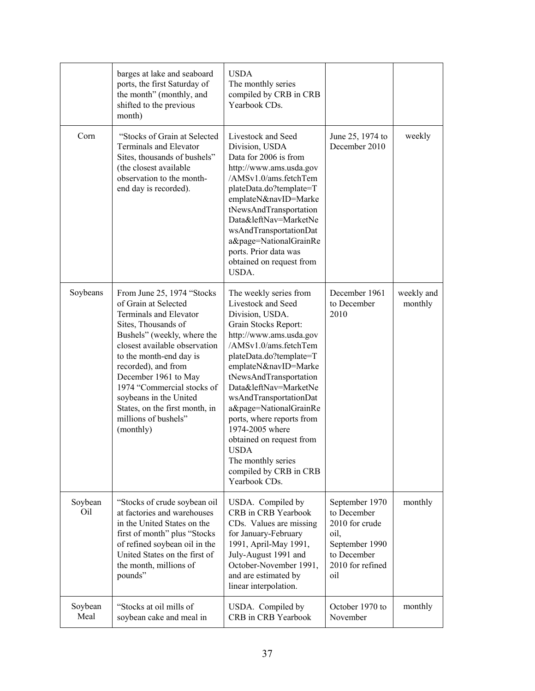|                 | barges at lake and seaboard<br>ports, the first Saturday of<br>the month" (monthly, and<br>shifted to the previous<br>month)                                                                                                                                                                                                                                                  | <b>USDA</b><br>The monthly series<br>compiled by CRB in CRB<br>Yearbook CDs.                                                                                                                                                                                                                                                                                                                                                                                      |                                                                                                                     |                       |
|-----------------|-------------------------------------------------------------------------------------------------------------------------------------------------------------------------------------------------------------------------------------------------------------------------------------------------------------------------------------------------------------------------------|-------------------------------------------------------------------------------------------------------------------------------------------------------------------------------------------------------------------------------------------------------------------------------------------------------------------------------------------------------------------------------------------------------------------------------------------------------------------|---------------------------------------------------------------------------------------------------------------------|-----------------------|
| Corn            | "Stocks of Grain at Selected<br>Terminals and Elevator<br>Sites, thousands of bushels"<br>(the closest available<br>observation to the month-<br>end day is recorded).                                                                                                                                                                                                        | Livestock and Seed<br>Division, USDA<br>Data for 2006 is from<br>http://www.ams.usda.gov<br>/AMSv1.0/ams.fetchTem<br>plateData.do?template=T<br>emplateN&navID=Marke<br>tNewsAndTransportation<br>Data&leftNav=MarketNe<br>wsAndTransportationDat<br>a&page=NationalGrainRe<br>ports. Prior data was<br>obtained on request from<br>USDA.                                                                                                                         | June 25, 1974 to<br>December 2010                                                                                   | weekly                |
| Soybeans        | From June 25, 1974 "Stocks"<br>of Grain at Selected<br>Terminals and Elevator<br>Sites, Thousands of<br>Bushels" (weekly, where the<br>closest available observation<br>to the month-end day is<br>recorded), and from<br>December 1961 to May<br>1974 "Commercial stocks of<br>soybeans in the United<br>States, on the first month, in<br>millions of bushels"<br>(monthly) | The weekly series from<br>Livestock and Seed<br>Division, USDA.<br>Grain Stocks Report:<br>http://www.ams.usda.gov<br>/AMSv1.0/ams.fetchTem<br>plateData.do?template=T<br>emplateN&navID=Marke<br>tNewsAndTransportation<br>Data&leftNav=MarketNe<br>wsAndTransportationDat<br>a&page=NationalGrainRe<br>ports, where reports from<br>1974-2005 where<br>obtained on request from<br><b>USDA</b><br>The monthly series<br>compiled by CRB in CRB<br>Yearbook CDs. | December 1961<br>to December<br>2010                                                                                | weekly and<br>monthly |
| Soybean<br>Oil  | "Stocks of crude soybean oil<br>at factories and warehouses<br>in the United States on the<br>first of month" plus "Stocks"<br>of refined soybean oil in the<br>United States on the first of<br>the month, millions of<br>pounds"                                                                                                                                            | USDA. Compiled by<br>CRB in CRB Yearbook<br>CDs. Values are missing<br>for January-February<br>1991, April-May 1991,<br>July-August 1991 and<br>October-November 1991,<br>and are estimated by<br>linear interpolation.                                                                                                                                                                                                                                           | September 1970<br>to December<br>2010 for crude<br>oil,<br>September 1990<br>to December<br>2010 for refined<br>oil | monthly               |
| Soybean<br>Meal | "Stocks at oil mills of<br>soybean cake and meal in                                                                                                                                                                                                                                                                                                                           | USDA. Compiled by<br>CRB in CRB Yearbook                                                                                                                                                                                                                                                                                                                                                                                                                          | October 1970 to<br>November                                                                                         | monthly               |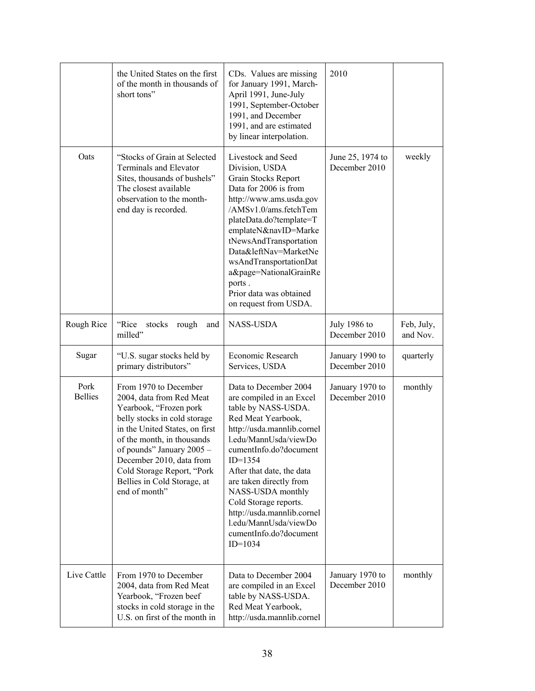|                        | the United States on the first<br>of the month in thousands of<br>short tons"                                                                                                                                                                                                                                      | CDs. Values are missing<br>for January 1991, March-<br>April 1991, June-July<br>1991, September-October<br>1991, and December<br>1991, and are estimated<br>by linear interpolation.                                                                                                                                                                                                             | 2010                              |                        |
|------------------------|--------------------------------------------------------------------------------------------------------------------------------------------------------------------------------------------------------------------------------------------------------------------------------------------------------------------|--------------------------------------------------------------------------------------------------------------------------------------------------------------------------------------------------------------------------------------------------------------------------------------------------------------------------------------------------------------------------------------------------|-----------------------------------|------------------------|
| Oats                   | "Stocks of Grain at Selected<br><b>Terminals and Elevator</b><br>Sites, thousands of bushels"<br>The closest available<br>observation to the month-<br>end day is recorded.                                                                                                                                        | Livestock and Seed<br>Division, USDA<br>Grain Stocks Report<br>Data for 2006 is from<br>http://www.ams.usda.gov<br>/AMSv1.0/ams.fetchTem<br>plateData.do?template=T<br>emplateN&navID=Marke<br>tNewsAndTransportation<br>Data&leftNav=MarketNe<br>wsAndTransportationDat<br>a&page=NationalGrainRe<br>ports.<br>Prior data was obtained<br>on request from USDA.                                 | June 25, 1974 to<br>December 2010 | weekly                 |
| Rough Rice             | "Rice<br>stocks<br>rough<br>and<br>milled"                                                                                                                                                                                                                                                                         | <b>NASS-USDA</b>                                                                                                                                                                                                                                                                                                                                                                                 | July 1986 to<br>December 2010     | Feb, July,<br>and Nov. |
| Sugar                  | "U.S. sugar stocks held by<br>primary distributors"                                                                                                                                                                                                                                                                | Economic Research<br>Services, USDA                                                                                                                                                                                                                                                                                                                                                              | January 1990 to<br>December 2010  | quarterly              |
| Pork<br><b>Bellies</b> | From 1970 to December<br>2004, data from Red Meat<br>Yearbook, "Frozen pork<br>belly stocks in cold storage<br>in the United States, on first<br>of the month, in thousands<br>of pounds" January 2005 -<br>December 2010, data from<br>Cold Storage Report, "Pork<br>Bellies in Cold Storage, at<br>end of month" | Data to December 2004<br>are compiled in an Excel<br>table by NASS-USDA.<br>Red Meat Yearbook,<br>http://usda.mannlib.cornel<br>l.edu/MannUsda/viewDo<br>cumentInfo.do?document<br>$ID=1354$<br>After that date, the data<br>are taken directly from<br>NASS-USDA monthly<br>Cold Storage reports.<br>http://usda.mannlib.cornel<br>l.edu/MannUsda/viewDo<br>cumentInfo.do?document<br>$ID=1034$ | January 1970 to<br>December 2010  | monthly                |
| Live Cattle            | From 1970 to December<br>2004, data from Red Meat<br>Yearbook, "Frozen beef<br>stocks in cold storage in the<br>U.S. on first of the month in                                                                                                                                                                      | Data to December 2004<br>are compiled in an Excel<br>table by NASS-USDA.<br>Red Meat Yearbook,<br>http://usda.mannlib.cornel                                                                                                                                                                                                                                                                     | January 1970 to<br>December 2010  | monthly                |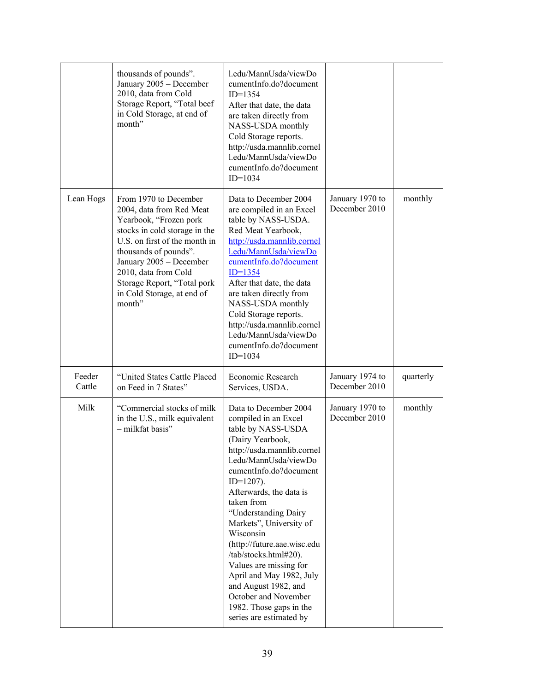|                  | thousands of pounds".<br>January 2005 - December<br>2010, data from Cold<br>Storage Report, "Total beef<br>in Cold Storage, at end of<br>month"                                                                                                                                                  | l.edu/MannUsda/viewDo<br>cumentInfo.do?document<br>$ID=1354$<br>After that date, the data<br>are taken directly from<br>NASS-USDA monthly<br>Cold Storage reports.<br>http://usda.mannlib.cornel<br>l.edu/MannUsda/viewDo<br>cumentInfo.do?document<br>$ID=1034$                                                                                                                                                                                                                                                      |                                  |           |
|------------------|--------------------------------------------------------------------------------------------------------------------------------------------------------------------------------------------------------------------------------------------------------------------------------------------------|-----------------------------------------------------------------------------------------------------------------------------------------------------------------------------------------------------------------------------------------------------------------------------------------------------------------------------------------------------------------------------------------------------------------------------------------------------------------------------------------------------------------------|----------------------------------|-----------|
| Lean Hogs        | From 1970 to December<br>2004, data from Red Meat<br>Yearbook, "Frozen pork<br>stocks in cold storage in the<br>U.S. on first of the month in<br>thousands of pounds".<br>January 2005 - December<br>2010, data from Cold<br>Storage Report, "Total pork<br>in Cold Storage, at end of<br>month" | Data to December 2004<br>are compiled in an Excel<br>table by NASS-USDA.<br>Red Meat Yearbook,<br>http://usda.mannlib.cornel<br>l.edu/MannUsda/viewDo<br>cumentInfo.do?document<br>$ID=1354$<br>After that date, the data<br>are taken directly from<br>NASS-USDA monthly<br>Cold Storage reports.<br>http://usda.mannlib.cornel<br>l.edu/MannUsda/viewDo<br>cumentInfo.do?document<br>$ID=1034$                                                                                                                      | January 1970 to<br>December 2010 | monthly   |
| Feeder<br>Cattle | "United States Cattle Placed<br>on Feed in 7 States"                                                                                                                                                                                                                                             | Economic Research<br>Services, USDA.                                                                                                                                                                                                                                                                                                                                                                                                                                                                                  | January 1974 to<br>December 2010 | quarterly |
| Milk             | "Commercial stocks of milk<br>in the U.S., milk equivalent<br>- milkfat basis"                                                                                                                                                                                                                   | Data to December 2004<br>compiled in an Excel<br>table by NASS-USDA<br>(Dairy Yearbook,<br>http://usda.mannlib.cornel<br>l.edu/MannUsda/viewDo<br>cumentInfo.do?document<br>$ID=1207$ ).<br>Afterwards, the data is<br>taken from<br>"Understanding Dairy<br>Markets", University of<br>Wisconsin<br>(http://future.aae.wisc.edu<br>/tab/stocks.html#20).<br>Values are missing for<br>April and May 1982, July<br>and August 1982, and<br>October and November<br>1982. Those gaps in the<br>series are estimated by | January 1970 to<br>December 2010 | monthly   |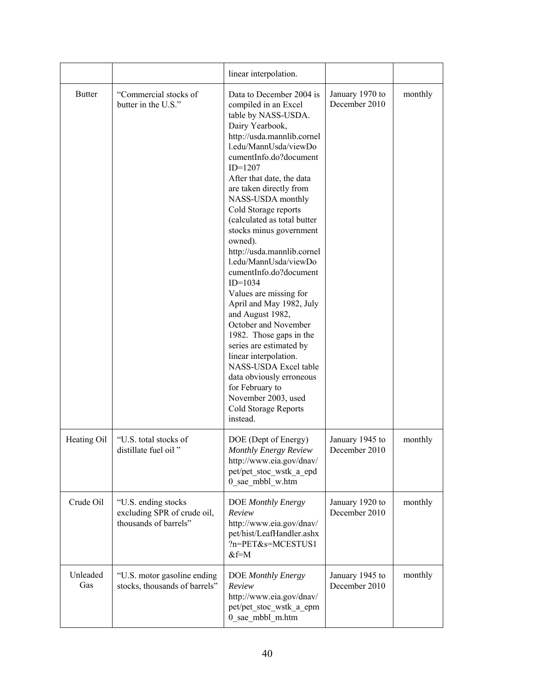|                 |                                                                             | linear interpolation.                                                                                                                                                                                                                                                                                                                                                                                                                                                                                                                                                                                                                                                                                                                                                                |                                  |         |
|-----------------|-----------------------------------------------------------------------------|--------------------------------------------------------------------------------------------------------------------------------------------------------------------------------------------------------------------------------------------------------------------------------------------------------------------------------------------------------------------------------------------------------------------------------------------------------------------------------------------------------------------------------------------------------------------------------------------------------------------------------------------------------------------------------------------------------------------------------------------------------------------------------------|----------------------------------|---------|
| <b>Butter</b>   | "Commercial stocks of<br>butter in the U.S."                                | Data to December 2004 is<br>compiled in an Excel<br>table by NASS-USDA.<br>Dairy Yearbook,<br>http://usda.mannlib.cornel<br>l.edu/MannUsda/viewDo<br>cumentInfo.do?document<br>$ID=1207$<br>After that date, the data<br>are taken directly from<br>NASS-USDA monthly<br>Cold Storage reports<br>(calculated as total butter<br>stocks minus government<br>owned).<br>http://usda.mannlib.cornel<br>l.edu/MannUsda/viewDo<br>cumentInfo.do?document<br>$ID=1034$<br>Values are missing for<br>April and May 1982, July<br>and August 1982,<br>October and November<br>1982. Those gaps in the<br>series are estimated by<br>linear interpolation.<br>NASS-USDA Excel table<br>data obviously erroneous<br>for February to<br>November 2003, used<br>Cold Storage Reports<br>instead. | January 1970 to<br>December 2010 | monthly |
| Heating Oil     | "U.S. total stocks of<br>distillate fuel oil"                               | DOE (Dept of Energy)<br>Monthly Energy Review<br>http://www.eia.gov/dnav/<br>pet/pet_stoc_wstk_a_epd<br>0 sae mbbl w.htm                                                                                                                                                                                                                                                                                                                                                                                                                                                                                                                                                                                                                                                             | January 1945 to<br>December 2010 | monthly |
| Crude Oil       | "U.S. ending stocks<br>excluding SPR of crude oil,<br>thousands of barrels" | DOE Monthly Energy<br>Review<br>http://www.eia.gov/dnav/<br>pet/hist/LeafHandler.ashx<br>?n=PET&s=MCESTUS1<br>$&f=M$                                                                                                                                                                                                                                                                                                                                                                                                                                                                                                                                                                                                                                                                 | January 1920 to<br>December 2010 | monthly |
| Unleaded<br>Gas | "U.S. motor gasoline ending<br>stocks, thousands of barrels"                | DOE Monthly Energy<br>Review<br>http://www.eia.gov/dnav/<br>pet/pet_stoc_wstk_a_epm<br>0 sae mbbl m.htm                                                                                                                                                                                                                                                                                                                                                                                                                                                                                                                                                                                                                                                                              | January 1945 to<br>December 2010 | monthly |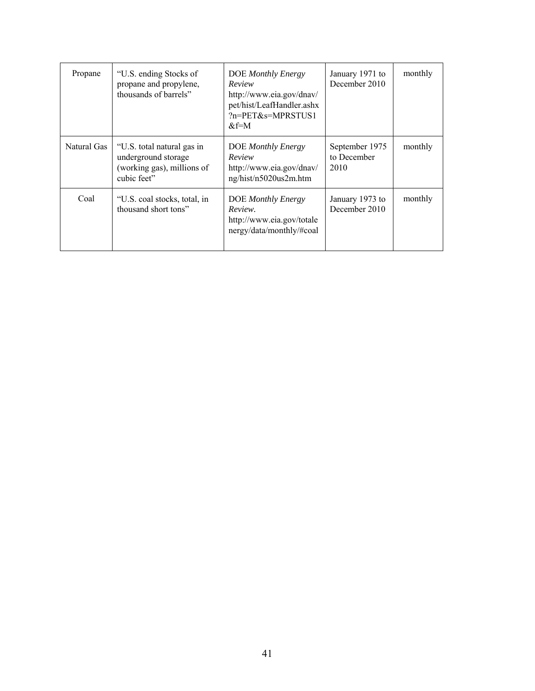| Propane     | "U.S. ending Stocks of<br>propane and propylene,<br>thousands of barrels"                      | DOE Monthly Energy<br>Review<br>http://www.eia.gov/dnav/<br>pet/hist/LeafHandler.ashx<br>?n=PET&s=MPRSTUS1<br>$&$ f=M | January 1971 to<br>December 2010      | monthly |
|-------------|------------------------------------------------------------------------------------------------|-----------------------------------------------------------------------------------------------------------------------|---------------------------------------|---------|
| Natural Gas | "U.S. total natural gas in<br>underground storage<br>(working gas), millions of<br>cubic feet" | DOE Monthly Energy<br>Review<br>http://www.eia.gov/dnav/<br>ng/hist/n5020us2m.htm                                     | September 1975<br>to December<br>2010 | monthly |
| Coal        | "U.S. coal stocks, total, in<br>thousand short tons"                                           | DOE Monthly Energy<br>Review.<br>http://www.eia.gov/totale<br>nergy/data/monthly/#coal                                | January 1973 to<br>December 2010      | monthly |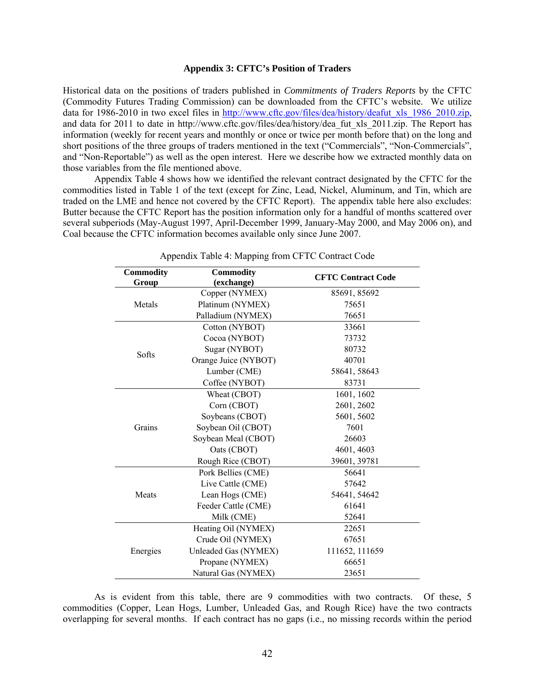#### **Appendix 3: CFTC's Position of Traders**

Historical data on the positions of traders published in *Commitments of Traders Reports* by the CFTC (Commodity Futures Trading Commission) can be downloaded from the CFTC's website. We utilize data for 1986-2010 in two excel files in http://www.cftc.gov/files/dea/history/deafut\_xls\_1986\_2010.zip, and data for 2011 to date in http://www.cftc.gov/files/dea/history/dea\_fut\_xls\_2011.zip. The Report has information (weekly for recent years and monthly or once or twice per month before that) on the long and short positions of the three groups of traders mentioned in the text ("Commercials", "Non-Commercials", and "Non-Reportable") as well as the open interest. Here we describe how we extracted monthly data on those variables from the file mentioned above.

 Appendix Table 4 shows how we identified the relevant contract designated by the CFTC for the commodities listed in Table 1 of the text (except for Zinc, Lead, Nickel, Aluminum, and Tin, which are traded on the LME and hence not covered by the CFTC Report). The appendix table here also excludes: Butter because the CFTC Report has the position information only for a handful of months scattered over several subperiods (May-August 1997, April-December 1999, January-May 2000, and May 2006 on), and Coal because the CFTC information becomes available only since June 2007.

| <b>Commodity</b><br>Group | <b>Commodity</b><br>(exchange) | <b>CFTC Contract Code</b> |
|---------------------------|--------------------------------|---------------------------|
|                           | Copper (NYMEX)                 | 85691, 85692              |
| Metals                    | Platinum (NYMEX)               | 75651                     |
|                           | Palladium (NYMEX)              | 76651                     |
|                           | Cotton (NYBOT)                 | 33661                     |
|                           | Cocoa (NYBOT)                  | 73732                     |
|                           | Sugar (NYBOT)                  | 80732                     |
| Softs                     | Orange Juice (NYBOT)           | 40701                     |
|                           | Lumber (CME)                   | 58641, 58643              |
|                           | Coffee (NYBOT)                 | 83731                     |
|                           | Wheat (CBOT)                   | 1601, 1602                |
|                           | Corn (CBOT)                    | 2601, 2602                |
|                           | Soybeans (CBOT)                | 5601, 5602                |
| Grains                    | Soybean Oil (CBOT)             | 7601                      |
|                           | Soybean Meal (CBOT)            | 26603                     |
|                           | Oats (CBOT)                    | 4601, 4603                |
|                           | Rough Rice (CBOT)              | 39601, 39781              |
|                           | Pork Bellies (CME)             | 56641                     |
|                           | Live Cattle (CME)              | 57642                     |
| Meats                     | Lean Hogs (CME)                | 54641, 54642              |
|                           | Feeder Cattle (CME)            | 61641                     |
|                           | Milk (CME)                     | 52641                     |
|                           | Heating Oil (NYMEX)            | 22651                     |
|                           | Crude Oil (NYMEX)              | 67651                     |
| Energies                  | Unleaded Gas (NYMEX)           | 111652, 111659            |
|                           | Propane (NYMEX)                | 66651                     |
|                           | Natural Gas (NYMEX)            | 23651                     |

Appendix Table 4: Mapping from CFTC Contract Code

 As is evident from this table, there are 9 commodities with two contracts. Of these, 5 commodities (Copper, Lean Hogs, Lumber, Unleaded Gas, and Rough Rice) have the two contracts overlapping for several months. If each contract has no gaps (i.e., no missing records within the period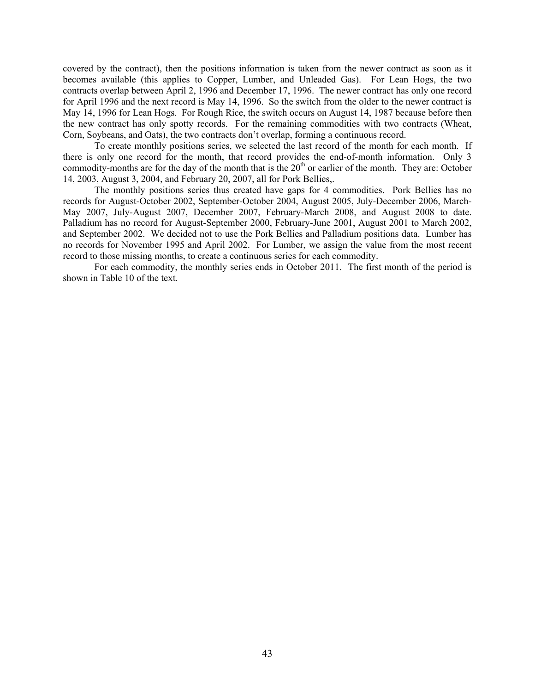covered by the contract), then the positions information is taken from the newer contract as soon as it becomes available (this applies to Copper, Lumber, and Unleaded Gas). For Lean Hogs, the two contracts overlap between April 2, 1996 and December 17, 1996. The newer contract has only one record for April 1996 and the next record is May 14, 1996. So the switch from the older to the newer contract is May 14, 1996 for Lean Hogs. For Rough Rice, the switch occurs on August 14, 1987 because before then the new contract has only spotty records. For the remaining commodities with two contracts (Wheat, Corn, Soybeans, and Oats), the two contracts don't overlap, forming a continuous record.

 To create monthly positions series, we selected the last record of the month for each month. If there is only one record for the month, that record provides the end-of-month information. Only 3 commodity-months are for the day of the month that is the  $20<sup>th</sup>$  or earlier of the month. They are: October 14, 2003, August 3, 2004, and February 20, 2007, all for Pork Bellies,.

 The monthly positions series thus created have gaps for 4 commodities. Pork Bellies has no records for August-October 2002, September-October 2004, August 2005, July-December 2006, March-May 2007, July-August 2007, December 2007, February-March 2008, and August 2008 to date. Palladium has no record for August-September 2000, February-June 2001, August 2001 to March 2002, and September 2002. We decided not to use the Pork Bellies and Palladium positions data. Lumber has no records for November 1995 and April 2002. For Lumber, we assign the value from the most recent record to those missing months, to create a continuous series for each commodity.

 For each commodity, the monthly series ends in October 2011. The first month of the period is shown in Table 10 of the text.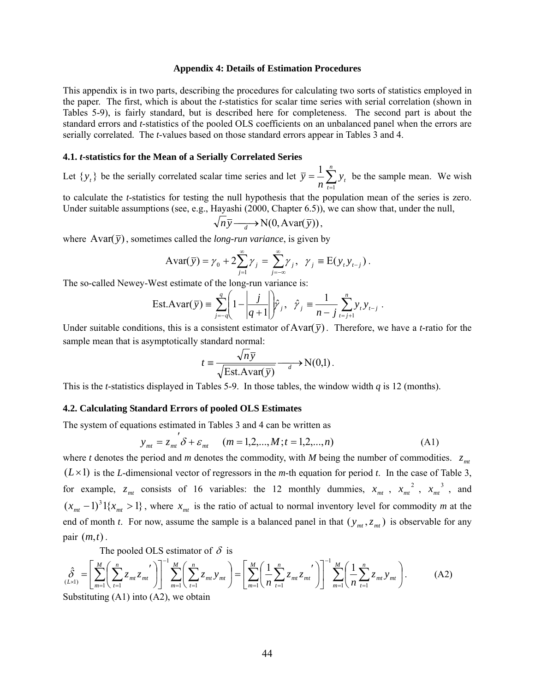#### **Appendix 4: Details of Estimation Procedures**

This appendix is in two parts, describing the procedures for calculating two sorts of statistics employed in the paper. The first, which is about the *t*-statistics for scalar time series with serial correlation (shown in Tables 5-9), is fairly standard, but is described here for completeness. The second part is about the standard errors and *t*-statistics of the pooled OLS coefficients on an unbalanced panel when the errors are serially correlated. The *t*-values based on those standard errors appear in Tables 3 and 4.

#### **4.1.** *t***-statistics for the Mean of a Serially Correlated Series**

Let  $\{y_t\}$  be the serially correlated scalar time series and let  $\overline{y} = \frac{1}{n} \sum_{t=1}^{n}$ *t*  $\frac{1}{n} \sum_{t=1}^{n} y_t$ *y* 1  $\frac{1}{n} \sum_{i=1}^{n} y_i$  be the sample mean. We wish

to calculate the *t*-statistics for testing the null hypothesis that the population mean of the series is zero. Under suitable assumptions (see, e.g., Hayashi (2000, Chapter 6.5)), we can show that, under the null,

$$
\sqrt{n}\overline{y} \longrightarrow N(0, Avar(\overline{y})),
$$

where  $Avar(\bar{y})$ , sometimes called the *long-run variance*, is given by

$$
\text{Avar}(\overline{y}) = \gamma_0 + 2\sum_{j=1}^{\infty} \gamma_j = \sum_{j=-\infty}^{\infty} \gamma_j, \ \gamma_j \equiv \text{E}(y_t y_{t-j}).
$$

The so-called Newey-West estimate of the long-run variance is:

Est. 
$$
Avar(\bar{y}) = \sum_{j=-q}^{q} \left(1 - \left| \frac{j}{q+1} \right| \hat{y}_j, \quad \hat{y}_j = \frac{1}{n-j} \sum_{t=j+1}^{n} y_t y_{t-j}.
$$

Under suitable conditions, this is a consistent estimator of  $Avar(\bar{y})$ . Therefore, we have a *t*-ratio for the sample mean that is asymptotically standard normal:

$$
t = \frac{\sqrt{n}\,\overline{y}}{\sqrt{\text{Est}.\text{Avar}(\,\overline{y})}} \longrightarrow N(0,1) \,.
$$

This is the *t*-statistics displayed in Tables 5-9. In those tables, the window width *q* is 12 (months).

#### **4.2. Calculating Standard Errors of pooled OLS Estimates**

The system of equations estimated in Tables 3 and 4 can be written as

$$
y_{mt} = z_{mt} \delta + \varepsilon_{mt} \quad (m = 1, 2, ..., M; t = 1, 2, ..., n)
$$
 (A1)

where *t* denotes the period and *m* denotes the commodity, with *M* being the number of commodities.  $z_{mt}$  $(L \times 1)$  is the *L*-dimensional vector of regressors in the *m*-th equation for period *t*. In the case of Table 3, for example,  $z_{mt}$  consists of 16 variables: the 12 monthly dummies,  $x_{mt}$ ,  $x_{mt}$ <sup>2</sup>,  $x_{mt}$ <sup>3</sup>, and  $(x_{mt} - 1)^3 1\{x_{mt} > 1\}$ , where  $x_{mt}$  is the ratio of actual to normal inventory level for commodity *m* at the end of month *t*. For now, assume the sample is a balanced panel in that  $(y_m, z_m)$  is observable for any pair (*m*,*t*) .

The pooled OLS estimator of  $\delta$  is

$$
\hat{\delta}_{(L\times 1)} = \left[ \sum_{m=1}^{M} \left( \sum_{t=1}^{n} z_{mt} z_{mt}' \right) \right]^{-1} \sum_{m=1}^{M} \left( \sum_{t=1}^{n} z_{mt} y_{mt} \right) = \left[ \sum_{m=1}^{M} \left( \frac{1}{n} \sum_{t=1}^{n} z_{mt} z_{mt}' \right) \right]^{-1} \sum_{m=1}^{M} \left( \frac{1}{n} \sum_{t=1}^{n} z_{mt} y_{mt} \right).
$$
\n(A2)

Substituting  $(A1)$  into  $(A2)$ , we obtain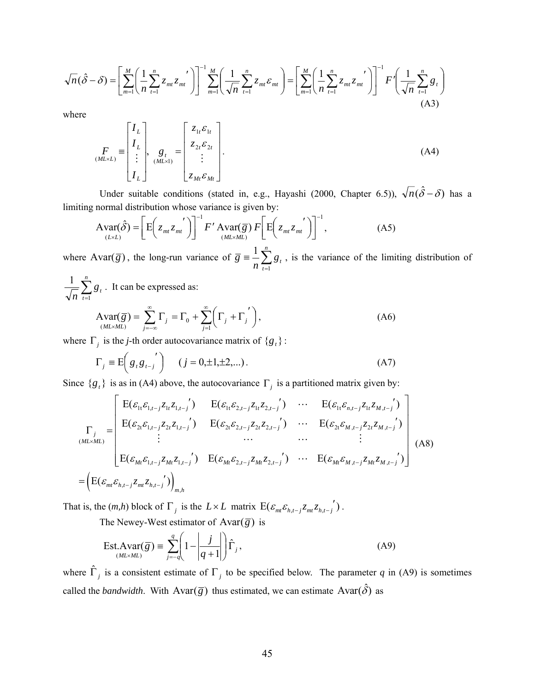$$
\sqrt{n}(\hat{\delta} - \delta) = \left[ \sum_{m=1}^{M} \left( \frac{1}{n} \sum_{t=1}^{n} z_{mt} z_{mt} \right) \right]^{-1} \sum_{m=1}^{M} \left( \frac{1}{\sqrt{n}} \sum_{t=1}^{n} z_{mt} \varepsilon_{mt} \right) = \left[ \sum_{m=1}^{M} \left( \frac{1}{n} \sum_{t=1}^{n} z_{mt} z_{mt} \right)^{t} \right]^{-1} F' \left( \frac{1}{\sqrt{n}} \sum_{t=1}^{n} g_{t} \right)
$$
\n(A3)

where

$$
\begin{aligned}\n\boldsymbol{F}_{\text{ML}} \\
\boldsymbol{F}_{\text{ML}}\n\end{aligned} = \begin{bmatrix}\nI_L \\
I_L \\
\vdots \\
I_L\n\end{bmatrix},\n\boldsymbol{g}_t \\
\boldsymbol{g}_t \\
\boldsymbol{g}_t\n\end{bmatrix} = \begin{bmatrix}\nz_{1t}\epsilon_{1t} \\
z_{2t}\epsilon_{2t} \\
\vdots \\
z_{Mt}\epsilon_{Mt}\n\end{bmatrix}.\n\tag{A4}
$$

Under suitable conditions (stated in, e.g., Hayashi (2000, Chapter 6.5)),  $\sqrt{n}(\hat{\delta} - \delta)$  has a limiting normal distribution whose variance is given by:

$$
\text{Avar}(\hat{\delta}) = \left[ \text{E} \left( z_{mt} z_{mt} \right) \right]^{-1} F' \text{Avar}(\overline{g}) F \left[ \text{E} \left( z_{mt} z_{mt} \right) \right]^{-1}, \tag{A5}
$$

where Avar( $\overline{g}$ ), the long-run variance of  $\overline{g} = \frac{1}{n} \sum_{t=1}^{n}$  $\overline{g}$  =  $\frac{1}{n} \sum_{t=1}^{n} g_t$ 1  $\frac{1}{n} \sum_{i=1}^{n} g_{i}$ , is the variance of the limiting distribution of

 $\sum_{t=1}^{n}$ *t gt*  $n \nightharpoonup_{t=1}$  $\frac{1}{\sqrt{2}} \sum_{i=1}^{n} g_{i}$ . It can be expressed as:

$$
\text{Avar}(\overline{g}) = \sum_{j=-\infty}^{\infty} \Gamma_j = \Gamma_0 + \sum_{j=1}^{\infty} \left( \Gamma_j + \Gamma_j \right),\tag{A6}
$$

where  $\Gamma_j$  is the *j*-th order autocovariance matrix of  $\{g_t\}$ :

$$
\Gamma_j \equiv E\left(g_t g_{t-j}\right) \quad (j = 0, \pm 1, \pm 2,...). \tag{A7}
$$

Since  ${g<sub>t</sub>}$  is as in (A4) above, the autocovariance  $\Gamma<sub>j</sub>$  is a partitioned matrix given by:

$$
\Gamma_{j} = \begin{bmatrix}\nE(\varepsilon_{1t}\varepsilon_{1,t-j}z_{1t}z_{1,t-j}') & E(\varepsilon_{1t}\varepsilon_{2,t-j}z_{1t}z_{2,t-j}') & \cdots & E(\varepsilon_{1t}\varepsilon_{n,t-j}z_{1t}z_{M,t-j}') \\
E(\varepsilon_{2t}\varepsilon_{1,t-j}z_{2t}z_{1,t-j}') & E(\varepsilon_{2t}\varepsilon_{2,t-j}z_{2t}z_{2,t-j}') & \cdots & E(\varepsilon_{2t}\varepsilon_{M,t-j}z_{2t}z_{M,t-j}') \\
\vdots & \cdots & \cdots & \vdots \\
E(\varepsilon_{Mt}\varepsilon_{1,t-j}z_{Mt}z_{1,t-j}') & E(\varepsilon_{Mt}\varepsilon_{2,t-j}z_{Mt}z_{2,t-j}') & \cdots & E(\varepsilon_{Mt}\varepsilon_{M,t-j}z_{Mt}z_{M,t-j}')\n\end{bmatrix} (A8)
$$
\n
$$
= \left( E(\varepsilon_{m} \varepsilon_{h,t-j} z_{m1} z_{h,t-j}') \right)_{m,h}
$$

That is, the  $(m,h)$  block of  $\Gamma_j$  is the  $L \times L$  matrix  $E(\varepsilon_{m} \varepsilon_{h,t-j} z_{m} z_{h,t-j})$ .

The Newey-West estimator of  $Avar(\overline{g})$  is

$$
\text{Est.} \text{Avar}(\overline{g}) = \sum_{j=-q}^{q} \left( 1 - \left| \frac{j}{q+1} \right| \right) \hat{\Gamma}_{j}, \tag{A9}
$$

where  $\hat{\Gamma}_j$  is a consistent estimate of  $\Gamma_j$  to be specified below. The parameter q in (A9) is sometimes called the *bandwidth*. With Avar( $\overline{g}$ ) thus estimated, we can estimate Avar( $\hat{\delta}$ ) as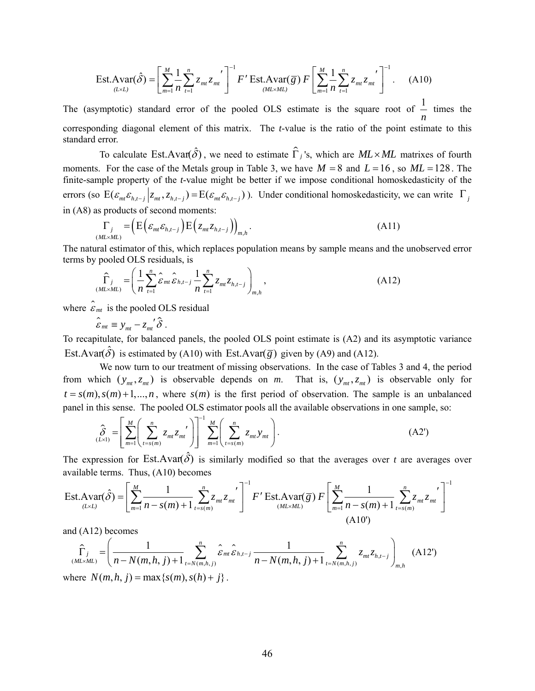$$
\text{Est.} \text{Avar}(\hat{\delta}) = \left[ \sum_{m=1}^{M} \frac{1}{n} \sum_{t=1}^{n} z_{mt} z_{mt} \right]^{-1} F' \text{Est.} \text{Avar}(\overline{g}) F \left[ \sum_{m=1}^{M} \frac{1}{n} \sum_{t=1}^{n} z_{mt} z_{mt} \right]^{-1} . \tag{A10}
$$

The (asymptotic) standard error of the pooled OLS estimate is the square root of  $\frac{1}{1}$ *n* times the corresponding diagonal element of this matrix. The *t*-value is the ratio of the point estimate to this standard error.

To calculate Est.Avar( $\hat{\delta}$ ), we need to estimate  $\hat{\Gamma}_j$ 's, which are *ML*×*ML* matrixes of fourth moments. For the case of the Metals group in Table 3, we have  $M = 8$  and  $L = 16$ , so  $ML = 128$ . The finite-sample property of the *t*-value might be better if we impose conditional homoskedasticity of the errors (so  $E(\varepsilon_{m} \varepsilon_{h,t-j} | z_{m}, z_{h,t-j}) = E(\varepsilon_{m} \varepsilon_{h,t-j})$ ). Under conditional homoskedasticity, we can write  $\Gamma_j$ in (A8) as products of second moments:

$$
\Gamma_j = \left( \mathbf{E} \left( \varepsilon_{mt} \varepsilon_{h,t-j} \right) \mathbf{E} \left( z_{mt} z_{h,t-j} \right) \right)_{m,h} . \tag{A11}
$$

The natural estimator of this, which replaces population means by sample means and the unobserved error terms by pooled OLS residuals, is

$$
\widehat{\Gamma}_{j} = \left(\frac{1}{n}\sum_{t=1}^{n} \widehat{\epsilon}_{mt} \widehat{\epsilon}_{h,t-j} \frac{1}{n} \sum_{t=1}^{n} z_{mt} z_{h,t-j}\right)_{m,h},
$$
\n(A12)

where  $\hat{\epsilon}_{mt}$  is the pooled OLS residual

 $\hat{\varepsilon}_{mt} \equiv y_{mt} - z_{mt}^{'} \hat{\delta}$ .

To recapitulate, for balanced panels, the pooled OLS point estimate is (A2) and its asymptotic variance Est.Avar( $\hat{\delta}$ ) is estimated by (A10) with Est.Avar( $\bar{g}$ ) given by (A9) and (A12).

We now turn to our treatment of missing observations. In the case of Tables 3 and 4, the period from which  $(y_{mt}, z_{mt})$  is observable depends on *m*. That is,  $(y_{mt}, z_{mt})$  is observable only for  $t = s(m)$ ,  $s(m) + 1,...,n$ , where  $s(m)$  is the first period of observation. The sample is an unbalanced panel in this sense. The pooled OLS estimator pools all the available observations in one sample, so:

$$
\hat{\delta}_{(L \times 1)} = \left[ \sum_{m=1}^{M} \left( \sum_{t=s(m)}^{n} z_{mt} z_{mt'}' \right) \right]^{-1} \sum_{m=1}^{M} \left( \sum_{t=s(m)}^{n} z_{mt} y_{mt} \right). \tag{A2'}
$$

The expression for Est.Avar( $\delta$ ) is similarly modified so that the averages over *t* are averages over available terms. Thus, (A10) becomes

$$
\text{Est}.\text{Avar}(\hat{\delta}) = \left[\sum_{m=1}^{M} \frac{1}{n - s(m) + 1} \sum_{t=s(m)}^{n} z_{mt} z_{mt} \right]^{-1} F' \text{Est}.\text{Avar}(\overline{g}) F\left[\sum_{m=1}^{M} \frac{1}{n - s(m) + 1} \sum_{t=s(m)}^{n} z_{mt} z_{mt} \right]^{-1} \tag{A10'}
$$

and (A12) becomes

$$
\hat{\Gamma}_{j} = \left(\frac{1}{n - N(m, h, j) + 1} \sum_{t=N(m, h, j)}^{n} \hat{\varepsilon}_{mt} \hat{\varepsilon}_{h,t-j} \frac{1}{n - N(m, h, j) + 1} \sum_{t=N(m, h, j)}^{n} z_{mt} z_{h,t-j}\right)_{m,h}
$$
(A12')

where  $N(m, h, j) = \max\{s(m), s(h) + j\}$ .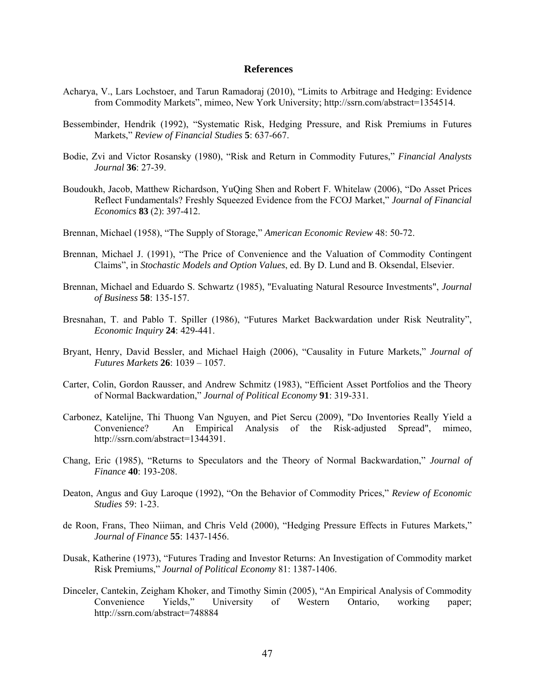#### **References**

- Acharya, V., Lars Lochstoer, and Tarun Ramadoraj (2010), "Limits to Arbitrage and Hedging: Evidence from Commodity Markets", mimeo, New York University; http://ssrn.com/abstract=1354514.
- Bessembinder, Hendrik (1992), "Systematic Risk, Hedging Pressure, and Risk Premiums in Futures Markets," *Review of Financial Studies* **5**: 637-667.
- Bodie, Zvi and Victor Rosansky (1980), "Risk and Return in Commodity Futures," *Financial Analysts Journal* **36**: 27-39.
- Boudoukh, Jacob, Matthew Richardson, YuQing Shen and Robert F. Whitelaw (2006), "Do Asset Prices Reflect Fundamentals? Freshly Squeezed Evidence from the FCOJ Market," *Journal of Financial Economics* **83** (2): 397-412.
- Brennan, Michael (1958), "The Supply of Storage," *American Economic Review* 48: 50-72.
- Brennan, Michael J. (1991), "The Price of Convenience and the Valuation of Commodity Contingent Claims", in *Stochastic Models and Option Values*, ed. By D. Lund and B. Oksendal, Elsevier.
- Brennan, Michael and Eduardo S. Schwartz (1985), "Evaluating Natural Resource Investments", *Journal of Business* **58**: 135-157.
- Bresnahan, T. and Pablo T. Spiller (1986), "Futures Market Backwardation under Risk Neutrality", *Economic Inquiry* **24**: 429-441.
- Bryant, Henry, David Bessler, and Michael Haigh (2006), "Causality in Future Markets," *Journal of Futures Markets* **26**: 1039 – 1057.
- Carter, Colin, Gordon Rausser, and Andrew Schmitz (1983), "Efficient Asset Portfolios and the Theory of Normal Backwardation," *Journal of Political Economy* **91**: 319-331.
- Carbonez, Katelijne, Thi Thuong Van Nguyen, and Piet Sercu (2009), "Do Inventories Really Yield a Convenience? An Empirical Analysis of the Risk-adjusted Spread", mimeo, http://ssrn.com/abstract=1344391.
- Chang, Eric (1985), "Returns to Speculators and the Theory of Normal Backwardation," *Journal of Finance* **40**: 193-208.
- Deaton, Angus and Guy Laroque (1992), "On the Behavior of Commodity Prices," *Review of Economic Studies* 59: 1-23.
- de Roon, Frans, Theo Niiman, and Chris Veld (2000), "Hedging Pressure Effects in Futures Markets," *Journal of Finance* **55**: 1437-1456.
- Dusak, Katherine (1973), "Futures Trading and Investor Returns: An Investigation of Commodity market Risk Premiums," *Journal of Political Economy* 81: 1387-1406.
- Dinceler, Cantekin, Zeigham Khoker, and Timothy Simin (2005), "An Empirical Analysis of Commodity Convenience Yields," University of Western Ontario, working paper; http://ssrn.com/abstract=748884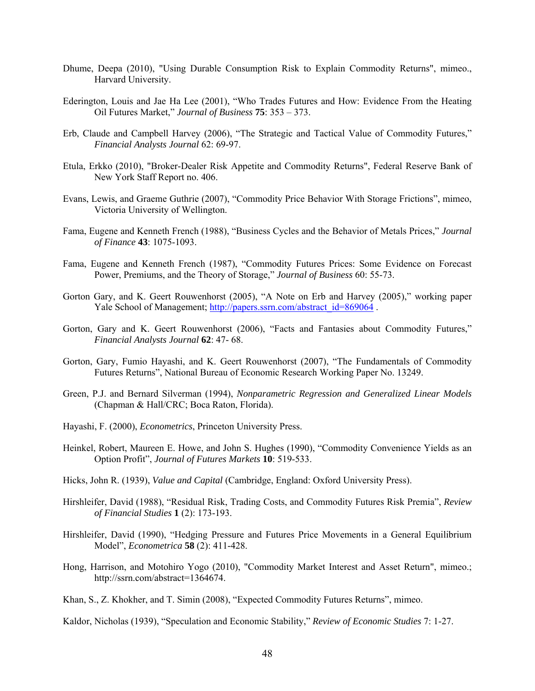- Dhume, Deepa (2010), "Using Durable Consumption Risk to Explain Commodity Returns", mimeo., Harvard University.
- Ederington, Louis and Jae Ha Lee (2001), "Who Trades Futures and How: Evidence From the Heating Oil Futures Market," *Journal of Business* **75**: 353 – 373.
- Erb, Claude and Campbell Harvey (2006), "The Strategic and Tactical Value of Commodity Futures," *Financial Analysts Journal* 62: 69-97.
- Etula, Erkko (2010), "Broker-Dealer Risk Appetite and Commodity Returns", Federal Reserve Bank of New York Staff Report no. 406.
- Evans, Lewis, and Graeme Guthrie (2007), "Commodity Price Behavior With Storage Frictions", mimeo, Victoria University of Wellington.
- Fama, Eugene and Kenneth French (1988), "Business Cycles and the Behavior of Metals Prices," *Journal of Finance* **43**: 1075-1093.
- Fama, Eugene and Kenneth French (1987), "Commodity Futures Prices: Some Evidence on Forecast Power, Premiums, and the Theory of Storage," *Journal of Business* 60: 55-73.
- Gorton Gary, and K. Geert Rouwenhorst (2005), "A Note on Erb and Harvey (2005)," working paper Yale School of Management; http://papers.ssrn.com/abstract\_id=869064.
- Gorton, Gary and K. Geert Rouwenhorst (2006), "Facts and Fantasies about Commodity Futures," *Financial Analysts Journal* **62**: 47- 68.
- Gorton, Gary, Fumio Hayashi, and K. Geert Rouwenhorst (2007), "The Fundamentals of Commodity Futures Returns", National Bureau of Economic Research Working Paper No. 13249.
- Green, P.J. and Bernard Silverman (1994), *Nonparametric Regression and Generalized Linear Models* (Chapman & Hall/CRC; Boca Raton, Florida).
- Hayashi, F. (2000), *Econometrics*, Princeton University Press.
- Heinkel, Robert, Maureen E. Howe, and John S. Hughes (1990), "Commodity Convenience Yields as an Option Profit", *Journal of Futures Markets* **10**: 519-533.
- Hicks, John R. (1939), *Value and Capital* (Cambridge, England: Oxford University Press).
- Hirshleifer, David (1988), "Residual Risk, Trading Costs, and Commodity Futures Risk Premia", *Review of Financial Studies* **1** (2): 173-193.
- Hirshleifer, David (1990), "Hedging Pressure and Futures Price Movements in a General Equilibrium Model", *Econometrica* **58** (2): 411-428.
- Hong, Harrison, and Motohiro Yogo (2010), "Commodity Market Interest and Asset Return", mimeo.; http://ssrn.com/abstract=1364674.
- Khan, S., Z. Khokher, and T. Simin (2008), "Expected Commodity Futures Returns", mimeo.

Kaldor, Nicholas (1939), "Speculation and Economic Stability," *Review of Economic Studies* 7: 1-27.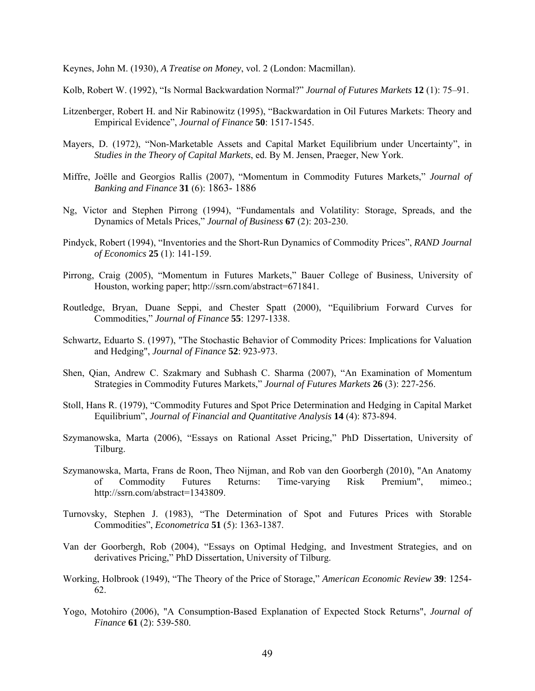Keynes, John M. (1930), *A Treatise on Money*, vol. 2 (London: Macmillan).

Kolb, Robert W. (1992), "Is Normal Backwardation Normal?" *Journal of Futures Markets* **12** (1): 75–91.

- Litzenberger, Robert H. and Nir Rabinowitz (1995), "Backwardation in Oil Futures Markets: Theory and Empirical Evidence", *Journal of Finance* **50**: 1517-1545.
- Mayers, D. (1972), "Non-Marketable Assets and Capital Market Equilibrium under Uncertainty", in *Studies in the Theory of Capital Markets*, ed. By M. Jensen, Praeger, New York.
- Miffre, Joëlle and Georgios Rallis (2007), "Momentum in Commodity Futures Markets," *Journal of Banking and Finance* **31** (6): 1863- 1886
- Ng, Victor and Stephen Pirrong (1994), "Fundamentals and Volatility: Storage, Spreads, and the Dynamics of Metals Prices," *Journal of Business* **67** (2): 203-230.
- Pindyck, Robert (1994), "Inventories and the Short-Run Dynamics of Commodity Prices", *RAND Journal of Economics* **25** (1): 141-159.
- Pirrong, Craig (2005), "Momentum in Futures Markets," Bauer College of Business, University of Houston, working paper; http://ssrn.com/abstract=671841.
- Routledge, Bryan, Duane Seppi, and Chester Spatt (2000), "Equilibrium Forward Curves for Commodities," *Journal of Finance* **55**: 1297-1338.
- Schwartz, Eduarto S. (1997), "The Stochastic Behavior of Commodity Prices: Implications for Valuation and Hedging", *Journal of Finance* **52**: 923-973.
- Shen, Qian, Andrew C. Szakmary and Subhash C. Sharma (2007), "An Examination of Momentum Strategies in Commodity Futures Markets," *Journal of Futures Markets* **26** (3): 227-256.
- Stoll, Hans R. (1979), "Commodity Futures and Spot Price Determination and Hedging in Capital Market Equilibrium", *Journal of Financial and Quantitative Analysis* **14** (4): 873-894.
- Szymanowska, Marta (2006), "Essays on Rational Asset Pricing," PhD Dissertation, University of Tilburg.
- Szymanowska, Marta, Frans de Roon, Theo Nijman, and Rob van den Goorbergh (2010), "An Anatomy of Commodity Futures Returns: Time-varying Risk Premium", mimeo.; http://ssrn.com/abstract=1343809.
- Turnovsky, Stephen J. (1983), "The Determination of Spot and Futures Prices with Storable Commodities", *Econometrica* **51** (5): 1363-1387.
- Van der Goorbergh, Rob (2004), "Essays on Optimal Hedging, and Investment Strategies, and on derivatives Pricing," PhD Dissertation, University of Tilburg.
- Working, Holbrook (1949), "The Theory of the Price of Storage," *American Economic Review* **39**: 1254- 62.
- Yogo, Motohiro (2006), "A Consumption-Based Explanation of Expected Stock Returns", *Journal of Finance* **61** (2): 539-580.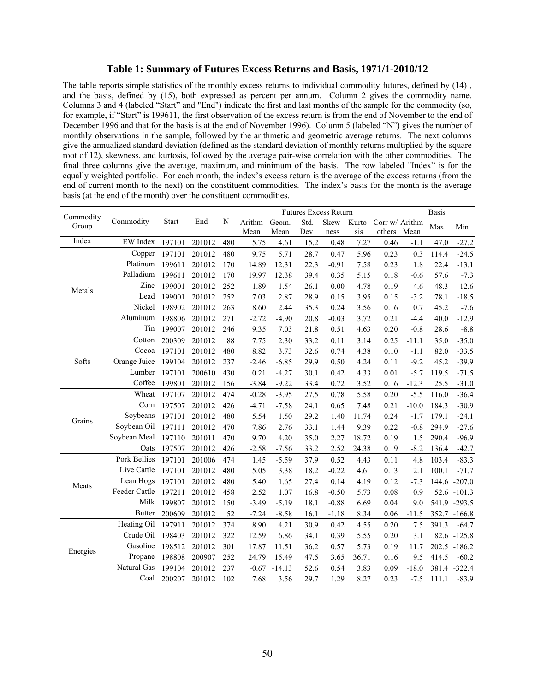#### **Table 1: Summary of Futures Excess Returns and Basis, 1971/1-2010/12**

The table reports simple statistics of the monthly excess returns to individual commodity futures, defined by (14) , and the basis, defined by (15), both expressed as percent per annum. Column 2 gives the commodity name. Columns 3 and 4 (labeled "Start" and "End") indicate the first and last months of the sample for the commodity (so, for example, if "Start" is 199611, the first observation of the excess return is from the end of November to the end of December 1996 and that for the basis is at the end of November 1996). Column 5 (labeled "N") gives the number of monthly observations in the sample, followed by the arithmetic and geometric average returns. The next columns give the annualized standard deviation (defined as the standard deviation of monthly returns multiplied by the square root of 12), skewness, and kurtosis, followed by the average pair-wise correlation with the other commodities. The final three columns give the average, maximum, and minimum of the basis. The row labeled "Index" is for the equally weighted portfolio. For each month, the index's excess return is the average of the excess returns (from the end of current month to the next) on the constituent commodities. The index's basis for the month is the average basis (at the end of the month) over the constituent commodities.

| Commodity |               |              |        |     |         |          |      | <b>Futures Excess Return</b> |       |                             |         | <b>Basis</b> |                |
|-----------|---------------|--------------|--------|-----|---------|----------|------|------------------------------|-------|-----------------------------|---------|--------------|----------------|
| Group     | Commodity     | <b>Start</b> | End    | N   | Arithm  | Geom.    | Std. |                              |       | Skew- Kurto- Corr w/ Arithm |         | Max          | Min            |
|           |               |              |        |     | Mean    | Mean     | Dev  | ness                         | sis   | others                      | Mean    |              |                |
| Index     | EW Index      | 197101       | 201012 | 480 | 5.75    | 4.61     | 15.2 | 0.48                         | 7.27  | 0.46                        | $-1.1$  | 47.0         | $-27.2$        |
|           | Copper        | 197101       | 201012 | 480 | 9.75    | 5.71     | 28.7 | 0.47                         | 5.96  | 0.23                        | 0.3     | 114.4        | $-24.5$        |
|           | Platinum      | 199611       | 201012 | 170 | 14.89   | 12.31    | 22.3 | $-0.91$                      | 7.58  | 0.23                        | 1.8     | 22.4         | $-13.1$        |
|           | Palladium     | 199611       | 201012 | 170 | 19.97   | 12.38    | 39.4 | 0.35                         | 5.15  | 0.18                        | $-0.6$  | 57.6         | $-7.3$         |
| Metals    | Zinc          | 199001       | 201012 | 252 | 1.89    | $-1.54$  | 26.1 | 0.00                         | 4.78  | 0.19                        | $-4.6$  | 48.3         | $-12.6$        |
|           | Lead          | 199001       | 201012 | 252 | 7.03    | 2.87     | 28.9 | 0.15                         | 3.95  | 0.15                        | $-3.2$  | 78.1         | $-18.5$        |
|           | Nickel        | 198902       | 201012 | 263 | 8.60    | 2.44     | 35.3 | 0.24                         | 3.56  | 0.16                        | 0.7     | 45.2         | $-7.6$         |
|           | Aluminum      | 198806       | 201012 | 271 | $-2.72$ | $-4.90$  | 20.8 | $-0.03$                      | 3.72  | 0.21                        | $-4.4$  | 40.0         | $-12.9$        |
|           | Tin           | 199007       | 201012 | 246 | 9.35    | 7.03     | 21.8 | 0.51                         | 4.63  | 0.20                        | $-0.8$  | 28.6         | $-8.8$         |
|           | Cotton        | 200309       | 201012 | 88  | 7.75    | 2.30     | 33.2 | 0.11                         | 3.14  | 0.25                        | $-11.1$ | 35.0         | $-35.0$        |
|           | Cocoa         | 197101       | 201012 | 480 | 8.82    | 3.73     | 32.6 | 0.74                         | 4.38  | 0.10                        | $-1.1$  | 82.0         | $-33.5$        |
| Softs     | Orange Juice  | 199104       | 201012 | 237 | $-2.46$ | $-6.85$  | 29.9 | 0.50                         | 4.24  | 0.11                        | $-9.2$  | 45.2         | $-39.9$        |
|           | Lumber        | 197101       | 200610 | 430 | 0.21    | $-4.27$  | 30.1 | 0.42                         | 4.33  | 0.01                        | $-5.7$  | 119.5        | $-71.5$        |
|           | Coffee        | 199801       | 201012 | 156 | $-3.84$ | $-9.22$  | 33.4 | 0.72                         | 3.52  | 0.16                        | $-12.3$ | 25.5         | $-31.0$        |
|           | Wheat         | 197107       | 201012 | 474 | $-0.28$ | $-3.95$  | 27.5 | 0.78                         | 5.58  | 0.20                        | $-5.5$  | 116.0        | $-36.4$        |
|           | Corn          | 197507       | 201012 | 426 | $-4.71$ | $-7.58$  | 24.1 | 0.65                         | 7.48  | 0.21                        | $-10.0$ | 184.3        | $-30.9$        |
|           | Soybeans      | 197101       | 201012 | 480 | 5.54    | 1.50     | 29.2 | 1.40                         | 11.74 | 0.24                        | $-1.7$  | 179.1        | $-24.1$        |
| Grains    | Soybean Oil   | 197111       | 201012 | 470 | 7.86    | 2.76     | 33.1 | 1.44                         | 9.39  | 0.22                        | $-0.8$  | 294.9        | $-27.6$        |
|           | Soybean Meal  | 197110       | 201011 | 470 | 9.70    | 4.20     | 35.0 | 2.27                         | 18.72 | 0.19                        | 1.5     | 290.4        | $-96.9$        |
|           | Oats          | 197507       | 201012 | 426 | $-2.58$ | $-7.56$  | 33.2 | 2.52                         | 24.38 | 0.19                        | $-8.2$  | 136.4        | $-42.7$        |
|           | Pork Bellies  | 197101       | 201006 | 474 | 1.45    | $-5.59$  | 37.9 | 0.52                         | 4.43  | 0.11                        | 4.8     | 103.4        | $-83.3$        |
|           | Live Cattle   | 197101       | 201012 | 480 | 5.05    | 3.38     | 18.2 | $-0.22$                      | 4.61  | 0.13                        | 2.1     | 100.1        | $-71.7$        |
|           | Lean Hogs     | 197101       | 201012 | 480 | 5.40    | 1.65     | 27.4 | 0.14                         | 4.19  | 0.12                        | $-7.3$  |              | 144.6 -207.0   |
| Meats     | Feeder Cattle | 197211       | 201012 | 458 | 2.52    | 1.07     | 16.8 | $-0.50$                      | 5.73  | 0.08                        | 0.9     |              | 52.6 -101.3    |
|           | Milk          | 199807       | 201012 | 150 | $-3.49$ | $-5.19$  | 18.1 | $-0.88$                      | 6.69  | 0.04                        | 9.0     |              | 541.9 -293.5   |
|           | <b>Butter</b> | 200609       | 201012 | 52  | $-7.24$ | $-8.58$  | 16.1 | $-1.18$                      | 8.34  | 0.06                        | $-11.5$ |              | 352.7 -166.8   |
|           | Heating Oil   | 197911       | 201012 | 374 | 8.90    | 4.21     | 30.9 | 0.42                         | 4.55  | 0.20                        | 7.5     | 391.3        | $-64.7$        |
|           | Crude Oil     | 198403       | 201012 | 322 | 12.59   | 6.86     | 34.1 | 0.39                         | 5.55  | 0.20                        | 3.1     |              | $82.6 - 125.8$ |
|           | Gasoline      | 198512       | 201012 | 301 | 17.87   | 11.51    | 36.2 | 0.57                         | 5.73  | 0.19                        | 11.7    |              | 202.5 -186.2   |
| Energies  | Propane       | 198808       | 200907 | 252 | 24.79   | 15.49    | 47.5 | 3.65                         | 36.71 | 0.16                        | 9.5     | 414.5        | $-60.2$        |
|           | Natural Gas   | 199104       | 201012 | 237 | $-0.67$ | $-14.13$ | 52.6 | 0.54                         | 3.83  | 0.09                        | $-18.0$ |              | 381.4 - 322.4  |
|           | Coal          | 200207       | 201012 | 102 | 7.68    | 3.56     | 29.7 | 1.29                         | 8.27  | 0.23                        | $-7.5$  | 111.1        | $-83.9$        |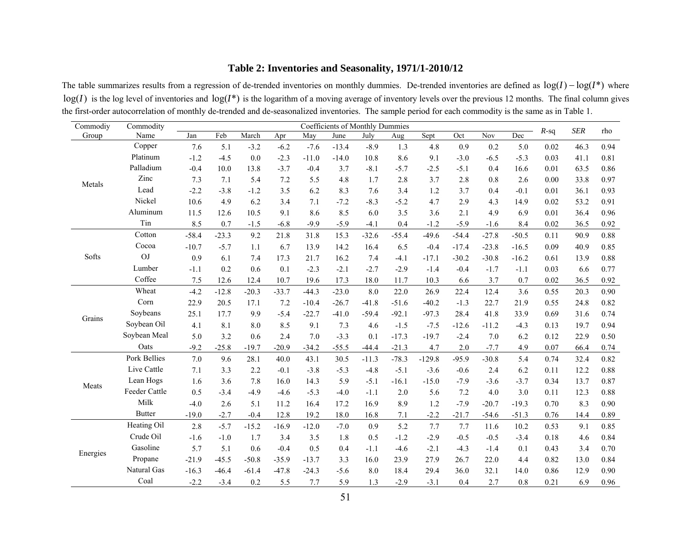# **Table 2: Inventories and Seasonality, 1971/1-2010/12**

The table summarizes results from a regression of de-trended inventories on monthly dummies. De-trended inventories are defined as log(*I*) <sup>−</sup> log(*I*\*) where  $log(I)$  is the log level of inventories and  $log(I^*)$  is the logarithm of a moving average of inventory levels over the previous 12 months. The final column gives the first-order autocorrelation of monthly de-trended and de-seasonalized inventories. The sample period for each commodity is the same as in Table 1.

| Commodiy | Commodity     |         |         |         |         |         | <b>Coefficients of Monthly Dummies</b> |         |         |          |         |         |         | $R$ -sq | <b>SER</b> | rho  |
|----------|---------------|---------|---------|---------|---------|---------|----------------------------------------|---------|---------|----------|---------|---------|---------|---------|------------|------|
| Group    | Name          | Jan     | Feb     | March   | Apr     | May     | June                                   | July    | Aug     | Sept     | Oct     | Nov     | Dec     |         |            |      |
|          | Copper        | 7.6     | 5.1     | $-3.2$  | $-6.2$  | $-7.6$  | $-13.4$                                | $-8.9$  | 1.3     | 4.8      | 0.9     | 0.2     | 5.0     | 0.02    | 46.3       | 0.94 |
|          | Platinum      | $-1.2$  | $-4.5$  | 0.0     | $-2.3$  | $-11.0$ | $-14.0$                                | 10.8    | 8.6     | 9.1      | $-3.0$  | $-6.5$  | $-5.3$  | 0.03    | 41.1       | 0.81 |
|          | Palladium     | $-0.4$  | 10.0    | 13.8    | $-3.7$  | $-0.4$  | 3.7                                    | $-8.1$  | $-5.7$  | $-2.5$   | $-5.1$  | 0.4     | 16.6    | 0.01    | 63.5       | 0.86 |
| Metals   | Zinc          | 7.3     | 7.1     | 5.4     | 7.2     | 5.5     | 4.8                                    | 1.7     | 2.8     | 3.7      | 2.8     | 0.8     | 2.6     | 0.00    | 33.8       | 0.97 |
|          | Lead          | $-2.2$  | $-3.8$  | $-1.2$  | 3.5     | 6.2     | 8.3                                    | 7.6     | 3.4     | 1.2      | 3.7     | 0.4     | $-0.1$  | 0.01    | 36.1       | 0.93 |
|          | Nickel        | 10.6    | 4.9     | 6.2     | 3.4     | 7.1     | $-7.2$                                 | $-8.3$  | $-5.2$  | 4.7      | 2.9     | 4.3     | 14.9    | 0.02    | 53.2       | 0.91 |
|          | Aluminum      | 11.5    | 12.6    | 10.5    | 9.1     | 8.6     | 8.5                                    | 6.0     | 3.5     | 3.6      | 2.1     | 4.9     | 6.9     | 0.01    | 36.4       | 0.96 |
|          | Tin           | 8.5     | 0.7     | $-1.5$  | $-6.8$  | $-9.9$  | $-5.9$                                 | $-4.1$  | 0.4     | $-1.2$   | $-5.9$  | $-1.6$  | 8.4     | 0.02    | 36.5       | 0.92 |
|          | Cotton        | $-58.4$ | $-23.3$ | 9.2     | 21.8    | 31.8    | 15.3                                   | $-32.6$ | $-55.4$ | $-49.6$  | $-54.4$ | $-27.8$ | $-50.5$ | 0.11    | 90.9       | 0.88 |
|          | Cocoa         | $-10.7$ | $-5.7$  | 1.1     | 6.7     | 13.9    | 14.2                                   | 16.4    | 6.5     | $-0.4$   | $-17.4$ | $-23.8$ | $-16.5$ | 0.09    | 40.9       | 0.85 |
| Softs    | OJ            | 0.9     | 6.1     | 7.4     | 17.3    | 21.7    | 16.2                                   | 7.4     | $-4.1$  | $-17.1$  | $-30.2$ | $-30.8$ | $-16.2$ | 0.61    | 13.9       | 0.88 |
|          | Lumber        | $-1.1$  | 0.2     | 0.6     | 0.1     | $-2.3$  | $-2.1$                                 | $-2.7$  | $-2.9$  | $-1.4$   | $-0.4$  | $-1.7$  | $-1.1$  | 0.03    | 6.6        | 0.77 |
|          | Coffee        | 7.5     | 12.6    | 12.4    | 10.7    | 19.6    | 17.3                                   | 18.0    | 11.7    | 10.3     | 6.6     | 3.7     | 0.7     | 0.02    | 36.5       | 0.92 |
|          | Wheat         | $-4.2$  | $-12.8$ | $-20.3$ | $-33.7$ | $-44.3$ | $-23.0$                                | 8.0     | 22.0    | 26.9     | 22.4    | 12.4    | 3.6     | 0.55    | 20.3       | 0.90 |
|          | Corn          | 22.9    | 20.5    | 17.1    | 7.2     | $-10.4$ | $-26.7$                                | $-41.8$ | $-51.6$ | $-40.2$  | $-1.3$  | 22.7    | 21.9    | 0.55    | 24.8       | 0.82 |
| Grains   | Soybeans      | 25.1    | 17.7    | 9.9     | $-5.4$  | $-22.7$ | $-41.0$                                | $-59.4$ | $-92.1$ | $-97.3$  | 28.4    | 41.8    | 33.9    | 0.69    | 31.6       | 0.74 |
|          | Soybean Oil   | 4.1     | 8.1     | 8.0     | 8.5     | 9.1     | 7.3                                    | 4.6     | $-1.5$  | $-7.5$   | $-12.6$ | $-11.2$ | $-4.3$  | 0.13    | 19.7       | 0.94 |
|          | Soybean Meal  | 5.0     | 3.2     | 0.6     | 2.4     | 7.0     | $-3.3$                                 | 0.1     | $-17.3$ | $-19.7$  | $-2.4$  | 7.0     | 6.2     | 0.12    | 22.9       | 0.50 |
|          | Oats          | $-9.2$  | $-25.8$ | $-19.7$ | $-20.9$ | $-34.2$ | $-55.5$                                | $-44.4$ | $-21.3$ | 4.7      | $2.0$   | $-7.7$  | 4.9     | 0.07    | 66.4       | 0.74 |
|          | Pork Bellies  | 7.0     | 9.6     | 28.1    | 40.0    | 43.1    | 30.5                                   | $-11.3$ | $-78.3$ | $-129.8$ | $-95.9$ | $-30.8$ | 5.4     | 0.74    | 32.4       | 0.82 |
|          | Live Cattle   | 7.1     | 3.3     | 2.2     | $-0.1$  | $-3.8$  | $-5.3$                                 | $-4.8$  | $-5.1$  | $-3.6$   | $-0.6$  | 2.4     | 6.2     | 0.11    | 12.2       | 0.88 |
|          | Lean Hogs     | 1.6     | 3.6     | 7.8     | 16.0    | 14.3    | 5.9                                    | $-5.1$  | $-16.1$ | $-15.0$  | $-7.9$  | $-3.6$  | $-3.7$  | 0.34    | 13.7       | 0.87 |
| Meats    | Feeder Cattle | 0.5     | $-3.4$  | $-4.9$  | $-4.6$  | $-5.3$  | $-4.0$                                 | $-1.1$  | 2.0     | 5.6      | 7.2     | 4.0     | 3.0     | 0.11    | 12.3       | 0.88 |
|          | Milk          | $-4.0$  | 2.6     | 5.1     | 11.2    | 16.4    | 17.2                                   | 16.9    | 8.9     | 1.2      | $-7.9$  | $-20.7$ | $-19.3$ | 0.70    | 8.3        | 0.90 |
|          | <b>Butter</b> | $-19.0$ | $-2.7$  | $-0.4$  | 12.8    | 19.2    | 18.0                                   | 16.8    | 7.1     | $-2.2$   | $-21.7$ | $-54.6$ | $-51.3$ | 0.76    | 14.4       | 0.89 |
|          | Heating Oil   | 2.8     | $-5.7$  | $-15.2$ | $-16.9$ | $-12.0$ | $-7.0$                                 | 0.9     | 5.2     | 7.7      | 7.7     | 11.6    | 10.2    | 0.53    | 9.1        | 0.85 |
|          | Crude Oil     | $-1.6$  | $-1.0$  | 1.7     | 3.4     | 3.5     | 1.8                                    | 0.5     | $-1.2$  | $-2.9$   | $-0.5$  | $-0.5$  | $-3.4$  | 0.18    | 4.6        | 0.84 |
|          | Gasoline      | 5.7     | 5.1     | 0.6     | $-0.4$  | 0.5     | 0.4                                    | $-1.1$  | $-4.6$  | $-2.1$   | $-4.3$  | $-1.4$  | 0.1     | 0.43    | 3.4        | 0.70 |
| Energies | Propane       | $-21.9$ | $-45.5$ | $-50.8$ | $-35.9$ | $-13.7$ | 3.3                                    | 16.0    | 23.9    | 27.9     | 26.7    | 22.0    | 4.4     | 0.82    | 13.0       | 0.84 |
|          | Natural Gas   | $-16.3$ | $-46.4$ | $-61.4$ | $-47.8$ | $-24.3$ | $-5.6$                                 | 8.0     | 18.4    | 29.4     | 36.0    | 32.1    | 14.0    | 0.86    | 12.9       | 0.90 |
|          | Coal          | $-2.2$  | $-3.4$  | 0.2     | 5.5     | 7.7     | 5.9                                    | 1.3     | $-2.9$  | $-3.1$   | 0.4     | 2.7     | 0.8     | 0.21    | 6.9        | 0.96 |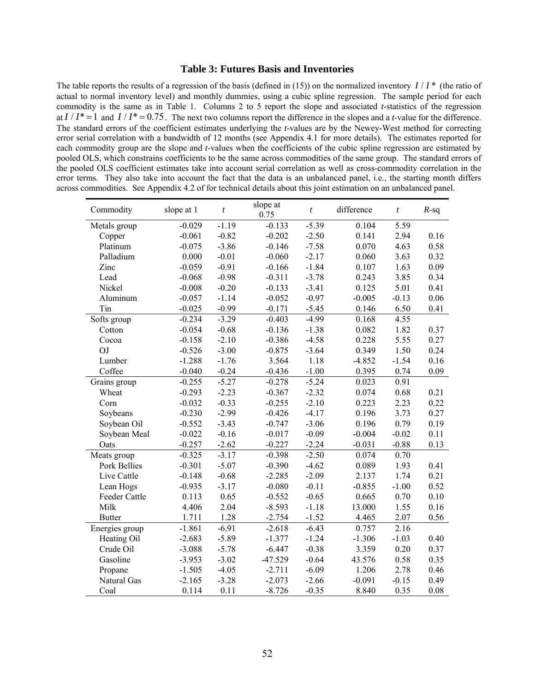#### **Table 3: Futures Basis and Inventories**

The table reports the results of a regression of the basis (defined in (15)) on the normalized inventory *I* / *I* \* (the ratio of actual to normal inventory level) and monthly dummies, using a cubic spline regression. The sample period for each commodity is the same as in Table 1. Columns 2 to 5 report the slope and associated *t*-statistics of the regression at  $I/I^* = 1$  and  $I/I^* = 0.75$ . The next two columns report the difference in the slopes and a *t*-value for the difference. The standard errors of the coefficient estimates underlying the *t*-values are by the Newey-West method for correcting error serial correlation with a bandwidth of 12 months (see Appendix 4.1 for more details). The estimates reported for each commodity group are the slope and *t*-values when the coefficients of the cubic spline regression are estimated by pooled OLS, which constrains coefficients to be the same across commodities of the same group. The standard errors of the pooled OLS coefficient estimates take into account serial correlation as well as cross-commodity correlation in the error terms. They also take into account the fact that the data is an unbalanced panel, i.e., the starting month differs across commodities. See Appendix 4.2 of for technical details about this joint estimation on an unbalanced panel.

| Commodity      | slope at 1 | $\boldsymbol{t}$ | slope at<br>0.75 | $\boldsymbol{t}$ | difference | $\boldsymbol{t}$ | $R$ -sq |
|----------------|------------|------------------|------------------|------------------|------------|------------------|---------|
| Metals group   | $-0.029$   | $-1.19$          | $-0.133$         | $-5.39$          | 0.104      | 5.59             |         |
| Copper         | $-0.061$   | $-0.82$          | $-0.202$         | $-2.50$          | 0.141      | 2.94             | 0.16    |
| Platinum       | $-0.075$   | $-3.86$          | $-0.146$         | $-7.58$          | 0.070      | 4.63             | 0.58    |
| Palladium      | 0.000      | $-0.01$          | $-0.060$         | $-2.17$          | 0.060      | 3.63             | 0.32    |
| Zinc           | $-0.059$   | $-0.91$          | $-0.166$         | $-1.84$          | 0.107      | 1.63             | 0.09    |
| Lead           | $-0.068$   | $-0.98$          | $-0.311$         | $-3.78$          | 0.243      | 3.85             | 0.34    |
| Nickel         | $-0.008$   | $-0.20$          | $-0.133$         | $-3.41$          | 0.125      | 5.01             | 0.41    |
| Aluminum       | $-0.057$   | $-1.14$          | $-0.052$         | $-0.97$          | $-0.005$   | $-0.13$          | 0.06    |
| Tin            | $-0.025$   | $-0.99$          | $-0.171$         | $-5.45$          | 0.146      | 6.50             | 0.41    |
| Softs group    | $-0.234$   | $-3.29$          | $-0.403$         | $-4.99$          | 0.168      | 4.55             |         |
| Cotton         | $-0.054$   | $-0.68$          | $-0.136$         | $-1.38$          | 0.082      | 1.82             | 0.37    |
| Cocoa          | $-0.158$   | $-2.10$          | $-0.386$         | $-4.58$          | 0.228      | 5.55             | 0.27    |
| OJ             | $-0.526$   | $-3.00$          | $-0.875$         | $-3.64$          | 0.349      | 1.50             | 0.24    |
| Lumber         | $-1.288$   | $-1.76$          | 3.564            | 1.18             | $-4.852$   | $-1.54$          | 0.16    |
| Coffee         | $-0.040$   | $-0.24$          | $-0.436$         | $-1.00$          | 0.395      | 0.74             | 0.09    |
| Grains group   | $-0.255$   | $-5.27$          | $-0.278$         | $-5.24$          | 0.023      | 0.91             |         |
| Wheat          | $-0.293$   | $-2.23$          | $-0.367$         | $-2.32$          | 0.074      | 0.68             | 0.21    |
| Corn           | $-0.032$   | $-0.33$          | $-0.255$         | $-2.10$          | 0.223      | 2.23             | 0.22    |
| Soybeans       | $-0.230$   | $-2.99$          | $-0.426$         | $-4.17$          | 0.196      | 3.73             | 0.27    |
| Soybean Oil    | $-0.552$   | $-3.43$          | $-0.747$         | $-3.06$          | 0.196      | 0.79             | 0.19    |
| Soybean Meal   | $-0.022$   | $-0.16$          | $-0.017$         | $-0.09$          | $-0.004$   | $-0.02$          | 0.11    |
| Oats           | $-0.257$   | $-2.62$          | $-0.227$         | $-2.24$          | $-0.031$   | $-0.88$          | 0.13    |
| Meats group    | $-0.325$   | $-3.17$          | $-0.398$         | $-2.50$          | 0.074      | 0.70             |         |
| Pork Bellies   | $-0.301$   | $-5.07$          | $-0.390$         | $-4.62$          | 0.089      | 1.93             | 0.41    |
| Live Cattle    | $-0.148$   | $-0.68$          | $-2.285$         | $-2.09$          | 2.137      | 1.74             | 0.21    |
| Lean Hogs      | $-0.935$   | $-3.17$          | $-0.080$         | $-0.11$          | $-0.855$   | $-1.00$          | 0.52    |
| Feeder Cattle  | 0.113      | 0.65             | $-0.552$         | $-0.65$          | 0.665      | 0.70             | 0.10    |
| Milk           | 4.406      | 2.04             | $-8.593$         | $-1.18$          | 13.000     | 1.55             | 0.16    |
| <b>Butter</b>  | 1.711      | 1.28             | $-2.754$         | $-1.52$          | 4.465      | 2.07             | 0.56    |
| Energies group | $-1.861$   | $-6.91$          | $-2.618$         | $-6.43$          | 0.757      | 2.16             |         |
| Heating Oil    | $-2.683$   | $-5.89$          | $-1.377$         | $-1.24$          | $-1.306$   | $-1.03$          | 0.40    |
| Crude Oil      | $-3.088$   | $-5.78$          | $-6.447$         | $-0.38$          | 3.359      | 0.20             | 0.37    |
| Gasoline       | $-3.953$   | $-3.02$          | $-47.529$        | $-0.64$          | 43.576     | 0.58             | 0.35    |
| Propane        | $-1.505$   | $-4.05$          | $-2.711$         | $-6.09$          | 1.206      | 2.78             | 0.46    |
| Natural Gas    | $-2.165$   | $-3.28$          | $-2.073$         | $-2.66$          | $-0.091$   | $-0.15$          | 0.49    |
| Coal           | 0.114      | 0.11             | $-8.726$         | $-0.35$          | 8.840      | 0.35             | 0.08    |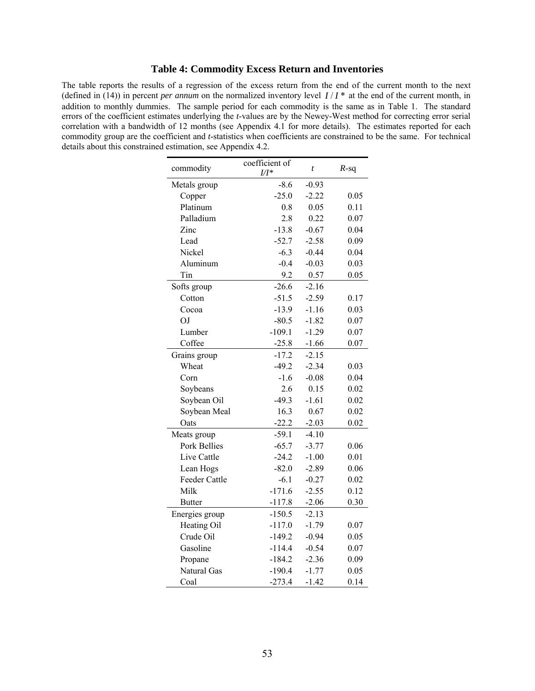# **Table 4: Commodity Excess Return and Inventories**

The table reports the results of a regression of the excess return from the end of the current month to the next (defined in (14)) in percent *per annum* on the normalized inventory level  $I/I^*$  at the end of the current month, in addition to monthly dummies. The sample period for each commodity is the same as in Table 1. The standard errors of the coefficient estimates underlying the *t*-values are by the Newey-West method for correcting error serial correlation with a bandwidth of 12 months (see Appendix 4.1 for more details). The estimates reported for each commodity group are the coefficient and *t*-statistics when coefficients are constrained to be the same. For technical details about this constrained estimation, see Appendix 4.2.

| commodity      | coefficient of<br>$U^*$ | $\boldsymbol{t}$ | $R$ -sq |
|----------------|-------------------------|------------------|---------|
| Metals group   | $-8.6$                  | $-0.93$          |         |
| Copper         | $-25.0$                 | $-2.22$          | 0.05    |
| Platinum       | 0.8                     | 0.05             | 0.11    |
| Palladium      | 2.8                     | 0.22             | 0.07    |
| Zinc           | $-13.8$                 | $-0.67$          | 0.04    |
| Lead           | $-52.7$                 | $-2.58$          | 0.09    |
| Nickel         | $-6.3$                  | $-0.44$          | 0.04    |
| Aluminum       | $-0.4$                  | $-0.03$          | 0.03    |
| Tin            | 9.2                     | 0.57             | 0.05    |
| Softs group    | $-26.6$                 | $-2.16$          |         |
| Cotton         | $-51.5$                 | $-2.59$          | 0.17    |
| Cocoa          | $-13.9$                 | $-1.16$          | 0.03    |
| OJ             | $-80.5$                 | $-1.82$          | 0.07    |
| Lumber         | $-109.1$                | $-1.29$          | 0.07    |
| Coffee         | $-25.8$                 | $-1.66$          | 0.07    |
| Grains group   | $-17.2$                 | $-2.15$          |         |
| Wheat          | $-49.2$                 | $-2.34$          | 0.03    |
| Corn           | $-1.6$                  | $-0.08$          | 0.04    |
| Soybeans       | 2.6                     | 0.15             | 0.02    |
| Soybean Oil    | $-49.3$                 | $-1.61$          | 0.02    |
| Soybean Meal   | 16.3                    | 0.67             | 0.02    |
| Oats           | $-22.2$                 | $-2.03$          | 0.02    |
| Meats group    | $-59.1$                 | $-4.10$          |         |
| Pork Bellies   | $-65.7$                 | $-3.77$          | 0.06    |
| Live Cattle    | $-24.2$                 | $-1.00$          | 0.01    |
| Lean Hogs      | $-82.0$                 | $-2.89$          | 0.06    |
| Feeder Cattle  | $-6.1$                  | $-0.27$          | 0.02    |
| Milk           | $-171.6$                | $-2.55$          | 0.12    |
| <b>Butter</b>  | $-117.8$                | $-2.06$          | 0.30    |
| Energies group | $-150.5$                | $-2.13$          |         |
| Heating Oil    | $-117.0$                | $-1.79$          | 0.07    |
| Crude Oil      | $-149.2$                | $-0.94$          | 0.05    |
| Gasoline       | $-114.4$                | $-0.54$          | 0.07    |
| Propane        | $-184.2$                | $-2.36$          | 0.09    |
| Natural Gas    | $-190.4$                | $-1.77$          | 0.05    |
| Coal           | $-273.4$                | $-1.42$          | 0.14    |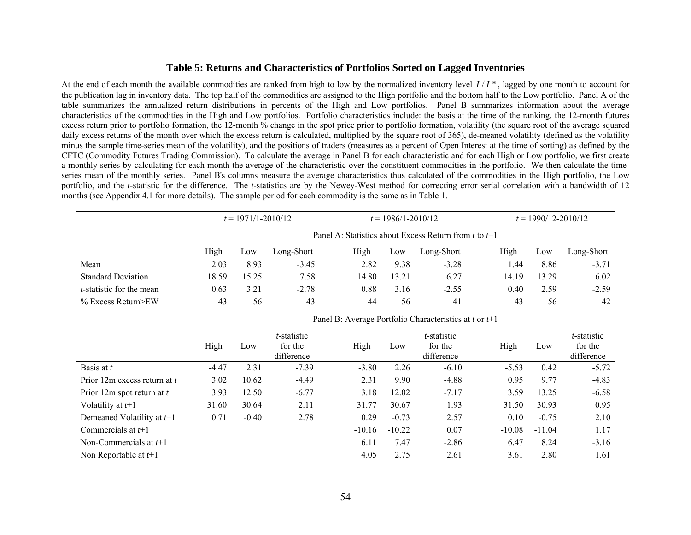#### **Table 5: Returns and Characteristics of Portfolios Sorted on Lagged Inventories**

At the end of each month the available commodities are ranked from high to low by the normalized inventory level  $I/I^*$ , lagged by one month to account for the publication lag in inventory data. The top half of the commodities are assigned to the High portfolio and the bottom half to the Low portfolio. Panel A of the table summarizes the annualized return distributions in percents of the High and Low portfolios. Panel B summarizes information about the average characteristics of the commodities in the High and Low portfolios. Portfolio characteristics include: the basis at the time of the ranking, the 12-month futures excess return prior to portfolio formation, the 12-month % change in the spot price prior to portfolio formation, volatility (the square root of the average squared daily excess returns of the month over which the excess return is calculated, multiplied by the square root of 365), de-meaned volatility (defined as the volatility minus the sample time-series mean of the volatility), and the positions of traders (measures as a percent of Open Interest at the time of sorting) as defined by the CFTC (Commodity Futures Trading Commission). To calculate the average in Panel B for each characteristic and for each High or Low portfolio, we first create a monthly series by calculating for each month the average of the characteristic over the constituent commodities in the portfolio. We then calculate the timeseries mean of the monthly series. Panel B's columns measure the average characteristics thus calculated of the commodities in the High portfolio, the Low portfolio, and the *t*-statistic for the difference. The *t*-statistics are by the Newey-West method for correcting error serial correlation with a bandwidth of 12 months (see Appendix 4.1 for more details). The sample period for each commodity is the same as in Table 1.

|                                  |       | $t = 1971/1 - 2010/12$                                  |            |       | $t = 1986/1 - 2010/12$ |            |       |       | $t = 1990/12 - 2010/12$ |  |  |
|----------------------------------|-------|---------------------------------------------------------|------------|-------|------------------------|------------|-------|-------|-------------------------|--|--|
|                                  |       | Panel A: Statistics about Excess Return from t to $t+1$ |            |       |                        |            |       |       |                         |  |  |
|                                  | High  | Low                                                     | Long-Short | High  | Low                    | Long-Short | High  | Low   | Long-Short              |  |  |
| Mean                             | 2.03  | 8.93                                                    | $-3.45$    | 2.82  | 9.38                   | $-3.28$    | l.44  | 8.86  | $-3.71$                 |  |  |
| <b>Standard Deviation</b>        | 18.59 | 15.25                                                   | 7.58       | 14.80 | 13.21                  | 6.27       | 14.19 | 13.29 | 6.02                    |  |  |
| <i>t</i> -statistic for the mean | 0.63  | 3.21                                                    | $-2.78$    | 0.88  | 3.16                   | $-2.55$    | 0.40  | 2.59  | $-2.59$                 |  |  |
| $%$ Excess Return>EW             | 43    | 56                                                      | 43         | 44    | 56                     | 41         | 43    | 56    | 42                      |  |  |

|                              | High    | Low     | t-statistic<br>for the<br>difference | High     | Low      | t-statistic<br>for the<br>difference | High     | Low      | t-statistic<br>for the<br>difference |
|------------------------------|---------|---------|--------------------------------------|----------|----------|--------------------------------------|----------|----------|--------------------------------------|
| Basis at t                   | $-4.47$ | 2.31    | $-7.39$                              | $-3.80$  | 2.26     | $-6.10$                              | $-5.53$  | 0.42     | $-5.72$                              |
| Prior 12m excess return at t | 3.02    | 10.62   | $-4.49$                              | 2.31     | 9.90     | $-4.88$                              | 0.95     | 9.77     | $-4.83$                              |
| Prior 12m spot return at $t$ | 3.93    | 12.50   | $-6.77$                              | 3.18     | 12.02    | $-7.17$                              | 3.59     | 13.25    | $-6.58$                              |
| Volatility at $t+1$          | 31.60   | 30.64   | 2.11                                 | 31.77    | 30.67    | 1.93                                 | 31.50    | 30.93    | 0.95                                 |
| Demeaned Volatility at $t+1$ | 0.71    | $-0.40$ | 2.78                                 | 0.29     | $-0.73$  | 2.57                                 | 0.10     | $-0.75$  | 2.10                                 |
| Commercials at $t+1$         |         |         |                                      | $-10.16$ | $-10.22$ | 0.07                                 | $-10.08$ | $-11.04$ | 1.17                                 |
| Non-Commercials at $t+1$     |         |         |                                      | 6.11     | 7.47     | $-2.86$                              | 6.47     | 8.24     | $-3.16$                              |
| Non Reportable at $t+1$      |         |         |                                      | 4.05     | 2.75     | 2.61                                 | 3.61     | 2.80     | 1.61                                 |

Panel B: Average Portfolio Characteristics at *<sup>t</sup>* or *t*+1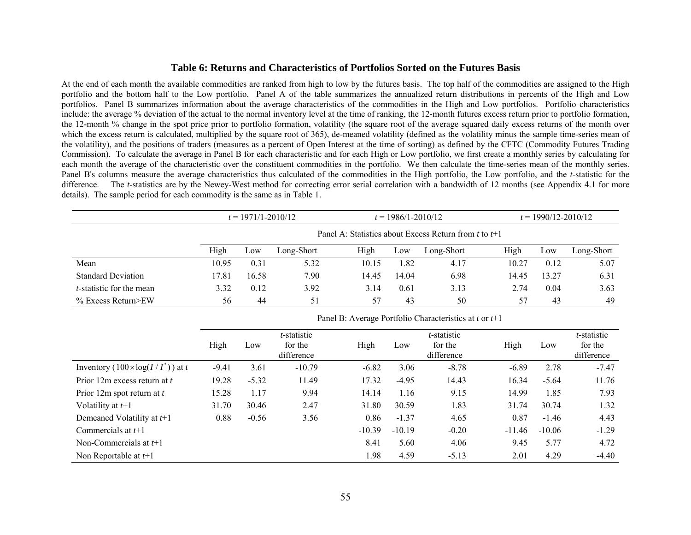#### **Table 6: Returns and Characteristics of Portfolios Sorted on the Futures Basis**

At the end of each month the available commodities are ranked from high to low by the futures basis. The top half of the commodities are assigned to the High portfolio and the bottom half to the Low portfolio. Panel A of the table summarizes the annualized return distributions in percents of the High and Low portfolios. Panel B summarizes information about the average characteristics of the commodities in the High and Low portfolios. Portfolio characteristics include: the average % deviation of the actual to the normal inventory level at the time of ranking, the 12-month futures excess return prior to portfolio formation, the 12-month % change in the spot price prior to portfolio formation, volatility (the square root of the average squared daily excess returns of the month over which the excess return is calculated, multiplied by the square root of 365), de-meaned volatility (defined as the volatility minus the sample time-series mean of the volatility), and the positions of traders (measures as a percent of Open Interest at the time of sorting) as defined by the CFTC (Commodity Futures Trading Commission). To calculate the average in Panel B for each characteristic and for each High or Low portfolio, we first create a monthly series by calculating for each month the average of the characteristic over the constituent commodities in the portfolio. We then calculate the time-series mean of the monthly series. Panel B's columns measure the average characteristics thus calculated of the commodities in the High portfolio, the Low portfolio, and the *t*-statistic for the difference. The *t*-statistics are by the Newey-West method for correcting error serial correlation with a bandwidth of 12 months (see Appendix 4.1 for more details). The sample period for each commodity is the same as in Table 1.

|                                  |       | $t = 1971/1 - 2010/12$                                  |            |       | $t = 1986/1 - 2010/12$ |            | $t = 1990/12 - 2010/12$ |       |            |  |  |
|----------------------------------|-------|---------------------------------------------------------|------------|-------|------------------------|------------|-------------------------|-------|------------|--|--|
|                                  |       | Panel A: Statistics about Excess Return from t to $t+1$ |            |       |                        |            |                         |       |            |  |  |
|                                  | High  | Low                                                     | Long-Short | High  | Low                    | Long-Short | High                    | Low   | Long-Short |  |  |
| Mean                             | 10.95 | 0.31                                                    | 5.32       | 10.15 | 1.82                   | 4.17       | 10.27                   | 0.12  | 5.07       |  |  |
| <b>Standard Deviation</b>        | 17.81 | 16.58                                                   | 7.90       | 14.45 | 14.04                  | 6.98       | 14.45                   | 13.27 | 6.31       |  |  |
| <i>t</i> -statistic for the mean | 3.32  | 0.12                                                    | 3.92       | 3.14  | 0.61                   | 3.13       | 2.74                    | 0.04  | 3.63       |  |  |
| $%$ Excess Return>EW             | 56    | 44                                                      | 51         | 57    | 43                     | 50         | 57                      | 43    | 49         |  |  |

|                                           | High    | Low     | t-statistic<br>for the<br>difference | High     | Low      | t-statistic<br>for the<br>difference | High     | Low      | t-statistic<br>for the<br>difference |
|-------------------------------------------|---------|---------|--------------------------------------|----------|----------|--------------------------------------|----------|----------|--------------------------------------|
| Inventory $(100 \times \log(I/I^*))$ at t | $-9.41$ | 3.61    | $-10.79$                             | $-6.82$  | 3.06     | $-8.78$                              | $-6.89$  | 2.78     | $-7.47$                              |
| Prior 12m excess return at t              | 19.28   | $-5.32$ | 11.49                                | 17.32    | $-4.95$  | 14.43                                | 16.34    | $-5.64$  | 11.76                                |
| Prior 12m spot return at $t$              | 15.28   | 1.17    | 9.94                                 | 14.14    | 1.16     | 9.15                                 | 14.99    | 1.85     | 7.93                                 |
| Volatility at $t+1$                       | 31.70   | 30.46   | 2.47                                 | 31.80    | 30.59    | 1.83                                 | 31.74    | 30.74    | 1.32                                 |
| Demeaned Volatility at $t+1$              | 0.88    | $-0.56$ | 3.56                                 | 0.86     | $-1.37$  | 4.65                                 | 0.87     | $-1.46$  | 4.43                                 |
| Commercials at $t+1$                      |         |         |                                      | $-10.39$ | $-10.19$ | $-0.20$                              | $-11.46$ | $-10.06$ | $-1.29$                              |
| Non-Commercials at $t+1$                  |         |         |                                      | 8.41     | 5.60     | 4.06                                 | 9.45     | 5.77     | 4.72                                 |
| Non Reportable at $t+1$                   |         |         |                                      | 1.98     | 4.59     | $-5.13$                              | 2.01     | 4.29     | $-4.40$                              |

Panel B: Average Portfolio Characteristics at *<sup>t</sup>* or *t*+1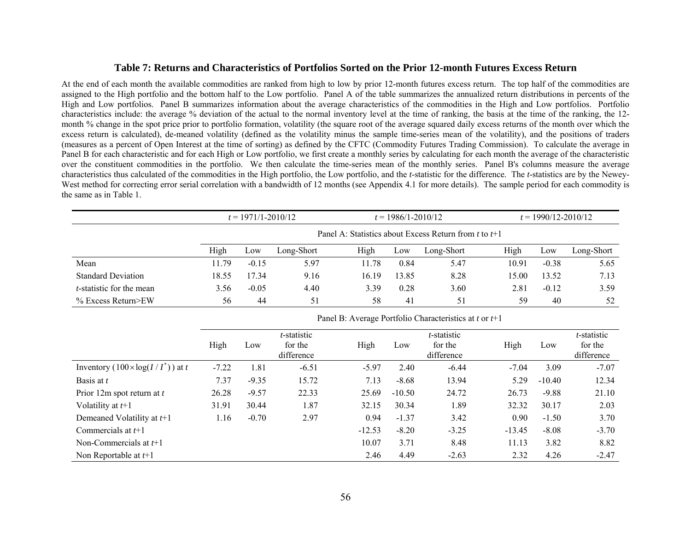#### **Table 7: Returns and Characteristics of Portfolios Sorted on the Prior 12-month Futures Excess Return**

At the end of each month the available commodities are ranked from high to low by prior 12-month futures excess return. The top half of the commodities are assigned to the High portfolio and the bottom half to the Low portfolio. Panel A of the table summarizes the annualized return distributions in percents of the High and Low portfolios. Panel B summarizes information about the average characteristics of the commodities in the High and Low portfolios. Portfolio characteristics include: the average % deviation of the actual to the normal inventory level at the time of ranking, the basis at the time of the ranking, the 12 month % change in the spot price prior to portfolio formation, volatility (the square root of the average squared daily excess returns of the month over which the excess return is calculated), de-meaned volatility (defined as the volatility minus the sample time-series mean of the volatility), and the positions of traders (measures as a percent of Open Interest at the time of sorting) as defined by the CFTC (Commodity Futures Trading Commission). To calculate the average in Panel B for each characteristic and for each High or Low portfolio, we first create a monthly series by calculating for each month the average of the characteristic over the constituent commodities in the portfolio. We then calculate the time-series mean of the monthly series. Panel B's columns measure the average characteristics thus calculated of the commodities in the High portfolio, the Low portfolio, and the *t*-statistic for the difference. The *t*-statistics are by the Newey-West method for correcting error serial correlation with a bandwidth of 12 months (see Appendix 4.1 for more details). The sample period for each commodity is the same as in Table 1.

|                                  |       | $t = 1971/1 - 2010/12$ |            |       | $t = 1986/1 - 2010/12$ |                                                          |       | $t = 1990/12 - 2010/12$ |            |  |  |
|----------------------------------|-------|------------------------|------------|-------|------------------------|----------------------------------------------------------|-------|-------------------------|------------|--|--|
|                                  |       |                        |            |       |                        | Panel A: Statistics about Excess Return from t to $t+1$  |       |                         |            |  |  |
|                                  | High  | Low                    | Long-Short | High  | Low                    | Long-Short                                               | High  | Low                     | Long-Short |  |  |
| Mean                             | 11.79 | $-0.15$                | 5.97       | 11.78 | 0.84                   | 5.47                                                     | 10.91 | $-0.38$                 | 5.65       |  |  |
| <b>Standard Deviation</b>        | 18.55 | 17.34                  | 9.16       | 16.19 | 13.85                  | 8.28                                                     | 15.00 | 13.52                   | 7.13       |  |  |
| <i>t</i> -statistic for the mean | 3.56  | $-0.05$                | 4.40       | 3.39  | 0.28                   | 3.60                                                     | 2.81  | $-0.12$                 | 3.59       |  |  |
| $%$ Excess Return>EW             | 56    | 44                     | 51         | 58    | 41                     | 51                                                       | 59    | 40                      | 52         |  |  |
|                                  |       |                        |            |       |                        | Panel B: Average Portfolio Characteristics at t or $t+1$ |       |                         |            |  |  |

|                                           | High    | Low     | t-statistic<br>for the<br>difference | High     | Low      | t-statistic<br>for the<br>difference | High     | Low      | t-statistic<br>for the<br>difference |
|-------------------------------------------|---------|---------|--------------------------------------|----------|----------|--------------------------------------|----------|----------|--------------------------------------|
| Inventory $(100 \times \log(I/I^*))$ at t | $-7.22$ | 1.81    | $-6.51$                              | $-5.97$  | 2.40     | $-6.44$                              | $-7.04$  | 3.09     | $-7.07$                              |
| Basis at t                                | 7.37    | $-9.35$ | 15.72                                | 7.13     | $-8.68$  | 13.94                                | 5.29     | $-10.40$ | 12.34                                |
| Prior 12m spot return at t                | 26.28   | $-9.57$ | 22.33                                | 25.69    | $-10.50$ | 24.72                                | 26.73    | $-9.88$  | 21.10                                |
| Volatility at $t+1$                       | 31.91   | 30.44   | 1.87                                 | 32.15    | 30.34    | 1.89                                 | 32.32    | 30.17    | 2.03                                 |
| Demeaned Volatility at $t+1$              | 1.16    | $-0.70$ | 2.97                                 | 0.94     | $-1.37$  | 3.42                                 | 0.90     | $-1.50$  | 3.70                                 |
| Commercials at $t+1$                      |         |         |                                      | $-12.53$ | $-8.20$  | $-3.25$                              | $-13.45$ | $-8.08$  | $-3.70$                              |
| Non-Commercials at $t+1$                  |         |         |                                      | 10.07    | 3.71     | 8.48                                 | 11.13    | 3.82     | 8.82                                 |
| Non Reportable at $t+1$                   |         |         |                                      | 2.46     | 4.49     | $-2.63$                              | 2.32     | 4.26     | $-2.47$                              |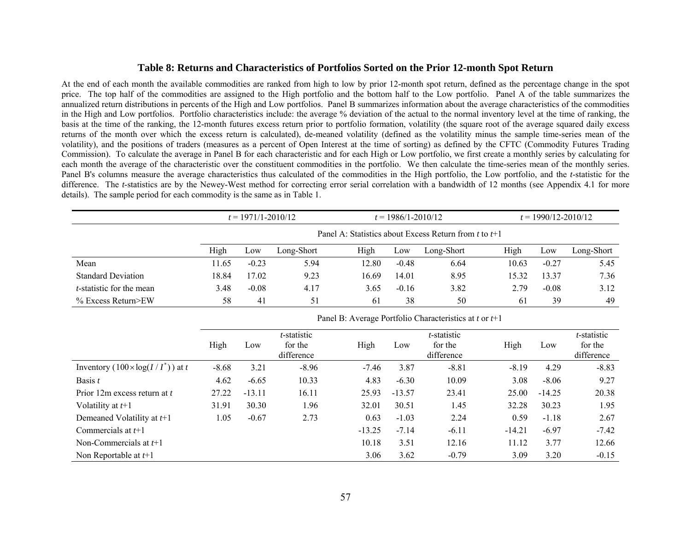#### **Table 8: Returns and Characteristics of Portfolios Sorted on the Prior 12-month Spot Return**

At the end of each month the available commodities are ranked from high to low by prior 12-month spot return, defined as the percentage change in the spot price. The top half of the commodities are assigned to the High portfolio and the bottom half to the Low portfolio. Panel A of the table summarizes the annualized return distributions in percents of the High and Low portfolios. Panel B summarizes information about the average characteristics of the commodities in the High and Low portfolios. Portfolio characteristics include: the average % deviation of the actual to the normal inventory level at the time of ranking, the basis at the time of the ranking, the 12-month futures excess return prior to portfolio formation, volatility (the square root of the average squared daily excess returns of the month over which the excess return is calculated), de-meaned volatility (defined as the volatility minus the sample time-series mean of the volatility), and the positions of traders (measures as a percent of Open Interest at the time of sorting) as defined by the CFTC (Commodity Futures Trading Commission). To calculate the average in Panel B for each characteristic and for each High or Low portfolio, we first create a monthly series by calculating for each month the average of the characteristic over the constituent commodities in the portfolio. We then calculate the time-series mean of the monthly series. Panel B's columns measure the average characteristics thus calculated of the commodities in the High portfolio, the Low portfolio, and the *t*-statistic for the difference. The *t*-statistics are by the Newey-West method for correcting error serial correlation with a bandwidth of 12 months (see Appendix 4.1 for more details). The sample period for each commodity is the same as in Table 1.

|                                  |       | $t = 1971/1 - 2010/12$ |            |       | $t = 1986/1 - 2010/12$ |                                                            |       |         | $t = 1990/12 - 2010/12$ |  |  |  |
|----------------------------------|-------|------------------------|------------|-------|------------------------|------------------------------------------------------------|-------|---------|-------------------------|--|--|--|
|                                  |       |                        |            |       |                        | Panel A: Statistics about Excess Return from t to $t+1$    |       |         |                         |  |  |  |
|                                  | High  | Low                    | Long-Short | High  | Low                    | Long-Short                                                 | High  | Low     | Long-Short              |  |  |  |
| Mean                             | 11.65 | $-0.23$                | 5.94       | 12.80 | $-0.48$                | 6.64                                                       | 10.63 | $-0.27$ | 5.45                    |  |  |  |
| <b>Standard Deviation</b>        | 18.84 | 17.02                  | 9.23       | 16.69 | 14.01                  | 8.95                                                       | 15.32 | 13.37   | 7.36                    |  |  |  |
| <i>t</i> -statistic for the mean | 3.48  | $-0.08$                | 4.17       | 3.65  | $-0.16$                | 3.82                                                       | 2.79  | $-0.08$ | 3.12                    |  |  |  |
| $%$ Excess Return>EW             | 58    | 41                     | 51         | 61    | 38                     | 50                                                         | 61    | 39      | 49                      |  |  |  |
|                                  |       |                        |            |       |                        | Panel B: Average Portfolio Characteristics at $t$ or $t+1$ |       |         |                         |  |  |  |

|                                           | High    | Low      | <i>t</i> -statistic<br>for the<br>difference | High     | Low      | <i>t</i> -statistic<br>for the<br>difference | High     | Low      | t-statistic<br>for the<br>difference |
|-------------------------------------------|---------|----------|----------------------------------------------|----------|----------|----------------------------------------------|----------|----------|--------------------------------------|
| Inventory $(100 \times \log(I/I^*))$ at t | $-8.68$ | 3.21     | $-8.96$                                      | $-7.46$  | 3.87     | $-8.81$                                      | $-8.19$  | 4.29     | $-8.83$                              |
| Basis t                                   | 4.62    | $-6.65$  | 10.33                                        | 4.83     | $-6.30$  | 10.09                                        | 3.08     | $-8.06$  | 9.27                                 |
| Prior 12m excess return at t              | 27.22   | $-13.11$ | 16.11                                        | 25.93    | $-13.57$ | 23.41                                        | 25.00    | $-14.25$ | 20.38                                |
| Volatility at $t+1$                       | 31.91   | 30.30    | 1.96                                         | 32.01    | 30.51    | 1.45                                         | 32.28    | 30.23    | 1.95                                 |
| Demeaned Volatility at $t+1$              | 1.05    | $-0.67$  | 2.73                                         | 0.63     | $-1.03$  | 2.24                                         | 0.59     | $-1.18$  | 2.67                                 |
| Commercials at $t+1$                      |         |          |                                              | $-13.25$ | $-7.14$  | $-6.11$                                      | $-14.21$ | $-6.97$  | $-7.42$                              |
| Non-Commercials at $t+1$                  |         |          |                                              | 10.18    | 3.51     | 12.16                                        | 11.12    | 3.77     | 12.66                                |
| Non Reportable at $t+1$                   |         |          |                                              | 3.06     | 3.62     | $-0.79$                                      | 3.09     | 3.20     | $-0.15$                              |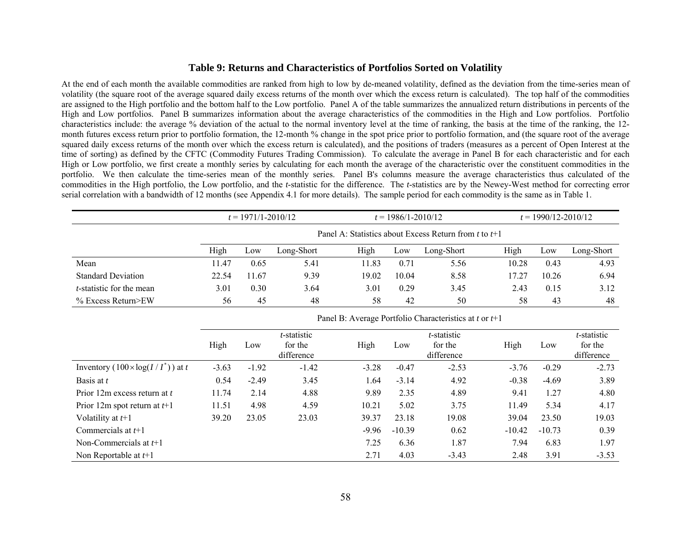#### **Table 9: Returns and Characteristics of Portfolios Sorted on Volatility**

At the end of each month the available commodities are ranked from high to low by de-meaned volatility, defined as the deviation from the time-series mean of volatility (the square root of the average squared daily excess returns of the month over which the excess return is calculated). The top half of the commodities are assigned to the High portfolio and the bottom half to the Low portfolio. Panel A of the table summarizes the annualized return distributions in percents of the High and Low portfolios. Panel B summarizes information about the average characteristics of the commodities in the High and Low portfolios. Portfolio characteristics include: the average % deviation of the actual to the normal inventory level at the time of ranking, the basis at the time of the ranking, the 12 month futures excess return prior to portfolio formation, the 12-month % change in the spot price prior to portfolio formation, and (the square root of the average squared daily excess returns of the month over which the excess return is calculated), and the positions of traders (measures as a percent of Open Interest at the time of sorting) as defined by the CFTC (Commodity Futures Trading Commission). To calculate the average in Panel B for each characteristic and for each High or Low portfolio, we first create a monthly series by calculating for each month the average of the characteristic over the constituent commodities in the portfolio. We then calculate the time-series mean of the monthly series. Panel B's columns measure the average characteristics thus calculated of the commodities in the High portfolio, the Low portfolio, and the *t*-statistic for the difference. The *t*-statistics are by the Newey-West method for correcting error serial correlation with a bandwidth of 12 months (see Appendix 4.1 for more details). The sample period for each commodity is the same as in Table 1.

|                                  |       | $t = 1971/1 - 2010/12$ |            |       | $t = 1986/1 - 2010/12$ |                                                            |       | $t = 1990/12 - 2010/12$ |            |  |
|----------------------------------|-------|------------------------|------------|-------|------------------------|------------------------------------------------------------|-------|-------------------------|------------|--|
|                                  |       |                        |            |       |                        | Panel A: Statistics about Excess Return from t to $t+1$    |       |                         |            |  |
|                                  | High  | Low                    | Long-Short | High  | Low                    | Long-Short                                                 | High  | Low                     | Long-Short |  |
| Mean                             | 11.47 | 0.65                   | 5.41       | 11.83 | 0.71                   | 5.56                                                       | 10.28 | 0.43                    | 4.93       |  |
| <b>Standard Deviation</b>        | 22.54 | 11.67                  | 9.39       | 19.02 | 10.04                  | 8.58                                                       | 17.27 | 10.26                   | 6.94       |  |
| <i>t</i> -statistic for the mean | 3.01  | 0.30                   | 3.64       | 3.01  | 0.29                   | 3.45                                                       | 2.43  | 0.15                    | 3.12       |  |
| $%$ Excess Return>EW             | 56    | 45                     | 48         | 58    | 42                     | 50                                                         | 58    | 43                      | 48         |  |
|                                  |       |                        |            |       |                        | Panel B: Average Portfolio Characteristics at $t$ or $t+1$ |       |                         |            |  |

|                                           | High    | Low     | <i>t</i> -statistic<br>for the<br>difference | High    | Low      | <i>t</i> -statistic<br>for the<br>difference | High     | Low      | t-statistic<br>for the<br>difference |
|-------------------------------------------|---------|---------|----------------------------------------------|---------|----------|----------------------------------------------|----------|----------|--------------------------------------|
| Inventory $(100 \times \log(I/I^*))$ at t | $-3.63$ | $-1.92$ | $-1.42$                                      | $-3.28$ | $-0.47$  | $-2.53$                                      | $-3.76$  | $-0.29$  | $-2.73$                              |
| Basis at t                                | 0.54    | $-2.49$ | 3.45                                         | 1.64    | $-3.14$  | 4.92                                         | $-0.38$  | $-4.69$  | 3.89                                 |
| Prior 12m excess return at t              | 11.74   | 2.14    | 4.88                                         | 9.89    | 2.35     | 4.89                                         | 9.41     | 1.27     | 4.80                                 |
| Prior 12m spot return at $t+1$            | 11.51   | 4.98    | 4.59                                         | 10.21   | 5.02     | 3.75                                         | 11.49    | 5.34     | 4.17                                 |
| Volatility at $t+1$                       | 39.20   | 23.05   | 23.03                                        | 39.37   | 23.18    | 19.08                                        | 39.04    | 23.50    | 19.03                                |
| Commercials at $t+1$                      |         |         |                                              | $-9.96$ | $-10.39$ | 0.62                                         | $-10.42$ | $-10.73$ | 0.39                                 |
| Non-Commercials at $t+1$                  |         |         |                                              | 7.25    | 6.36     | 1.87                                         | 7.94     | 6.83     | 1.97                                 |
| Non Reportable at $t+1$                   |         |         |                                              | 2.71    | 4.03     | $-3.43$                                      | 2.48     | 3.91     | $-3.53$                              |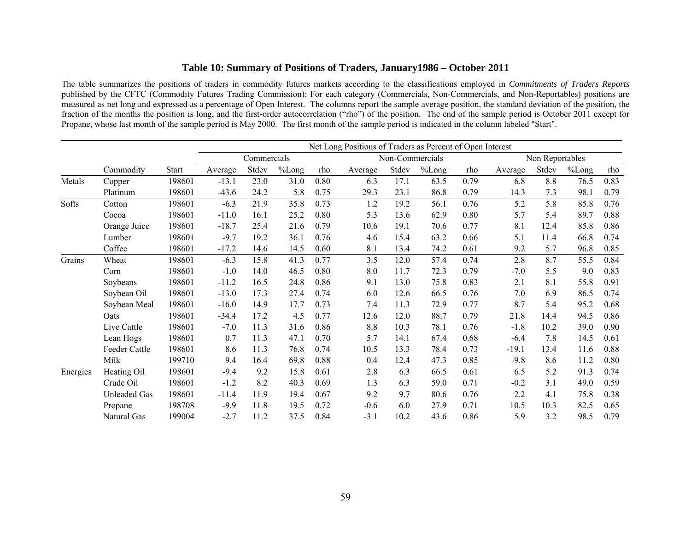# **Table 10: Summary of Positions of Traders, January1986 – October 2011**

The table summarizes the positions of traders in commodity futures markets according to the classifications employed in *Commitments of Traders Reports* published by the CFTC (Commodity Futures Trading Commission): For each category (Commercials, Non-Commercials, and Non-Reportables) positions are measured as net long and expressed as a percentage of Open Interest. The columns report the sample average position, the standard deviation of the position, the fraction of the months the position is long, and the first-order autocorrelation ("rho") of the position. The end of the sample period is October 2011 except for Propane, whose last month of the sample period is May 2000. The first month of the sample period is indicated in the column labeled "Start".

|          |                     |              |                                                   |       |       |      | Net Long Positions of Traders as Percent of Open Interest |       |       |      |         |       |       |      |
|----------|---------------------|--------------|---------------------------------------------------|-------|-------|------|-----------------------------------------------------------|-------|-------|------|---------|-------|-------|------|
|          |                     |              | Commercials<br>Non-Commercials<br>Non Reportables |       |       |      |                                                           |       |       |      |         |       |       |      |
|          | Commodity           | <b>Start</b> | Average                                           | Stdev | %Long | rho  | Average                                                   | Stdev | %Long | rho  | Average | Stdev | %Long | rho  |
| Metals   | Copper              | 198601       | $-13.1$                                           | 23.0  | 31.0  | 0.80 | 6.3                                                       | 17.1  | 63.5  | 0.79 | 6.8     | 8.8   | 76.5  | 0.83 |
|          | Platinum            | 198601       | $-43.6$                                           | 24.2  | 5.8   | 0.75 | 29.3                                                      | 23.1  | 86.8  | 0.79 | 14.3    | 7.3   | 98.1  | 0.79 |
| Softs    | Cotton              | 198601       | $-6.3$                                            | 21.9  | 35.8  | 0.73 | 1.2                                                       | 19.2  | 56.1  | 0.76 | 5.2     | 5.8   | 85.8  | 0.76 |
|          | Cocoa               | 198601       | $-11.0$                                           | 16.1  | 25.2  | 0.80 | 5.3                                                       | 13.6  | 62.9  | 0.80 | 5.7     | 5.4   | 89.7  | 0.88 |
|          | Orange Juice        | 198601       | $-18.7$                                           | 25.4  | 21.6  | 0.79 | 10.6                                                      | 19.1  | 70.6  | 0.77 | 8.1     | 12.4  | 85.8  | 0.86 |
|          | Lumber              | 198601       | $-9.7$                                            | 19.2  | 36.1  | 0.76 | 4.6                                                       | 15.4  | 63.2  | 0.66 | 5.1     | 11.4  | 66.8  | 0.74 |
|          | Coffee              | 198601       | $-17.2$                                           | 14.6  | 14.5  | 0.60 | 8.1                                                       | 13.4  | 74.2  | 0.61 | 9.2     | 5.7   | 96.8  | 0.85 |
| Grains   | Wheat               | 198601       | $-6.3$                                            | 15.8  | 41.3  | 0.77 | 3.5                                                       | 12.0  | 57.4  | 0.74 | 2.8     | 8.7   | 55.5  | 0.84 |
|          | Corn                | 198601       | $-1.0$                                            | 14.0  | 46.5  | 0.80 | 8.0                                                       | 11.7  | 72.3  | 0.79 | $-7.0$  | 5.5   | 9.0   | 0.83 |
|          | Soybeans            | 198601       | $-11.2$                                           | 16.5  | 24.8  | 0.86 | 9.1                                                       | 13.0  | 75.8  | 0.83 | 2.1     | 8.1   | 55.8  | 0.91 |
|          | Soybean Oil         | 198601       | $-13.0$                                           | 17.3  | 27.4  | 0.74 | 6.0                                                       | 12.6  | 66.5  | 0.76 | 7.0     | 6.9   | 86.5  | 0.74 |
|          | Soybean Meal        | 198601       | $-16.0$                                           | 14.9  | 17.7  | 0.73 | 7.4                                                       | 11.3  | 72.9  | 0.77 | 8.7     | 5.4   | 95.2  | 0.68 |
|          | Oats                | 198601       | $-34.4$                                           | 17.2  | 4.5   | 0.77 | 12.6                                                      | 12.0  | 88.7  | 0.79 | 21.8    | 14.4  | 94.5  | 0.86 |
|          | Live Cattle         | 198601       | $-7.0$                                            | 11.3  | 31.6  | 0.86 | 8.8                                                       | 10.3  | 78.1  | 0.76 | $-1.8$  | 10.2  | 39.0  | 0.90 |
|          | Lean Hogs           | 198601       | 0.7                                               | 11.3  | 47.1  | 0.70 | 5.7                                                       | 14.1  | 67.4  | 0.68 | $-6.4$  | 7.8   | 14.5  | 0.61 |
|          | Feeder Cattle       | 198601       | 8.6                                               | 11.3  | 76.8  | 0.74 | 10.5                                                      | 13.3  | 78.4  | 0.73 | $-19.1$ | 13.4  | 11.6  | 0.88 |
|          | Milk                | 199710       | 9.4                                               | 16.4  | 69.8  | 0.88 | 0.4                                                       | 12.4  | 47.3  | 0.85 | $-9.8$  | 8.6   | 11.2  | 0.80 |
| Energies | Heating Oil         | 198601       | $-9.4$                                            | 9.2   | 15.8  | 0.61 | 2.8                                                       | 6.3   | 66.5  | 0.61 | 6.5     | 5.2   | 91.3  | 0.74 |
|          | Crude Oil           | 198601       | $-1.2$                                            | 8.2   | 40.3  | 0.69 | 1.3                                                       | 6.3   | 59.0  | 0.71 | $-0.2$  | 3.1   | 49.0  | 0.59 |
|          | <b>Unleaded Gas</b> | 198601       | $-11.4$                                           | 11.9  | 19.4  | 0.67 | 9.2                                                       | 9.7   | 80.6  | 0.76 | 2.2     | 4.1   | 75.8  | 0.38 |
|          | Propane             | 198708       | $-9.9$                                            | 11.8  | 19.5  | 0.72 | $-0.6$                                                    | 6.0   | 27.9  | 0.71 | 10.5    | 10.3  | 82.5  | 0.65 |
|          | Natural Gas         | 199004       | $-2.7$                                            | 11.2  | 37.5  | 0.84 | $-3.1$                                                    | 10.2  | 43.6  | 0.86 | 5.9     | 3.2   | 98.5  | 0.79 |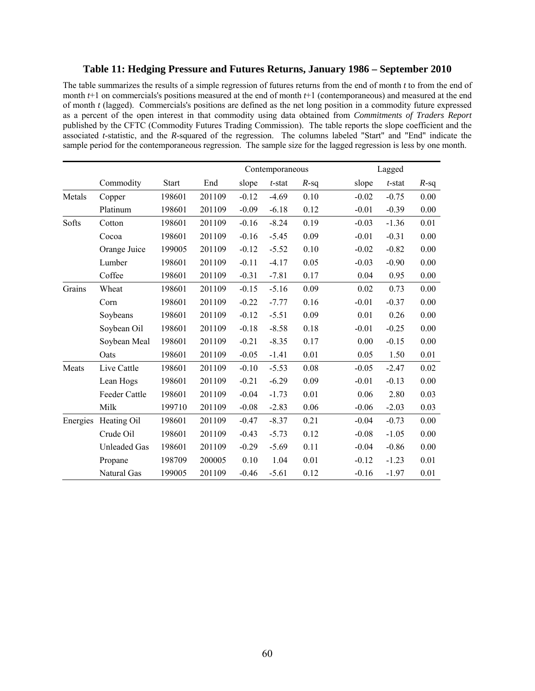# **Table 11: Hedging Pressure and Futures Returns, January 1986 – September 2010**

The table summarizes the results of a simple regression of futures returns from the end of month *t* to from the end of month *t*+1 on commercials's positions measured at the end of month *t*+1 (contemporaneous) and measured at the end of month *t* (lagged). Commercials's positions are defined as the net long position in a commodity future expressed as a percent of the open interest in that commodity using data obtained from *Commitments of Traders Report* published by the CFTC (Commodity Futures Trading Commission). The table reports the slope coefficient and the associated *t*-statistic, and the *R*-squared of the regression. The columns labeled "Start" and "End" indicate the sample period for the contemporaneous regression. The sample size for the lagged regression is less by one month.

|        |                      |              |        |         | Contemporaneous |         |         | Lagged    |         |
|--------|----------------------|--------------|--------|---------|-----------------|---------|---------|-----------|---------|
|        | Commodity            | <b>Start</b> | End    | slope   | $t$ -stat       | $R$ -sq | slope   | $t$ -stat | $R$ -sq |
| Metals | Copper               | 198601       | 201109 | $-0.12$ | $-4.69$         | 0.10    | $-0.02$ | $-0.75$   | 0.00    |
|        | Platinum             | 198601       | 201109 | $-0.09$ | $-6.18$         | 0.12    | $-0.01$ | $-0.39$   | 0.00    |
| Softs  | Cotton               | 198601       | 201109 | $-0.16$ | $-8.24$         | 0.19    | $-0.03$ | $-1.36$   | 0.01    |
|        | Cocoa                | 198601       | 201109 | $-0.16$ | $-5.45$         | 0.09    | $-0.01$ | $-0.31$   | 0.00    |
|        | Orange Juice         | 199005       | 201109 | $-0.12$ | $-5.52$         | 0.10    | $-0.02$ | $-0.82$   | 0.00    |
|        | Lumber               | 198601       | 201109 | $-0.11$ | $-4.17$         | 0.05    | $-0.03$ | $-0.90$   | 0.00    |
|        | Coffee               | 198601       | 201109 | $-0.31$ | $-7.81$         | 0.17    | 0.04    | 0.95      | 0.00    |
| Grains | Wheat                | 198601       | 201109 | $-0.15$ | $-5.16$         | 0.09    | 0.02    | 0.73      | 0.00    |
|        | Corn                 | 198601       | 201109 | $-0.22$ | $-7.77$         | 0.16    | $-0.01$ | $-0.37$   | 0.00    |
|        | Soybeans             | 198601       | 201109 | $-0.12$ | $-5.51$         | 0.09    | 0.01    | 0.26      | 0.00    |
|        | Soybean Oil          | 198601       | 201109 | $-0.18$ | $-8.58$         | 0.18    | $-0.01$ | $-0.25$   | 0.00    |
|        | Soybean Meal         | 198601       | 201109 | $-0.21$ | $-8.35$         | 0.17    | 0.00    | $-0.15$   | 0.00    |
|        | Oats                 | 198601       | 201109 | $-0.05$ | $-1.41$         | 0.01    | 0.05    | 1.50      | 0.01    |
| Meats  | Live Cattle          | 198601       | 201109 | $-0.10$ | $-5.53$         | 0.08    | $-0.05$ | $-2.47$   | 0.02    |
|        | Lean Hogs            | 198601       | 201109 | $-0.21$ | $-6.29$         | 0.09    | $-0.01$ | $-0.13$   | 0.00    |
|        | Feeder Cattle        | 198601       | 201109 | $-0.04$ | $-1.73$         | 0.01    | 0.06    | 2.80      | 0.03    |
|        | Milk                 | 199710       | 201109 | $-0.08$ | $-2.83$         | 0.06    | $-0.06$ | $-2.03$   | 0.03    |
|        | Energies Heating Oil | 198601       | 201109 | $-0.47$ | $-8.37$         | 0.21    | $-0.04$ | $-0.73$   | 0.00    |
|        | Crude Oil            | 198601       | 201109 | $-0.43$ | $-5.73$         | 0.12    | $-0.08$ | $-1.05$   | 0.00    |
|        | <b>Unleaded Gas</b>  | 198601       | 201109 | $-0.29$ | $-5.69$         | 0.11    | $-0.04$ | $-0.86$   | 0.00    |
|        | Propane              | 198709       | 200005 | 0.10    | 1.04            | 0.01    | $-0.12$ | $-1.23$   | 0.01    |
|        | Natural Gas          | 199005       | 201109 | $-0.46$ | $-5.61$         | 0.12    | $-0.16$ | $-1.97$   | 0.01    |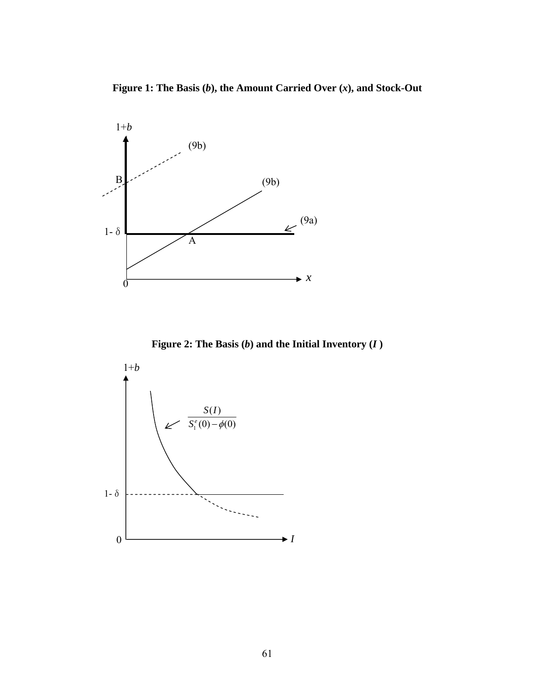**Figure 1: The Basis (***b***), the Amount Carried Over (***x***), and Stock-Out**



**Figure 2: The Basis (***b***) and the Initial Inventory (***I* **)** 

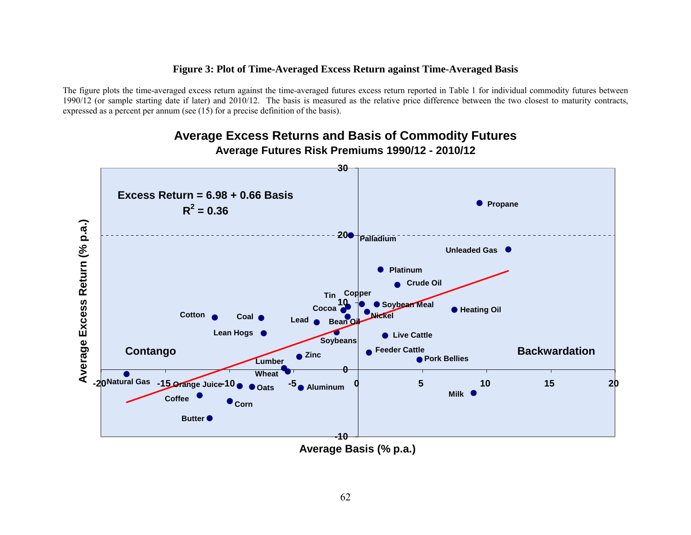# **Figure 3: Plot of Time-Averaged Excess Return against Time-Averaged Basis**

The figure plots the time-averaged excess return against the time-averaged futures excess return reported in Table 1 for individual commodity futures between 1990/12 (or sample starting date if later) and 2010/12. The basis is measured as the relative price difference between the two closest to maturity contracts, expressed as a percent per annum (see (15) for a precise definition of the basis).



# **Average Excess Returns and Basis of Commodity Futures Average Futures Risk Premiums 1990/12 - 2010/12**

**Average Basis (% p.a.)**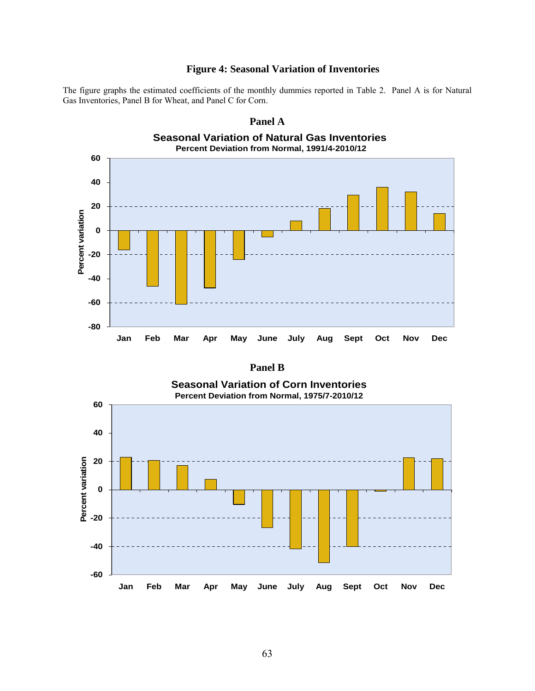# **Figure 4: Seasonal Variation of Inventories**

The figure graphs the estimated coefficients of the monthly dummies reported in Table 2. Panel A is for Natural Gas Inventories, Panel B for Wheat, and Panel C for Corn.



| ı<br>r۴<br>n |
|--------------|
|--------------|

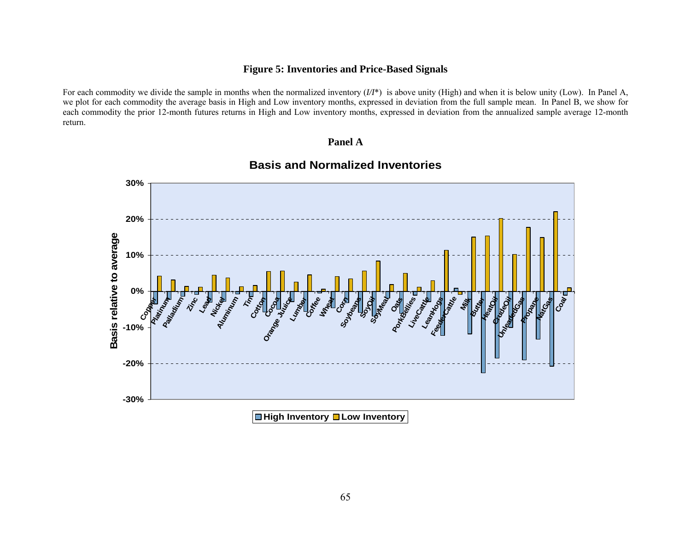# **Figure 5: Inventories and Price-Based Signals**

For each commodity we divide the sample in months when the normalized inventory  $(I/I^*)$  is above unity (High) and when it is below unity (Low). In Panel A, we plot for each commodity the average basis in High and Low inventory months, expressed in deviation from the full sample mean. In Panel B, we show for each commodity the prior 12-month futures returns in High and Low inventory months, expressed in deviation from the annualized sample average 12-month return.

# **Panel A**



# **Basis and Normalized Inventories**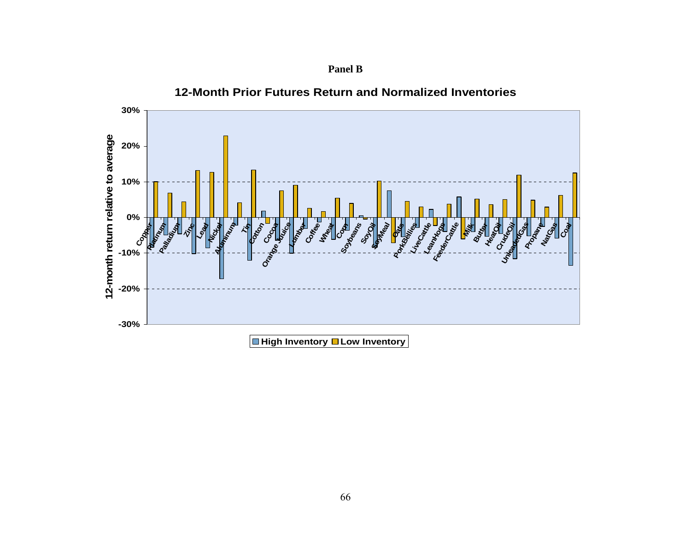

**12-Month Prior Futures Return and Normalized Inventories**

**Panel B**